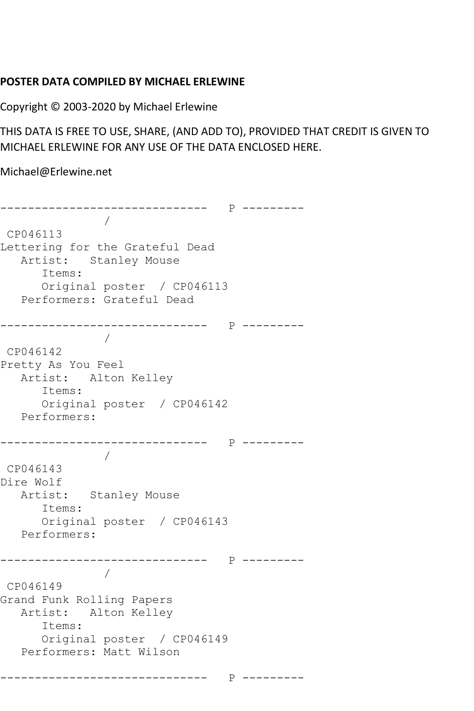## **POSTER DATA COMPILED BY MICHAEL ERLEWINE**

Copyright © 2003-2020 by Michael Erlewine

THIS DATA IS FREE TO USE, SHARE, (AND ADD TO), PROVIDED THAT CREDIT IS GIVEN TO MICHAEL ERLEWINE FOR ANY USE OF THE DATA ENCLOSED HERE.

Michael@Erlewine.net

------------------------------ P --------- / CP046113 Lettering for the Grateful Dead Artist: Stanley Mouse Items: Original poster / CP046113 Performers: Grateful Dead ------------------------------ P --------- / CP046142 Pretty As You Feel Artist: Alton Kelley Items: Original poster / CP046142 Performers: ------------------------------ P --------- / CP046143 Dire Wolf Artist: Stanley Mouse Items: Original poster / CP046143 Performers: ------------------------------ P --------- / CP046149 Grand Funk Rolling Papers Artist: Alton Kelley Items: Original poster / CP046149 Performers: Matt Wilson ------------------------------ P ---------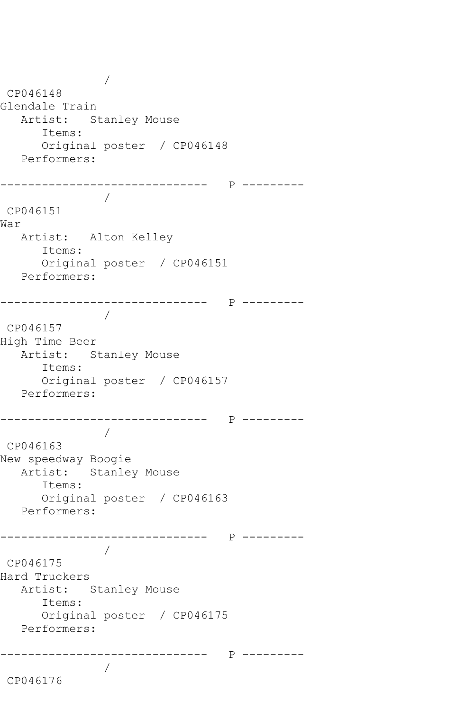/ CP046148 Glendale Train Artist: Stanley Mouse Items: Original poster / CP046148 Performers: ------------------------------ P --------- / CP046151 War Artist: Alton Kelley Items: Original poster / CP046151 Performers: ------------------------------ P --------- / CP046157 High Time Beer Artist: Stanley Mouse Items: Original poster / CP046157 Performers: ------------------------------ P --------- / CP046163 New speedway Boogie Artist: Stanley Mouse Items: Original poster / CP046163 Performers: ------------------------------ P --------- / CP046175 Hard Truckers Artist: Stanley Mouse Items: Original poster / CP046175 Performers: ------------------------------ P --------- / CP046176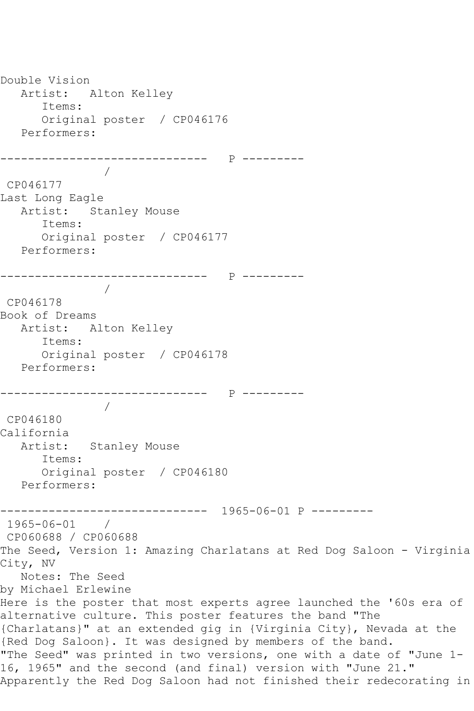Double Vision Artist: Alton Kelley Items: Original poster / CP046176 Performers: ------------------------------ P --------- / CP046177 Last Long Eagle Artist: Stanley Mouse Items: Original poster / CP046177 Performers: ------------------------------ P --------- / CP046178 Book of Dreams Artist: Alton Kelley Items: Original poster / CP046178 Performers: ------------------------------ P --------- / CP046180 California Artist: Stanley Mouse Items: Original poster / CP046180 Performers: ------------------------------ 1965-06-01 P --------- 1965-06-01 / CP060688 / CP060688 The Seed, Version 1: Amazing Charlatans at Red Dog Saloon - Virginia City, NV Notes: The Seed by Michael Erlewine Here is the poster that most experts agree launched the '60s era of alternative culture. This poster features the band "The {Charlatans}" at an extended gig in {Virginia City}, Nevada at the {Red Dog Saloon}. It was designed by members of the band. "The Seed" was printed in two versions, one with a date of "June 1- 16, 1965" and the second (and final) version with "June 21." Apparently the Red Dog Saloon had not finished their redecorating in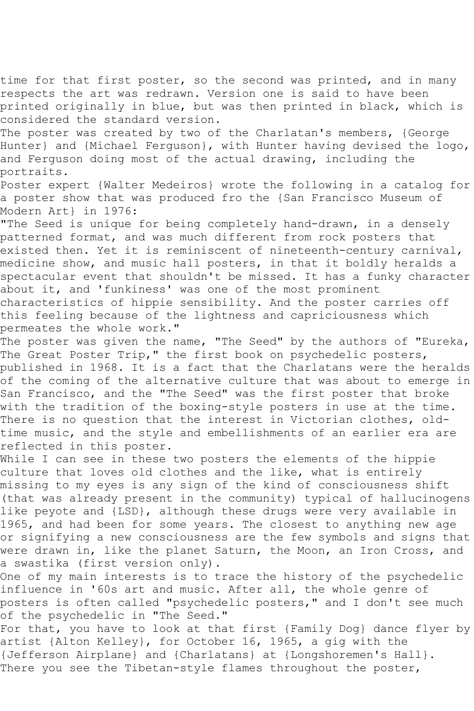time for that first poster, so the second was printed, and in many respects the art was redrawn. Version one is said to have been printed originally in blue, but was then printed in black, which is considered the standard version.

The poster was created by two of the Charlatan's members, {George Hunter} and {Michael Ferguson}, with Hunter having devised the logo, and Ferguson doing most of the actual drawing, including the portraits.

Poster expert {Walter Medeiros} wrote the following in a catalog for a poster show that was produced fro the {San Francisco Museum of Modern Art} in 1976:

"The Seed is unique for being completely hand-drawn, in a densely patterned format, and was much different from rock posters that existed then. Yet it is reminiscent of nineteenth-century carnival, medicine show, and music hall posters, in that it boldly heralds a spectacular event that shouldn't be missed. It has a funky character about it, and 'funkiness' was one of the most prominent characteristics of hippie sensibility. And the poster carries off this feeling because of the lightness and capriciousness which permeates the whole work."

The poster was given the name, "The Seed" by the authors of "Eureka, The Great Poster Trip," the first book on psychedelic posters, published in 1968. It is a fact that the Charlatans were the heralds of the coming of the alternative culture that was about to emerge in San Francisco, and the "The Seed" was the first poster that broke with the tradition of the boxing-style posters in use at the time. There is no question that the interest in Victorian clothes, oldtime music, and the style and embellishments of an earlier era are reflected in this poster.

While I can see in these two posters the elements of the hippie culture that loves old clothes and the like, what is entirely missing to my eyes is any sign of the kind of consciousness shift (that was already present in the community) typical of hallucinogens like peyote and {LSD}, although these drugs were very available in 1965, and had been for some years. The closest to anything new age or signifying a new consciousness are the few symbols and signs that were drawn in, like the planet Saturn, the Moon, an Iron Cross, and a swastika (first version only).

One of my main interests is to trace the history of the psychedelic influence in '60s art and music. After all, the whole genre of posters is often called "psychedelic posters," and I don't see much of the psychedelic in "The Seed."

For that, you have to look at that first {Family Dog} dance flyer by artist {Alton Kelley}, for October 16, 1965, a gig with the {Jefferson Airplane} and {Charlatans} at {Longshoremen's Hall}. There you see the Tibetan-style flames throughout the poster,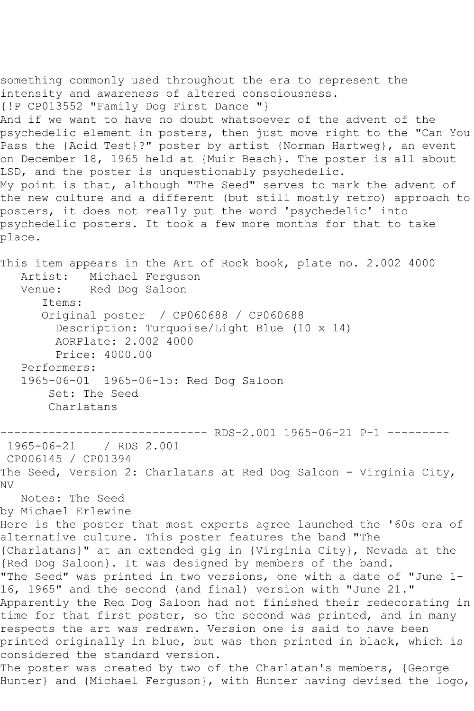something commonly used throughout the era to represent the intensity and awareness of altered consciousness. {!P CP013552 "Family Dog First Dance "} And if we want to have no doubt whatsoever of the advent of the psychedelic element in posters, then just move right to the "Can You Pass the {Acid Test}?" poster by artist {Norman Hartweg}, an event on December 18, 1965 held at {Muir Beach}. The poster is all about LSD, and the poster is unquestionably psychedelic. My point is that, although "The Seed" serves to mark the advent of the new culture and a different (but still mostly retro) approach to posters, it does not really put the word 'psychedelic' into psychedelic posters. It took a few more months for that to take place.

This item appears in the Art of Rock book, plate no. 2.002 4000 Artist: Michael Ferguson Venue: Red Dog Saloon Items: Original poster / CP060688 / CP060688 Description: Turquoise/Light Blue (10 x 14) AORPlate: 2.002 4000 Price: 4000.00 Performers: 1965-06-01 1965-06-15: Red Dog Saloon Set: The Seed Charlatans

------------------------------ RDS-2.001 1965-06-21 P-1 --------- 1965-06-21 / RDS 2.001 CP006145 / CP01394

The Seed, Version 2: Charlatans at Red Dog Saloon - Virginia City, NV Notes: The Seed

by Michael Erlewine

Here is the poster that most experts agree launched the '60s era of alternative culture. This poster features the band "The {Charlatans}" at an extended gig in {Virginia City}, Nevada at the {Red Dog Saloon}. It was designed by members of the band. "The Seed" was printed in two versions, one with a date of "June 1- 16, 1965" and the second (and final) version with "June 21." Apparently the Red Dog Saloon had not finished their redecorating in time for that first poster, so the second was printed, and in many respects the art was redrawn. Version one is said to have been printed originally in blue, but was then printed in black, which is considered the standard version.

The poster was created by two of the Charlatan's members, {George Hunter} and {Michael Ferguson}, with Hunter having devised the logo,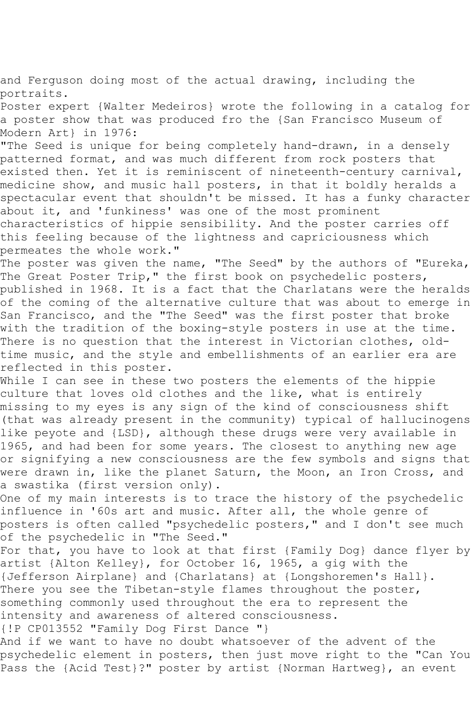and Ferguson doing most of the actual drawing, including the portraits.

Poster expert {Walter Medeiros} wrote the following in a catalog for a poster show that was produced fro the {San Francisco Museum of Modern Art} in 1976:

"The Seed is unique for being completely hand-drawn, in a densely patterned format, and was much different from rock posters that existed then. Yet it is reminiscent of nineteenth-century carnival, medicine show, and music hall posters, in that it boldly heralds a spectacular event that shouldn't be missed. It has a funky character about it, and 'funkiness' was one of the most prominent characteristics of hippie sensibility. And the poster carries off this feeling because of the lightness and capriciousness which permeates the whole work."

The poster was given the name, "The Seed" by the authors of "Eureka, The Great Poster Trip," the first book on psychedelic posters, published in 1968. It is a fact that the Charlatans were the heralds of the coming of the alternative culture that was about to emerge in San Francisco, and the "The Seed" was the first poster that broke with the tradition of the boxing-style posters in use at the time. There is no question that the interest in Victorian clothes, oldtime music, and the style and embellishments of an earlier era are reflected in this poster.

While I can see in these two posters the elements of the hippie culture that loves old clothes and the like, what is entirely missing to my eyes is any sign of the kind of consciousness shift (that was already present in the community) typical of hallucinogens like peyote and {LSD}, although these drugs were very available in 1965, and had been for some years. The closest to anything new age or signifying a new consciousness are the few symbols and signs that were drawn in, like the planet Saturn, the Moon, an Iron Cross, and a swastika (first version only).

One of my main interests is to trace the history of the psychedelic influence in '60s art and music. After all, the whole genre of posters is often called "psychedelic posters," and I don't see much of the psychedelic in "The Seed."

For that, you have to look at that first {Family Dog} dance flyer by artist {Alton Kelley}, for October 16, 1965, a gig with the {Jefferson Airplane} and {Charlatans} at {Longshoremen's Hall}. There you see the Tibetan-style flames throughout the poster, something commonly used throughout the era to represent the intensity and awareness of altered consciousness.

{!P CP013552 "Family Dog First Dance "}

And if we want to have no doubt whatsoever of the advent of the psychedelic element in posters, then just move right to the "Can You Pass the {Acid Test}?" poster by artist {Norman Hartweg}, an event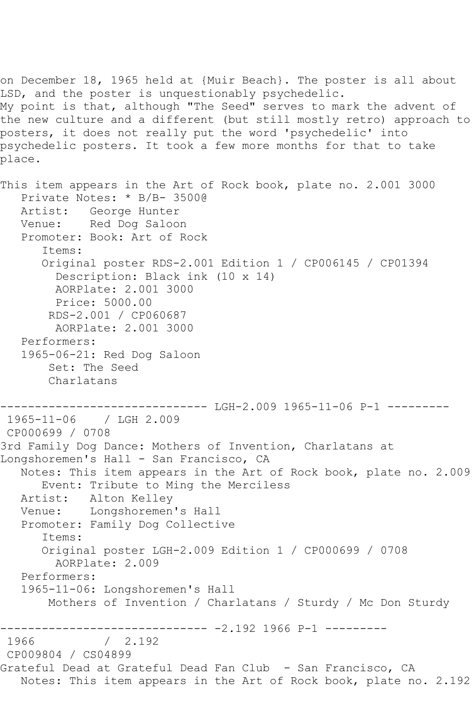LSD, and the poster is unquestionably psychedelic. My point is that, although "The Seed" serves to mark the advent of the new culture and a different (but still mostly retro) approach to posters, it does not really put the word 'psychedelic' into psychedelic posters. It took a few more months for that to take place. This item appears in the Art of Rock book, plate no. 2.001 3000 Private Notes: \* B/B- 3500@ Artist: George Hunter Venue: Red Dog Saloon Promoter: Book: Art of Rock Items: Original poster RDS-2.001 Edition 1 / CP006145 / CP01394 Description: Black ink (10 x 14) AORPlate: 2.001 3000 Price: 5000.00 RDS-2.001 / CP060687 AORPlate: 2.001 3000 Performers: 1965-06-21: Red Dog Saloon Set: The Seed Charlatans ------------------------------ LGH-2.009 1965-11-06 P-1 --------- 1965-11-06 / LGH 2.009 CP000699 / 0708 3rd Family Dog Dance: Mothers of Invention, Charlatans at Longshoremen's Hall - San Francisco, CA Notes: This item appears in the Art of Rock book, plate no. 2.009 Event: Tribute to Ming the Merciless Artist: Alton Kelley Venue: Longshoremen's Hall Promoter: Family Dog Collective Items: Original poster LGH-2.009 Edition 1 / CP000699 / 0708 AORPlate: 2.009 Performers: 1965-11-06: Longshoremen's Hall Mothers of Invention / Charlatans / Sturdy / Mc Don Sturdy ------------------------------ -2.192 1966 P-1 ---------  $/ 2.192$ CP009804 / CS04899 Grateful Dead at Grateful Dead Fan Club - San Francisco, CA Notes: This item appears in the Art of Rock book, plate no. 2.192

on December 18, 1965 held at {Muir Beach}. The poster is all about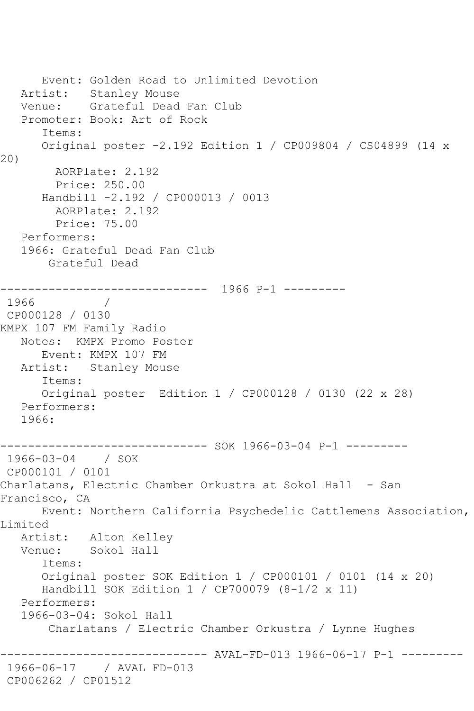```
 Event: Golden Road to Unlimited Devotion
   Artist: Stanley Mouse
   Venue: Grateful Dead Fan Club
    Promoter: Book: Art of Rock
       Items:
       Original poster -2.192 Edition 1 / CP009804 / CS04899 (14 x 
20)
         AORPlate: 2.192 
         Price: 250.00
       Handbill -2.192 / CP000013 / 0013
         AORPlate: 2.192 
         Price: 75.00
    Performers:
    1966: Grateful Dead Fan Club
        Grateful Dead
               ------------------------------ 1966 P-1 ---------
1966
CP000128 / 0130
KMPX 107 FM Family Radio
   Notes: KMPX Promo Poster
       Event: KMPX 107 FM
   Artist: Stanley Mouse
       Items:
       Original poster Edition 1 / CP000128 / 0130 (22 x 28)
   Performers:
   1966:
------------------------------ SOK 1966-03-04 P-1 ---------
1966-03-04 / SOK 
CP000101 / 0101
Charlatans, Electric Chamber Orkustra at Sokol Hall - San 
Francisco, CA
       Event: Northern California Psychedelic Cattlemens Association, 
Limited
   Artist: Alton Kelley
   Venue: Sokol Hall
       Items:
       Original poster SOK Edition 1 / CP000101 / 0101 (14 x 20)
       Handbill SOK Edition 1 / CP700079 (8-1/2 x 11)
   Performers:
    1966-03-04: Sokol Hall
        Charlatans / Electric Chamber Orkustra / Lynne Hughes
                     ------------------------------ AVAL-FD-013 1966-06-17 P-1 ---------
1966-06-17 / AVAL FD-013
CP006262 / CP01512
```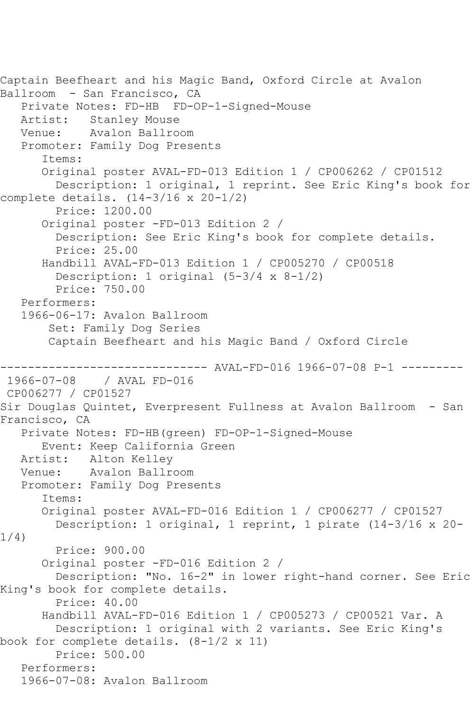```
Captain Beefheart and his Magic Band, Oxford Circle at Avalon 
Ballroom - San Francisco, CA
    Private Notes: FD-HB FD-OP-1-Signed-Mouse
  Artist: Stanley Mouse<br>Venue: Avalon Ballro
            Avalon Ballroom
    Promoter: Family Dog Presents
       Items:
       Original poster AVAL-FD-013 Edition 1 / CP006262 / CP01512
         Description: 1 original, 1 reprint. See Eric King's book for 
complete details. (14-3/16 x 20-1/2)
         Price: 1200.00
       Original poster -FD-013 Edition 2 / 
         Description: See Eric King's book for complete details.
         Price: 25.00
       Handbill AVAL-FD-013 Edition 1 / CP005270 / CP00518
         Description: 1 original (5-3/4 x 8-1/2)
         Price: 750.00
    Performers:
    1966-06-17: Avalon Ballroom
        Set: Family Dog Series
        Captain Beefheart and his Magic Band / Oxford Circle
                 ------------------------------ AVAL-FD-016 1966-07-08 P-1 ---------
1966-07-08 / AVAL FD-016
CP006277 / CP01527
Sir Douglas Quintet, Everpresent Fullness at Avalon Ballroom - San 
Francisco, CA
    Private Notes: FD-HB(green) FD-OP-1-Signed-Mouse
  Event: Keep California Green<br>Artist: Alton Kelley
            Alton Kelley
   Venue: Avalon Ballroom
    Promoter: Family Dog Presents
       Items:
       Original poster AVAL-FD-016 Edition 1 / CP006277 / CP01527
         Description: 1 original, 1 reprint, 1 pirate (14-3/16 x 20-
1/4)
         Price: 900.00
       Original poster -FD-016 Edition 2 / 
         Description: "No. 16-2" in lower right-hand corner. See Eric 
King's book for complete details.
         Price: 40.00
       Handbill AVAL-FD-016 Edition 1 / CP005273 / CP00521 Var. A
         Description: 1 original with 2 variants. See Eric King's 
book for complete details. (8-1/2 x 11)
         Price: 500.00
    Performers:
    1966-07-08: Avalon Ballroom
```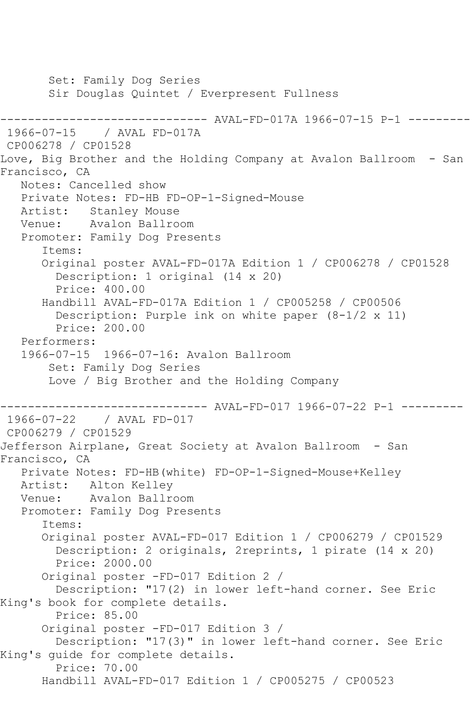Set: Family Dog Series Sir Douglas Quintet / Everpresent Fullness ------------------------------ AVAL-FD-017A 1966-07-15 P-1 ---------<br>1966-07-15 / AVAL FD-017A / AVAL FD-017A CP006278 / CP01528 Love, Big Brother and the Holding Company at Avalon Ballroom - San Francisco, CA Notes: Cancelled show Private Notes: FD-HB FD-OP-1-Signed-Mouse Artist: Stanley Mouse Venue: Avalon Ballroom Promoter: Family Dog Presents Items: Original poster AVAL-FD-017A Edition 1 / CP006278 / CP01528 Description: 1 original (14 x 20) Price: 400.00 Handbill AVAL-FD-017A Edition 1 / CP005258 / CP00506 Description: Purple ink on white paper (8-1/2 x 11) Price: 200.00 Performers: 1966-07-15 1966-07-16: Avalon Ballroom Set: Family Dog Series Love / Big Brother and the Holding Company ------------------------------ AVAL-FD-017 1966-07-22 P-1 --------- 1966-07-22 / AVAL FD-017 CP006279 / CP01529 Jefferson Airplane, Great Society at Avalon Ballroom - San Francisco, CA Private Notes: FD-HB(white) FD-OP-1-Signed-Mouse+Kelley Artist: Alton Kelley Venue: Avalon Ballroom Promoter: Family Dog Presents Items: Original poster AVAL-FD-017 Edition 1 / CP006279 / CP01529 Description: 2 originals, 2reprints, 1 pirate (14 x 20) Price: 2000.00 Original poster -FD-017 Edition 2 / Description: "17(2) in lower left-hand corner. See Eric King's book for complete details. Price: 85.00 Original poster -FD-017 Edition 3 / Description: "17(3)" in lower left-hand corner. See Eric King's guide for complete details. Price: 70.00 Handbill AVAL-FD-017 Edition 1 / CP005275 / CP00523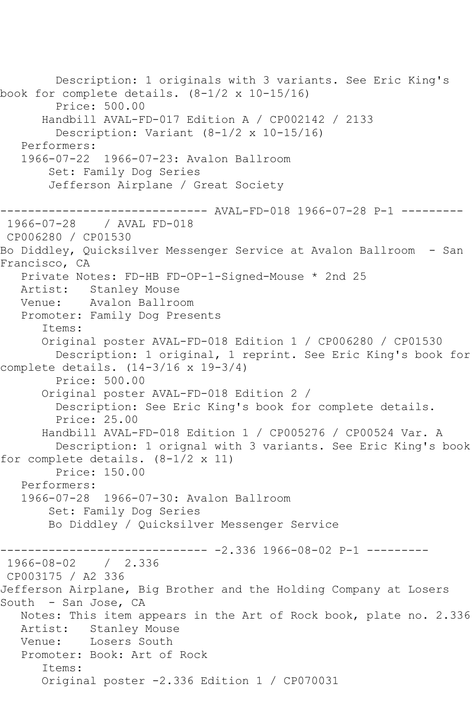```
 Description: 1 originals with 3 variants. See Eric King's 
book for complete details. (8-1/2 x 10-15/16)
        Price: 500.00
       Handbill AVAL-FD-017 Edition A / CP002142 / 2133
         Description: Variant (8-1/2 x 10-15/16)
   Performers:
   1966-07-22 1966-07-23: Avalon Ballroom
        Set: Family Dog Series
       Jefferson Airplane / Great Society
------------------------------ AVAL-FD-018 1966-07-28 P-1 ---------
1966-07-28 / AVAL FD-018
CP006280 / CP01530
Bo Diddley, Quicksilver Messenger Service at Avalon Ballroom - San 
Francisco, CA
   Private Notes: FD-HB FD-OP-1-Signed-Mouse * 2nd 25
   Artist: Stanley Mouse
   Venue: Avalon Ballroom
   Promoter: Family Dog Presents
       Items:
       Original poster AVAL-FD-018 Edition 1 / CP006280 / CP01530
         Description: 1 original, 1 reprint. See Eric King's book for 
complete details. (14-3/16 x 19-3/4)
         Price: 500.00
       Original poster AVAL-FD-018 Edition 2 / 
         Description: See Eric King's book for complete details.
         Price: 25.00
       Handbill AVAL-FD-018 Edition 1 / CP005276 / CP00524 Var. A
         Description: 1 orignal with 3 variants. See Eric King's book 
for complete details. (8-1/2 \times 11) Price: 150.00
   Performers:
   1966-07-28 1966-07-30: Avalon Ballroom
        Set: Family Dog Series
       Bo Diddley / Quicksilver Messenger Service
------------------------------ -2.336 1966-08-02 P-1 ---------
1966-08-02 / 2.336
CP003175 / A2 336
Jefferson Airplane, Big Brother and the Holding Company at Losers 
South - San Jose, CA
   Notes: This item appears in the Art of Rock book, plate no. 2.336
   Artist: Stanley Mouse
   Venue: Losers South
   Promoter: Book: Art of Rock
       Items:
       Original poster -2.336 Edition 1 / CP070031
```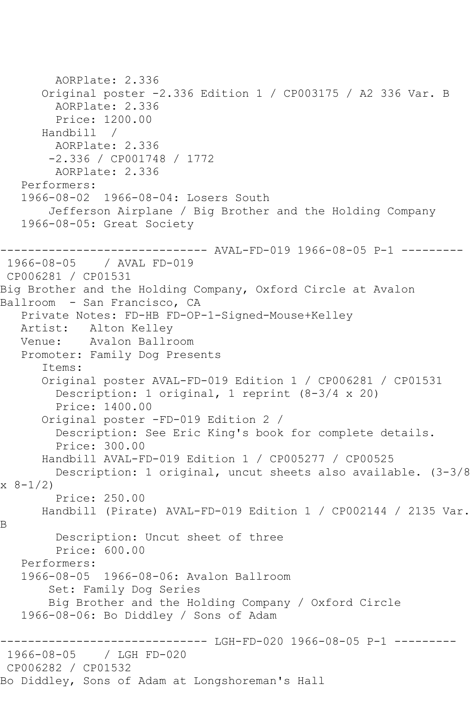```
 AORPlate: 2.336 
       Original poster -2.336 Edition 1 / CP003175 / A2 336 Var. B
         AORPlate: 2.336 
         Price: 1200.00
       Handbill / 
         AORPlate: 2.336 
        -2.336 / CP001748 / 1772
         AORPlate: 2.336 
    Performers:
    1966-08-02 1966-08-04: Losers South
        Jefferson Airplane / Big Brother and the Holding Company
    1966-08-05: Great Society
------------------------------ AVAL-FD-019 1966-08-05 P-1 ---------
1966-08-05 / AVAL FD-019
CP006281 / CP01531
Big Brother and the Holding Company, Oxford Circle at Avalon 
Ballroom - San Francisco, CA
    Private Notes: FD-HB FD-OP-1-Signed-Mouse+Kelley
   Artist: Alton Kelley
    Venue: Avalon Ballroom
    Promoter: Family Dog Presents
       Items:
       Original poster AVAL-FD-019 Edition 1 / CP006281 / CP01531
         Description: 1 original, 1 reprint (8-3/4 x 20)
         Price: 1400.00
       Original poster -FD-019 Edition 2 / 
         Description: See Eric King's book for complete details.
         Price: 300.00
       Handbill AVAL-FD-019 Edition 1 / CP005277 / CP00525
         Description: 1 original, uncut sheets also available. (3-3/8 
x 8-1/2)
         Price: 250.00
       Handbill (Pirate) AVAL-FD-019 Edition 1 / CP002144 / 2135 Var. 
B
         Description: Uncut sheet of three
         Price: 600.00
    Performers:
    1966-08-05 1966-08-06: Avalon Ballroom
        Set: Family Dog Series
        Big Brother and the Holding Company / Oxford Circle
    1966-08-06: Bo Diddley / Sons of Adam
------------------------------ LGH-FD-020 1966-08-05 P-1 ---------
              1966-08-05 / LGH FD-020
CP006282 / CP01532
Bo Diddley, Sons of Adam at Longshoreman's Hall
```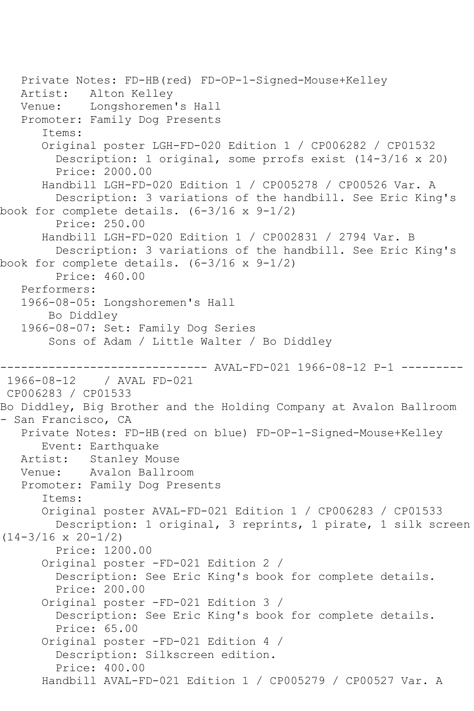```
 Private Notes: FD-HB(red) FD-OP-1-Signed-Mouse+Kelley
   Artist: Alton Kelley
   Venue: Longshoremen's Hall
    Promoter: Family Dog Presents
       Items:
       Original poster LGH-FD-020 Edition 1 / CP006282 / CP01532
         Description: 1 original, some prrofs exist (14-3/16 x 20)
         Price: 2000.00
       Handbill LGH-FD-020 Edition 1 / CP005278 / CP00526 Var. A
         Description: 3 variations of the handbill. See Eric King's 
book for complete details. (6-3/16 \times 9-1/2) Price: 250.00
       Handbill LGH-FD-020 Edition 1 / CP002831 / 2794 Var. B
         Description: 3 variations of the handbill. See Eric King's 
book for complete details. (6-3/16 x 9-1/2)
         Price: 460.00
    Performers:
    1966-08-05: Longshoremen's Hall
        Bo Diddley
    1966-08-07: Set: Family Dog Series
        Sons of Adam / Little Walter / Bo Diddley
------------------------------ AVAL-FD-021 1966-08-12 P-1 ---------
             1966-08-12 / AVAL FD-021
CP006283 / CP01533
Bo Diddley, Big Brother and the Holding Company at Avalon Ballroom 
- San Francisco, CA
   Private Notes: FD-HB(red on blue) FD-OP-1-Signed-Mouse+Kelley
  Event: Earthquake<br>Artist: Stanley Mo
            Stanley Mouse
   Venue: Avalon Ballroom
    Promoter: Family Dog Presents
       Items:
       Original poster AVAL-FD-021 Edition 1 / CP006283 / CP01533
         Description: 1 original, 3 reprints, 1 pirate, 1 silk screen 
(14-3/16 x 20-1/2)
         Price: 1200.00
       Original poster -FD-021 Edition 2 / 
         Description: See Eric King's book for complete details.
         Price: 200.00
       Original poster -FD-021 Edition 3 / 
         Description: See Eric King's book for complete details.
         Price: 65.00
       Original poster -FD-021 Edition 4 / 
         Description: Silkscreen edition.
         Price: 400.00
       Handbill AVAL-FD-021 Edition 1 / CP005279 / CP00527 Var. A
```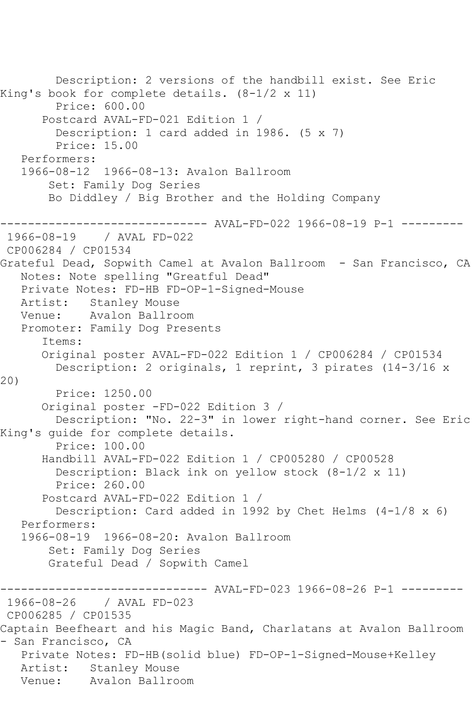Description: 2 versions of the handbill exist. See Eric King's book for complete details. (8-1/2 x 11) Price: 600.00 Postcard AVAL-FD-021 Edition 1 / Description: 1 card added in 1986. (5 x 7) Price: 15.00 Performers: 1966-08-12 1966-08-13: Avalon Ballroom Set: Family Dog Series Bo Diddley / Big Brother and the Holding Company ------------------------------ AVAL-FD-022 1966-08-19 P-1 --------- 1966-08-19 / AVAL FD-022 CP006284 / CP01534 Grateful Dead, Sopwith Camel at Avalon Ballroom - San Francisco, CA Notes: Note spelling "Greatful Dead" Private Notes: FD-HB FD-OP-1-Signed-Mouse Artist: Stanley Mouse Venue: Avalon Ballroom Promoter: Family Dog Presents Items: Original poster AVAL-FD-022 Edition 1 / CP006284 / CP01534 Description: 2 originals, 1 reprint, 3 pirates (14-3/16 x 20) Price: 1250.00 Original poster -FD-022 Edition 3 / Description: "No. 22-3" in lower right-hand corner. See Eric King's guide for complete details. Price: 100.00 Handbill AVAL-FD-022 Edition 1 / CP005280 / CP00528 Description: Black ink on yellow stock (8-1/2 x 11) Price: 260.00 Postcard AVAL-FD-022 Edition 1 / Description: Card added in 1992 by Chet Helms (4-1/8 x 6) Performers: 1966-08-19 1966-08-20: Avalon Ballroom Set: Family Dog Series Grateful Dead / Sopwith Camel ------------------------------ AVAL-FD-023 1966-08-26 P-1 --------- 1966-08-26 / AVAL FD-023 CP006285 / CP01535 Captain Beefheart and his Magic Band, Charlatans at Avalon Ballroom - San Francisco, CA Private Notes: FD-HB(solid blue) FD-OP-1-Signed-Mouse+Kelley Artist: Stanley Mouse<br>Venue: Avalon Ballro Avalon Ballroom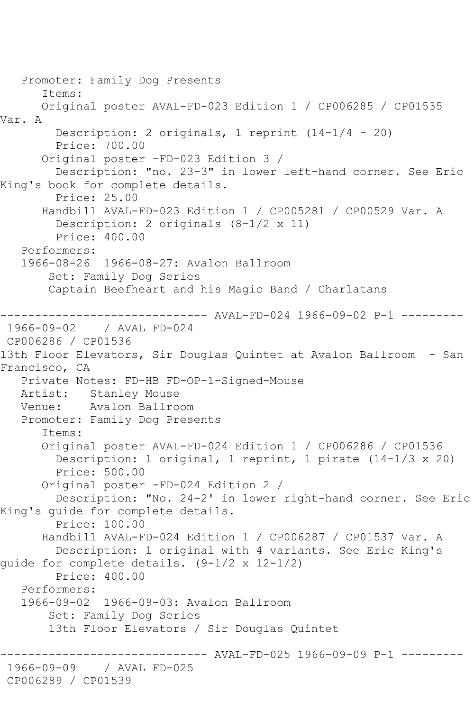Promoter: Family Dog Presents Items: Original poster AVAL-FD-023 Edition 1 / CP006285 / CP01535 Var. A Description: 2 originals, 1 reprint (14-1/4 - 20) Price: 700.00 Original poster -FD-023 Edition 3 / Description: "no. 23-3" in lower left-hand corner. See Eric King's book for complete details. Price: 25.00 Handbill AVAL-FD-023 Edition 1 / CP005281 / CP00529 Var. A Description: 2 originals (8-1/2 x 11) Price: 400.00 Performers: 1966-08-26 1966-08-27: Avalon Ballroom Set: Family Dog Series Captain Beefheart and his Magic Band / Charlatans ------------- AVAL-FD-024 1966-09-02 P-1 ---------1966-09-02 / AVAL FD-024 CP006286 / CP01536 13th Floor Elevators, Sir Douglas Quintet at Avalon Ballroom - San Francisco, CA Private Notes: FD-HB FD-OP-1-Signed-Mouse Artist: Stanley Mouse<br>Venue: Avalon Ballro Avalon Ballroom Promoter: Family Dog Presents Items: Original poster AVAL-FD-024 Edition 1 / CP006286 / CP01536 Description: 1 original, 1 reprint, 1 pirate (14-1/3 x 20) Price: 500.00 Original poster -FD-024 Edition 2 / Description: "No. 24-2' in lower right-hand corner. See Eric King's guide for complete details. Price: 100.00 Handbill AVAL-FD-024 Edition 1 / CP006287 / CP01537 Var. A Description: 1 original with 4 variants. See Eric King's guide for complete details. (9-1/2 x 12-1/2) Price: 400.00 Performers: 1966-09-02 1966-09-03: Avalon Ballroom Set: Family Dog Series 13th Floor Elevators / Sir Douglas Quintet -------- AVAL-FD-025 1966-09-09 P-1 ---------1966-09-09 / AVAL FD-025 CP006289 / CP01539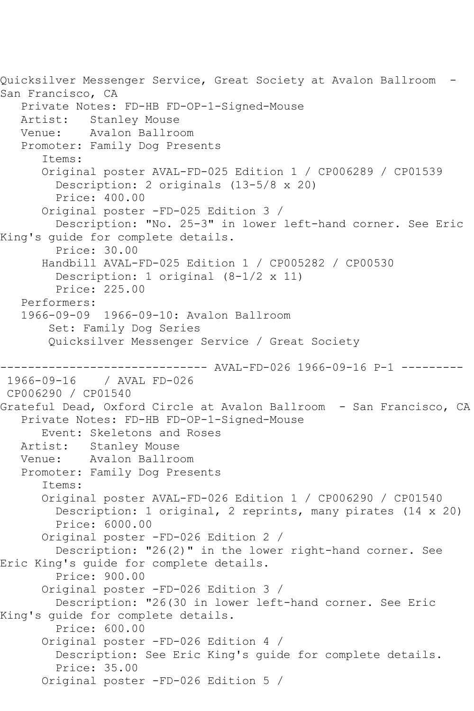Quicksilver Messenger Service, Great Society at Avalon Ballroom - San Francisco, CA Private Notes: FD-HB FD-OP-1-Signed-Mouse Artist: Stanley Mouse<br>Venue: Avalon Ballro Avalon Ballroom Promoter: Family Dog Presents Items: Original poster AVAL-FD-025 Edition 1 / CP006289 / CP01539 Description: 2 originals (13-5/8 x 20) Price: 400.00 Original poster -FD-025 Edition 3 / Description: "No. 25-3" in lower left-hand corner. See Eric King's guide for complete details. Price: 30.00 Handbill AVAL-FD-025 Edition 1 / CP005282 / CP00530 Description: 1 original (8-1/2 x 11) Price: 225.00 Performers: 1966-09-09 1966-09-10: Avalon Ballroom Set: Family Dog Series Quicksilver Messenger Service / Great Society ------------------------------ AVAL-FD-026 1966-09-16 P-1 --------- 1966-09-16 / AVAL FD-026 CP006290 / CP01540 Grateful Dead, Oxford Circle at Avalon Ballroom - San Francisco, CA Private Notes: FD-HB FD-OP-1-Signed-Mouse Event: Skeletons and Roses Artist: Stanley Mouse Venue: Avalon Ballroom Promoter: Family Dog Presents Items: Original poster AVAL-FD-026 Edition 1 / CP006290 / CP01540 Description: 1 original, 2 reprints, many pirates (14 x 20) Price: 6000.00 Original poster -FD-026 Edition 2 / Description: "26(2)" in the lower right-hand corner. See Eric King's guide for complete details. Price: 900.00 Original poster -FD-026 Edition 3 / Description: "26(30 in lower left-hand corner. See Eric King's guide for complete details. Price: 600.00 Original poster -FD-026 Edition 4 / Description: See Eric King's guide for complete details. Price: 35.00 Original poster -FD-026 Edition 5 /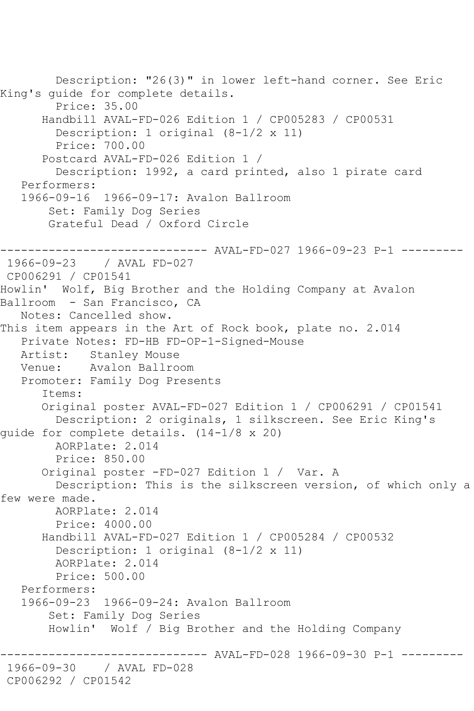Description: "26(3)" in lower left-hand corner. See Eric King's guide for complete details. Price: 35.00 Handbill AVAL-FD-026 Edition 1 / CP005283 / CP00531 Description: 1 original (8-1/2 x 11) Price: 700.00 Postcard AVAL-FD-026 Edition 1 / Description: 1992, a card printed, also 1 pirate card Performers: 1966-09-16 1966-09-17: Avalon Ballroom Set: Family Dog Series Grateful Dead / Oxford Circle ------------------------------ AVAL-FD-027 1966-09-23 P-1 --------- 1966-09-23 / AVAL FD-027 CP006291 / CP01541 Howlin' Wolf, Big Brother and the Holding Company at Avalon Ballroom - San Francisco, CA Notes: Cancelled show. This item appears in the Art of Rock book, plate no. 2.014 Private Notes: FD-HB FD-OP-1-Signed-Mouse Artist: Stanley Mouse<br>Venue: Avalon Ballro Avalon Ballroom Promoter: Family Dog Presents Items: Original poster AVAL-FD-027 Edition 1 / CP006291 / CP01541 Description: 2 originals, 1 silkscreen. See Eric King's guide for complete details. (14-1/8 x 20) AORPlate: 2.014 Price: 850.00 Original poster -FD-027 Edition 1 / Var. A Description: This is the silkscreen version, of which only a few were made. AORPlate: 2.014 Price: 4000.00 Handbill AVAL-FD-027 Edition 1 / CP005284 / CP00532 Description: 1 original (8-1/2 x 11) AORPlate: 2.014 Price: 500.00 Performers: 1966-09-23 1966-09-24: Avalon Ballroom Set: Family Dog Series Howlin' Wolf / Big Brother and the Holding Company ------------------------------ AVAL-FD-028 1966-09-30 P-1 --------- 1966-09-30 / AVAL FD-028 CP006292 / CP01542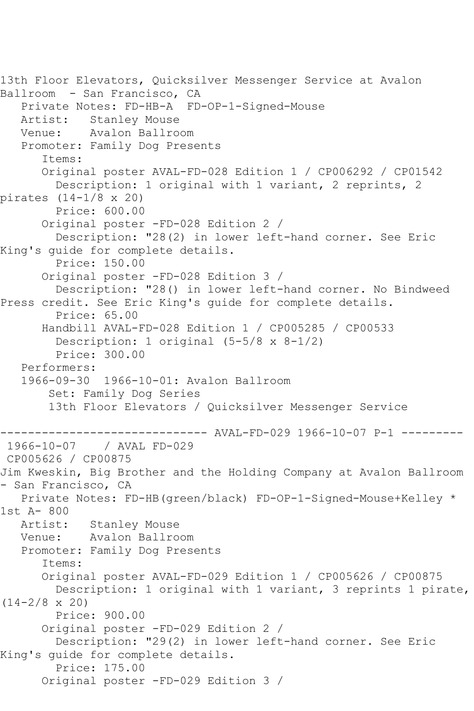```
13th Floor Elevators, Quicksilver Messenger Service at Avalon 
Ballroom - San Francisco, CA
    Private Notes: FD-HB-A FD-OP-1-Signed-Mouse
  Artist: Stanley Mouse<br>Venue: Avalon Ballro
            Avalon Ballroom
   Promoter: Family Dog Presents
       Items:
       Original poster AVAL-FD-028 Edition 1 / CP006292 / CP01542
         Description: 1 original with 1 variant, 2 reprints, 2 
pirates (14-1/8 x 20)
         Price: 600.00
       Original poster -FD-028 Edition 2 / 
         Description: "28(2) in lower left-hand corner. See Eric 
King's guide for complete details.
         Price: 150.00
       Original poster -FD-028 Edition 3 / 
         Description: "28() in lower left-hand corner. No Bindweed 
Press credit. See Eric King's guide for complete details.
         Price: 65.00
       Handbill AVAL-FD-028 Edition 1 / CP005285 / CP00533
         Description: 1 original (5-5/8 x 8-1/2)
         Price: 300.00
   Performers:
    1966-09-30 1966-10-01: Avalon Ballroom
        Set: Family Dog Series
        13th Floor Elevators / Quicksilver Messenger Service
------------------------------ AVAL-FD-029 1966-10-07 P-1 ---------
              1966-10-07 / AVAL FD-029
CP005626 / CP00875
Jim Kweskin, Big Brother and the Holding Company at Avalon Ballroom 
- San Francisco, CA
    Private Notes: FD-HB(green/black) FD-OP-1-Signed-Mouse+Kelley * 
1st A- 800
   Artist: Stanley Mouse
   Venue: Avalon Ballroom
   Promoter: Family Dog Presents
       Items:
       Original poster AVAL-FD-029 Edition 1 / CP005626 / CP00875
         Description: 1 original with 1 variant, 3 reprints 1 pirate, 
(14-2/8 \times 20) Price: 900.00
       Original poster -FD-029 Edition 2 / 
         Description: "29(2) in lower left-hand corner. See Eric 
King's guide for complete details.
         Price: 175.00
       Original poster -FD-029 Edition 3 /
```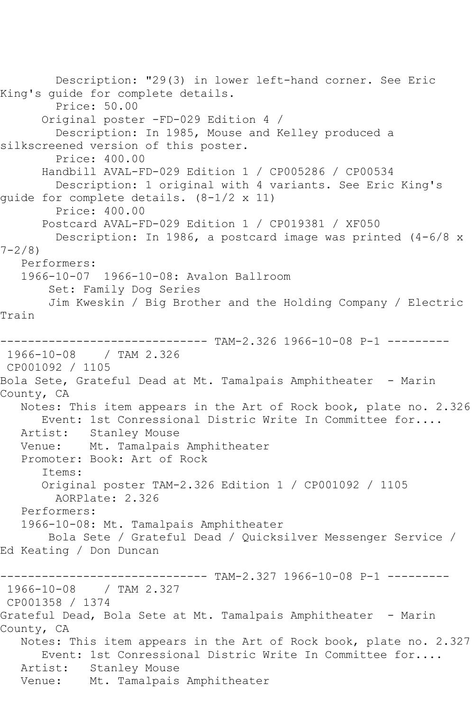Description: "29(3) in lower left-hand corner. See Eric King's guide for complete details. Price: 50.00 Original poster -FD-029 Edition 4 / Description: In 1985, Mouse and Kelley produced a silkscreened version of this poster. Price: 400.00 Handbill AVAL-FD-029 Edition 1 / CP005286 / CP00534 Description: 1 original with 4 variants. See Eric King's guide for complete details. (8-1/2 x 11) Price: 400.00 Postcard AVAL-FD-029 Edition 1 / CP019381 / XF050 Description: In 1986, a postcard image was printed  $(4-6/8 \times$  $7 - 2/8$  Performers: 1966-10-07 1966-10-08: Avalon Ballroom Set: Family Dog Series Jim Kweskin / Big Brother and the Holding Company / Electric Train ------------------------------ TAM-2.326 1966-10-08 P-1 --------- 1966-10-08 / TAM 2.326 CP001092 / 1105 Bola Sete, Grateful Dead at Mt. Tamalpais Amphitheater - Marin County, CA Notes: This item appears in the Art of Rock book, plate no. 2.326 Event: 1st Conressional Distric Write In Committee for.... Artist: Stanley Mouse Venue: Mt. Tamalpais Amphitheater Promoter: Book: Art of Rock Items: Original poster TAM-2.326 Edition 1 / CP001092 / 1105 AORPlate: 2.326 Performers: 1966-10-08: Mt. Tamalpais Amphitheater Bola Sete / Grateful Dead / Quicksilver Messenger Service / Ed Keating / Don Duncan ------------------------------ TAM-2.327 1966-10-08 P-1 --------- 1966-10-08 / TAM 2.327 CP001358 / 1374 Grateful Dead, Bola Sete at Mt. Tamalpais Amphitheater - Marin County, CA Notes: This item appears in the Art of Rock book, plate no. 2.327 Event: 1st Conressional Distric Write In Committee for.... Artist: Stanley Mouse Venue: Mt. Tamalpais Amphitheater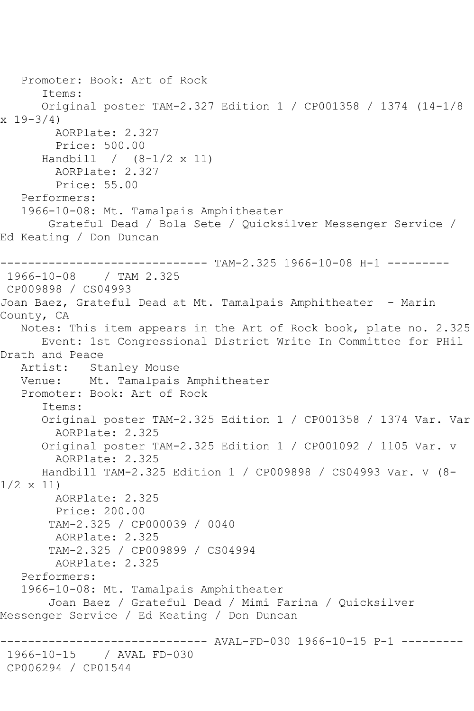Promoter: Book: Art of Rock Items: Original poster TAM-2.327 Edition 1 / CP001358 / 1374 (14-1/8 x 19-3/4) AORPlate: 2.327 Price: 500.00 Handbill / (8-1/2 x 11) AORPlate: 2.327 Price: 55.00 Performers: 1966-10-08: Mt. Tamalpais Amphitheater Grateful Dead / Bola Sete / Quicksilver Messenger Service / Ed Keating / Don Duncan ------------ TAM-2.325 1966-10-08 H-1 ---------1966-10-08 / TAM 2.325 CP009898 / CS04993 Joan Baez, Grateful Dead at Mt. Tamalpais Amphitheater - Marin County, CA Notes: This item appears in the Art of Rock book, plate no. 2.325 Event: 1st Congressional District Write In Committee for PHil Drath and Peace Artist: Stanley Mouse Venue: Mt. Tamalpais Amphitheater Promoter: Book: Art of Rock Items: Original poster TAM-2.325 Edition 1 / CP001358 / 1374 Var. Var AORPlate: 2.325 Original poster TAM-2.325 Edition 1 / CP001092 / 1105 Var. v AORPlate: 2.325 Handbill TAM-2.325 Edition 1 / CP009898 / CS04993 Var. V (8- 1/2 x 11) AORPlate: 2.325 Price: 200.00 TAM-2.325 / CP000039 / 0040 AORPlate: 2.325 TAM-2.325 / CP009899 / CS04994 AORPlate: 2.325 Performers: 1966-10-08: Mt. Tamalpais Amphitheater Joan Baez / Grateful Dead / Mimi Farina / Quicksilver Messenger Service / Ed Keating / Don Duncan ------ AVAL-FD-030 1966-10-15 P-1 ---------1966-10-15 / AVAL FD-030 CP006294 / CP01544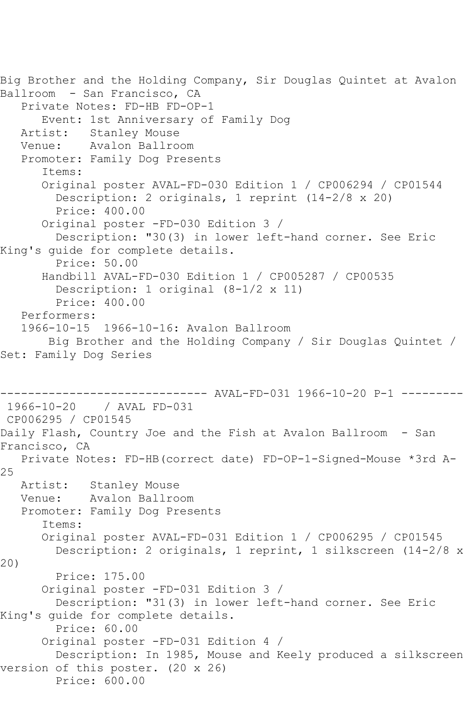```
Big Brother and the Holding Company, Sir Douglas Quintet at Avalon 
Ballroom - San Francisco, CA
    Private Notes: FD-HB FD-OP-1
       Event: 1st Anniversary of Family Dog
   Artist: Stanley Mouse
   Venue: Avalon Ballroom
    Promoter: Family Dog Presents
       Items:
       Original poster AVAL-FD-030 Edition 1 / CP006294 / CP01544
         Description: 2 originals, 1 reprint (14-2/8 x 20)
         Price: 400.00
       Original poster -FD-030 Edition 3 / 
         Description: "30(3) in lower left-hand corner. See Eric 
King's guide for complete details.
         Price: 50.00
       Handbill AVAL-FD-030 Edition 1 / CP005287 / CP00535
         Description: 1 original (8-1/2 x 11)
         Price: 400.00
    Performers:
    1966-10-15 1966-10-16: Avalon Ballroom
        Big Brother and the Holding Company / Sir Douglas Quintet / 
Set: Family Dog Series
                     ------------------------------ AVAL-FD-031 1966-10-20 P-1 ---------
1966-10-20 / AVAL FD-031
CP006295 / CP01545
Daily Flash, Country Joe and the Fish at Avalon Ballroom - San 
Francisco, CA
   Private Notes: FD-HB(correct date) FD-OP-1-Signed-Mouse *3rd A-
25
  Artist: Stanley Mouse<br>Venue: Avalon Ballro
            Avalon Ballroom
   Promoter: Family Dog Presents
       Items:
       Original poster AVAL-FD-031 Edition 1 / CP006295 / CP01545
         Description: 2 originals, 1 reprint, 1 silkscreen (14-2/8 x 
20)
         Price: 175.00
       Original poster -FD-031 Edition 3 / 
         Description: "31(3) in lower left-hand corner. See Eric 
King's guide for complete details.
         Price: 60.00
       Original poster -FD-031 Edition 4 / 
         Description: In 1985, Mouse and Keely produced a silkscreen 
version of this poster. (20 x 26)
         Price: 600.00
```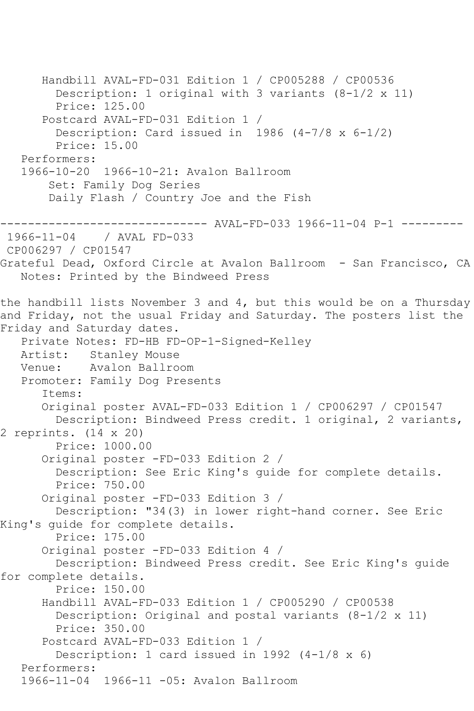```
 Handbill AVAL-FD-031 Edition 1 / CP005288 / CP00536
         Description: 1 original with 3 variants (8-1/2 x 11)
         Price: 125.00
       Postcard AVAL-FD-031 Edition 1 / 
         Description: Card issued in 1986 (4-7/8 x 6-1/2)
         Price: 15.00
   Performers:
   1966-10-20 1966-10-21: Avalon Ballroom
        Set: Family Dog Series
        Daily Flash / Country Joe and the Fish
------------------------------ AVAL-FD-033 1966-11-04 P-1 ---------
              / AVAL FD-033
CP006297 / CP01547
Grateful Dead, Oxford Circle at Avalon Ballroom - San Francisco, CA
   Notes: Printed by the Bindweed Press
the handbill lists November 3 and 4, but this would be on a Thursday 
and Friday, not the usual Friday and Saturday. The posters list the 
Friday and Saturday dates.
   Private Notes: FD-HB FD-OP-1-Signed-Kelley
   Artist: Stanley Mouse
   Venue: Avalon Ballroom
   Promoter: Family Dog Presents
       Items:
       Original poster AVAL-FD-033 Edition 1 / CP006297 / CP01547
         Description: Bindweed Press credit. 1 original, 2 variants, 
2 reprints. (14 x 20)
         Price: 1000.00
       Original poster -FD-033 Edition 2 / 
         Description: See Eric King's guide for complete details.
         Price: 750.00
       Original poster -FD-033 Edition 3 / 
         Description: "34(3) in lower right-hand corner. See Eric 
King's guide for complete details.
         Price: 175.00
       Original poster -FD-033 Edition 4 / 
         Description: Bindweed Press credit. See Eric King's guide 
for complete details.
         Price: 150.00
       Handbill AVAL-FD-033 Edition 1 / CP005290 / CP00538
         Description: Original and postal variants (8-1/2 x 11)
         Price: 350.00
       Postcard AVAL-FD-033 Edition 1 / 
         Description: 1 card issued in 1992 (4-1/8 x 6)
   Performers:
   1966-11-04 1966-11 -05: Avalon Ballroom
```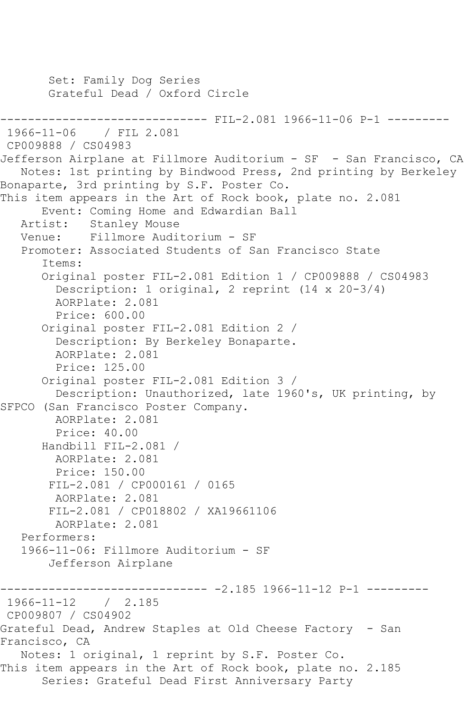Set: Family Dog Series Grateful Dead / Oxford Circle -------------------------------- FIL-2.081 1966-11-06 P-1 ---------<br>1966-11-06 / FIL 2.081 1966-11-06 / FIL 2.081 CP009888 / CS04983 Jefferson Airplane at Fillmore Auditorium - SF - San Francisco, CA Notes: 1st printing by Bindwood Press, 2nd printing by Berkeley Bonaparte, 3rd printing by S.F. Poster Co. This item appears in the Art of Rock book, plate no. 2.081 Event: Coming Home and Edwardian Ball<br>Artist: Stanley Mouse Stanley Mouse Venue: Fillmore Auditorium - SF Promoter: Associated Students of San Francisco State Items: Original poster FIL-2.081 Edition 1 / CP009888 / CS04983 Description: 1 original, 2 reprint (14 x 20-3/4) AORPlate: 2.081 Price: 600.00 Original poster FIL-2.081 Edition 2 / Description: By Berkeley Bonaparte. AORPlate: 2.081 Price: 125.00 Original poster FIL-2.081 Edition 3 / Description: Unauthorized, late 1960's, UK printing, by SFPCO (San Francisco Poster Company. AORPlate: 2.081 Price: 40.00 Handbill FIL-2.081 / AORPlate: 2.081 Price: 150.00 FIL-2.081 / CP000161 / 0165 AORPlate: 2.081 FIL-2.081 / CP018802 / XA19661106 AORPlate: 2.081 Performers: 1966-11-06: Fillmore Auditorium - SF Jefferson Airplane ------------------------------ -2.185 1966-11-12 P-1 --------- 1966-11-12 / 2.185 CP009807 / CS04902 Grateful Dead, Andrew Staples at Old Cheese Factory - San Francisco, CA Notes: 1 original, 1 reprint by S.F. Poster Co. This item appears in the Art of Rock book, plate no. 2.185 Series: Grateful Dead First Anniversary Party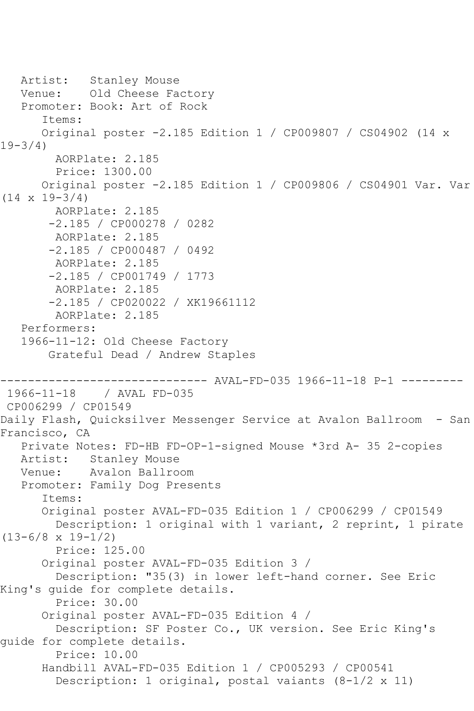Artist: Stanley Mouse Venue: Old Cheese Factory Promoter: Book: Art of Rock Items: Original poster -2.185 Edition 1 / CP009807 / CS04902 (14 x 19-3/4) AORPlate: 2.185 Price: 1300.00 Original poster -2.185 Edition 1 / CP009806 / CS04901 Var. Var (14 x 19-3/4) AORPlate: 2.185 -2.185 / CP000278 / 0282 AORPlate: 2.185 -2.185 / CP000487 / 0492 AORPlate: 2.185 -2.185 / CP001749 / 1773 AORPlate: 2.185 -2.185 / CP020022 / XK19661112 AORPlate: 2.185 Performers: 1966-11-12: Old Cheese Factory Grateful Dead / Andrew Staples ------------------------------ AVAL-FD-035 1966-11-18 P-1 --------- / AVAL FD-035 CP006299 / CP01549 Daily Flash, Quicksilver Messenger Service at Avalon Ballroom - San Francisco, CA Private Notes: FD-HB FD-OP-1-signed Mouse \*3rd A- 35 2-copies Artist: Stanley Mouse Venue: Avalon Ballroom Promoter: Family Dog Presents Items: Original poster AVAL-FD-035 Edition 1 / CP006299 / CP01549 Description: 1 original with 1 variant, 2 reprint, 1 pirate  $(13-6/8 \times 19-1/2)$  Price: 125.00 Original poster AVAL-FD-035 Edition 3 / Description: "35(3) in lower left-hand corner. See Eric King's guide for complete details. Price: 30.00 Original poster AVAL-FD-035 Edition 4 / Description: SF Poster Co., UK version. See Eric King's guide for complete details. Price: 10.00 Handbill AVAL-FD-035 Edition 1 / CP005293 / CP00541 Description: 1 original, postal vaiants (8-1/2 x 11)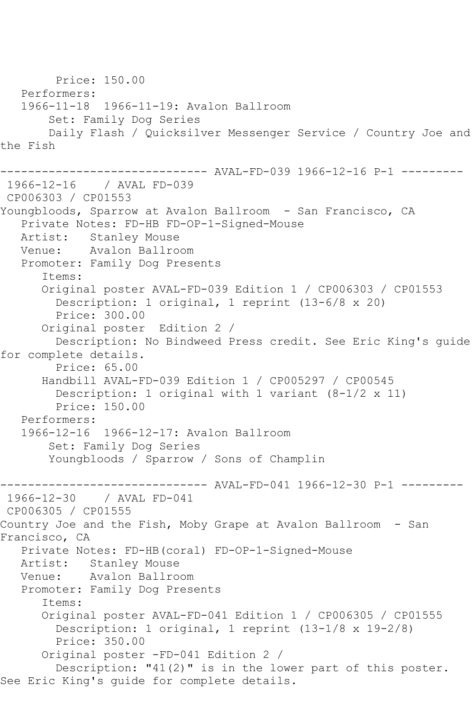Price: 150.00 Performers: 1966-11-18 1966-11-19: Avalon Ballroom Set: Family Dog Series Daily Flash / Quicksilver Messenger Service / Country Joe and the Fish ------------------------------ AVAL-FD-039 1966-12-16 P-1 --------- 1966-12-16 / AVAL FD-039 CP006303 / CP01553 Youngbloods, Sparrow at Avalon Ballroom - San Francisco, CA Private Notes: FD-HB FD-OP-1-Signed-Mouse Artist: Stanley Mouse Venue: Avalon Ballroom Promoter: Family Dog Presents Items: Original poster AVAL-FD-039 Edition 1 / CP006303 / CP01553 Description: 1 original, 1 reprint (13-6/8 x 20) Price: 300.00 Original poster Edition 2 / Description: No Bindweed Press credit. See Eric King's guide for complete details. Price: 65.00 Handbill AVAL-FD-039 Edition 1 / CP005297 / CP00545 Description: 1 original with 1 variant (8-1/2 x 11) Price: 150.00 Performers: 1966-12-16 1966-12-17: Avalon Ballroom Set: Family Dog Series Youngbloods / Sparrow / Sons of Champlin ------------------------------ AVAL-FD-041 1966-12-30 P-1 --------- 1966-12-30 / AVAL FD-041 CP006305 / CP01555 Country Joe and the Fish, Moby Grape at Avalon Ballroom - San Francisco, CA Private Notes: FD-HB(coral) FD-OP-1-Signed-Mouse Artist: Stanley Mouse Venue: Avalon Ballroom Promoter: Family Dog Presents Items: Original poster AVAL-FD-041 Edition 1 / CP006305 / CP01555 Description: 1 original, 1 reprint (13-1/8 x 19-2/8) Price: 350.00 Original poster -FD-041 Edition 2 / Description: "41(2)" is in the lower part of this poster. See Eric King's guide for complete details.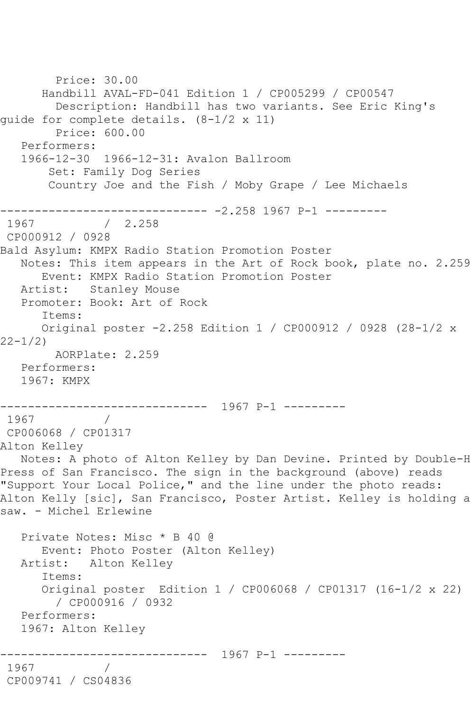Price: 30.00 Handbill AVAL-FD-041 Edition 1 / CP005299 / CP00547 Description: Handbill has two variants. See Eric King's guide for complete details. (8-1/2 x 11) Price: 600.00 Performers: 1966-12-30 1966-12-31: Avalon Ballroom Set: Family Dog Series Country Joe and the Fish / Moby Grape / Lee Michaels ------------------------------ -2.258 1967 P-1 --------- 1967 / 2.258 CP000912 / 0928 Bald Asylum: KMPX Radio Station Promotion Poster Notes: This item appears in the Art of Rock book, plate no. 2.259 Event: KMPX Radio Station Promotion Poster Artist: Stanley Mouse Promoter: Book: Art of Rock Items: Original poster -2.258 Edition 1 / CP000912 / 0928 (28-1/2 x 22-1/2) AORPlate: 2.259 Performers: 1967: KMPX ------------------------------ 1967 P-1 --------- 1967 / 1970 CP006068 / CP01317 Alton Kelley Notes: A photo of Alton Kelley by Dan Devine. Printed by Double-H Press of San Francisco. The sign in the background (above) reads "Support Your Local Police," and the line under the photo reads: Alton Kelly [sic], San Francisco, Poster Artist. Kelley is holding a saw. - Michel Erlewine Private Notes: Misc \* B 40 @ Event: Photo Poster (Alton Kelley) Artist: Alton Kelley Items: Original poster Edition 1 / CP006068 / CP01317 (16-1/2 x 22) / CP000916 / 0932 Performers: 1967: Alton Kelley ------------------------------ 1967 P-1 --------- 1967 / CP009741 / CS04836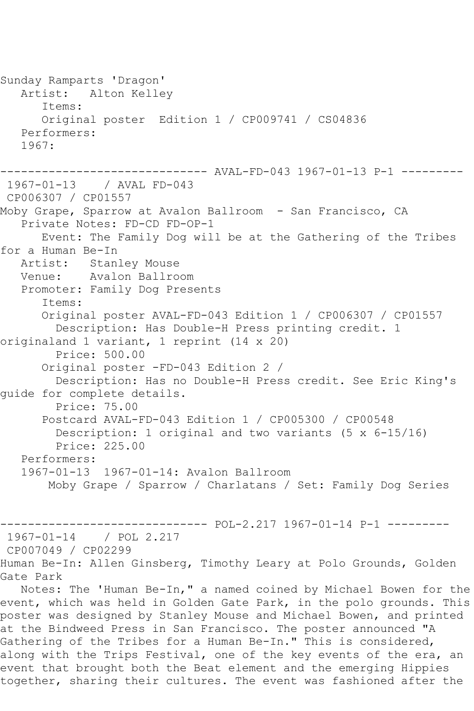Sunday Ramparts 'Dragon' Artist: Alton Kelley Items: Original poster Edition 1 / CP009741 / CS04836 Performers: 1967: ------------------------------ AVAL-FD-043 1967-01-13 P-1 --------- 1967-01-13 / AVAL FD-043 CP006307 / CP01557 Moby Grape, Sparrow at Avalon Ballroom - San Francisco, CA Private Notes: FD-CD FD-OP-1 Event: The Family Dog will be at the Gathering of the Tribes for a Human Be-In Artist: Stanley Mouse Venue: Avalon Ballroom Promoter: Family Dog Presents Items: Original poster AVAL-FD-043 Edition 1 / CP006307 / CP01557 Description: Has Double-H Press printing credit. 1 originaland 1 variant, 1 reprint (14 x 20) Price: 500.00 Original poster -FD-043 Edition 2 / Description: Has no Double-H Press credit. See Eric King's guide for complete details. Price: 75.00 Postcard AVAL-FD-043 Edition 1 / CP005300 / CP00548 Description: 1 original and two variants (5 x 6-15/16) Price: 225.00 Performers: 1967-01-13 1967-01-14: Avalon Ballroom Moby Grape / Sparrow / Charlatans / Set: Family Dog Series ------------------------------ POL-2.217 1967-01-14 P-1 --------- 1967-01-14 / POL 2.217 CP007049 / CP02299 Human Be-In: Allen Ginsberg, Timothy Leary at Polo Grounds, Golden Gate Park Notes: The 'Human Be-In," a named coined by Michael Bowen for the event, which was held in Golden Gate Park, in the polo grounds. This poster was designed by Stanley Mouse and Michael Bowen, and printed at the Bindweed Press in San Francisco. The poster announced "A Gathering of the Tribes for a Human Be-In." This is considered, along with the Trips Festival, one of the key events of the era, an event that brought both the Beat element and the emerging Hippies

together, sharing their cultures. The event was fashioned after the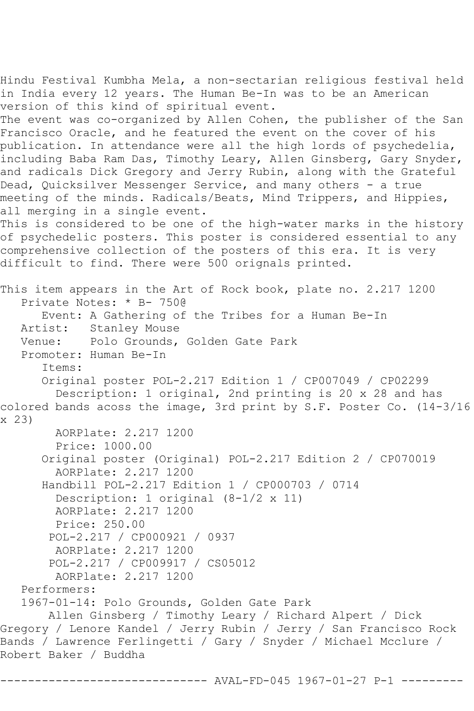Hindu Festival Kumbha Mela, a non-sectarian religious festival held in India every 12 years. The Human Be-In was to be an American version of this kind of spiritual event. The event was co-organized by Allen Cohen, the publisher of the San Francisco Oracle, and he featured the event on the cover of his publication. In attendance were all the high lords of psychedelia, including Baba Ram Das, Timothy Leary, Allen Ginsberg, Gary Snyder, and radicals Dick Gregory and Jerry Rubin, along with the Grateful Dead, Quicksilver Messenger Service, and many others - a true meeting of the minds. Radicals/Beats, Mind Trippers, and Hippies, all merging in a single event. This is considered to be one of the high-water marks in the history of psychedelic posters. This poster is considered essential to any comprehensive collection of the posters of this era. It is very difficult to find. There were 500 orignals printed. This item appears in the Art of Rock book, plate no. 2.217 1200 Private Notes: \* B- 750@ Event: A Gathering of the Tribes for a Human Be-In Artist: Stanley Mouse Venue: Polo Grounds, Golden Gate Park Promoter: Human Be-In Items: Original poster POL-2.217 Edition 1 / CP007049 / CP02299 Description: 1 original, 2nd printing is 20 x 28 and has colored bands acoss the image, 3rd print by S.F. Poster Co. (14-3/16 x 23) AORPlate: 2.217 1200 Price: 1000.00 Original poster (Original) POL-2.217 Edition 2 / CP070019 AORPlate: 2.217 1200 Handbill POL-2.217 Edition 1 / CP000703 / 0714 Description: 1 original (8-1/2 x 11) AORPlate: 2.217 1200 Price: 250.00 POL-2.217 / CP000921 / 0937 AORPlate: 2.217 1200 POL-2.217 / CP009917 / CS05012 AORPlate: 2.217 1200 Performers: 1967-01-14: Polo Grounds, Golden Gate Park Allen Ginsberg / Timothy Leary / Richard Alpert / Dick Gregory / Lenore Kandel / Jerry Rubin / Jerry / San Francisco Rock Bands / Lawrence Ferlingetti / Gary / Snyder / Michael Mcclure / Robert Baker / Buddha ------------------------------ AVAL-FD-045 1967-01-27 P-1 ---------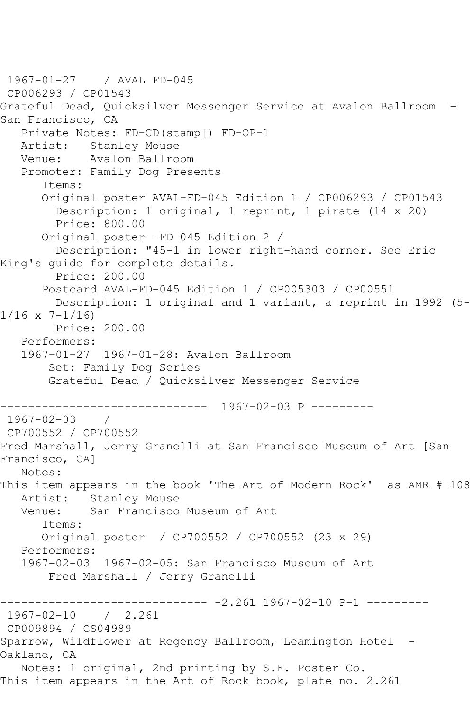1967-01-27 / AVAL FD-045 CP006293 / CP01543 Grateful Dead, Quicksilver Messenger Service at Avalon Ballroom - San Francisco, CA Private Notes: FD-CD(stamp[) FD-OP-1<br>Artist: Stanley Mouse Stanley Mouse Venue: Avalon Ballroom Promoter: Family Dog Presents Items: Original poster AVAL-FD-045 Edition 1 / CP006293 / CP01543 Description: 1 original, 1 reprint, 1 pirate (14 x 20) Price: 800.00 Original poster -FD-045 Edition 2 / Description: "45-1 in lower right-hand corner. See Eric King's guide for complete details. Price: 200.00 Postcard AVAL-FD-045 Edition 1 / CP005303 / CP00551 Description: 1 original and 1 variant, a reprint in 1992 (5-  $1/16 \times 7 - 1/16$  Price: 200.00 Performers: 1967-01-27 1967-01-28: Avalon Ballroom Set: Family Dog Series Grateful Dead / Quicksilver Messenger Service ------------------------------ 1967-02-03 P --------- 1967-02-03 / CP700552 / CP700552 Fred Marshall, Jerry Granelli at San Francisco Museum of Art [San Francisco, CA] Notes: This item appears in the book 'The Art of Modern Rock' as AMR # 108 Artist: Stanley Mouse<br>Venue: San Francisco San Francisco Museum of Art Items: Original poster / CP700552 / CP700552 (23 x 29) Performers:<br>1967-02-03 1967-02-05: San Francisco Museum of Art Fred Marshall / Jerry Granelli ---------------- -2.261 1967-02-10 P-1 ----------<br>/ 2.261 1967-02-10 CP009894 / CS04989 Sparrow, Wildflower at Regency Ballroom, Leamington Hotel - Oakland, CA Notes: 1 original, 2nd printing by S.F. Poster Co. This item appears in the Art of Rock book, plate no. 2.261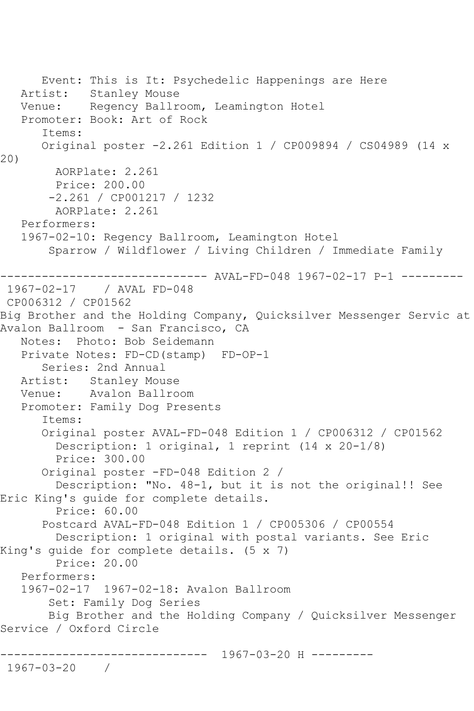Event: This is It: Psychedelic Happenings are Here Artist: Stanley Mouse<br>Venue: Regency Ballr Regency Ballroom, Leamington Hotel Promoter: Book: Art of Rock Items: Original poster -2.261 Edition 1 / CP009894 / CS04989 (14 x 20) AORPlate: 2.261 Price: 200.00 -2.261 / CP001217 / 1232 AORPlate: 2.261 Performers: 1967-02-10: Regency Ballroom, Leamington Hotel Sparrow / Wildflower / Living Children / Immediate Family ------------------------------ AVAL-FD-048 1967-02-17 P-1 --------- 1967-02-17 / AVAL FD-048 CP006312 / CP01562 Big Brother and the Holding Company, Quicksilver Messenger Servic at Avalon Ballroom - San Francisco, CA Notes: Photo: Bob Seidemann Private Notes: FD-CD(stamp) FD-OP-1 Series: 2nd Annual Artist: Stanley Mouse Venue: Avalon Ballroom Promoter: Family Dog Presents Items: Original poster AVAL-FD-048 Edition 1 / CP006312 / CP01562 Description: 1 original, 1 reprint (14 x 20-1/8) Price: 300.00 Original poster -FD-048 Edition 2 / Description: "No. 48-1, but it is not the original!! See Eric King's guide for complete details. Price: 60.00 Postcard AVAL-FD-048 Edition 1 / CP005306 / CP00554 Description: 1 original with postal variants. See Eric King's guide for complete details. (5 x 7) Price: 20.00 Performers: 1967-02-17 1967-02-18: Avalon Ballroom Set: Family Dog Series Big Brother and the Holding Company / Quicksilver Messenger Service / Oxford Circle ------------------------------ 1967-03-20 H --------- 1967-03-20 /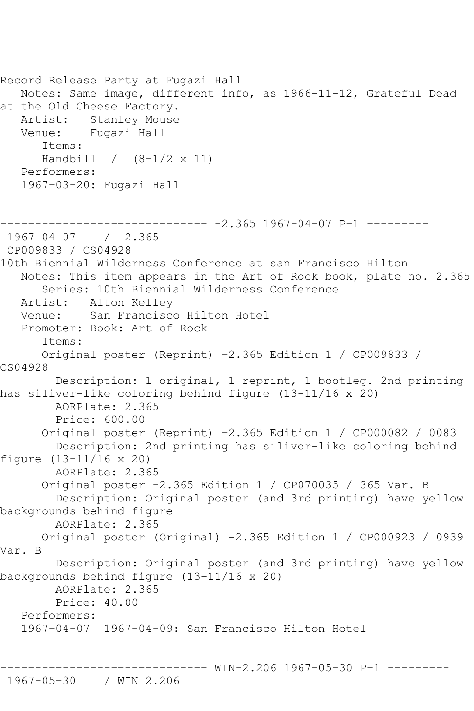Record Release Party at Fugazi Hall Notes: Same image, different info, as 1966-11-12, Grateful Dead at the Old Cheese Factory. Artist: Stanley Mouse<br>Venue: Fugazi Hall Fugazi Hall Items: Handbill / (8-1/2 x 11) Performers: 1967-03-20: Fugazi Hall ------------------------------ -2.365 1967-04-07 P-1 --------- 1967-04-07 / 2.365 CP009833 / CS04928 10th Biennial Wilderness Conference at san Francisco Hilton Notes: This item appears in the Art of Rock book, plate no. 2.365 Series: 10th Biennial Wilderness Conference Artist: Alton Kelley<br>Venue: San Francisco San Francisco Hilton Hotel Promoter: Book: Art of Rock Items: Original poster (Reprint) -2.365 Edition 1 / CP009833 / CS04928 Description: 1 original, 1 reprint, 1 bootleg. 2nd printing has siliver-like coloring behind figure (13-11/16 x 20) AORPlate: 2.365 Price: 600.00 Original poster (Reprint) -2.365 Edition 1 / CP000082 / 0083 Description: 2nd printing has siliver-like coloring behind figure (13-11/16 x 20) AORPlate: 2.365 Original poster -2.365 Edition 1 / CP070035 / 365 Var. B Description: Original poster (and 3rd printing) have yellow backgrounds behind figure AORPlate: 2.365 Original poster (Original) -2.365 Edition 1 / CP000923 / 0939 Var. B Description: Original poster (and 3rd printing) have yellow backgrounds behind figure (13-11/16 x 20) AORPlate: 2.365 Price: 40.00 Performers: 1967-04-07 1967-04-09: San Francisco Hilton Hotel

------------------------------ WIN-2.206 1967-05-30 P-1 --------- 1967-05-30 / WIN 2.206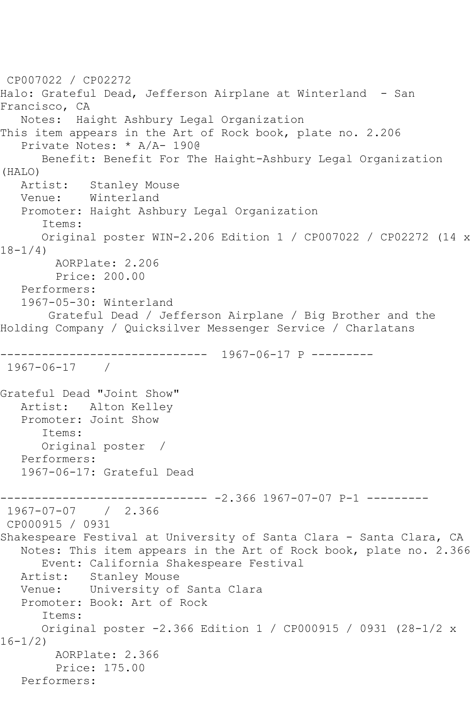```
CP007022 / CP02272
Halo: Grateful Dead, Jefferson Airplane at Winterland - San 
Francisco, CA
   Notes: Haight Ashbury Legal Organization
This item appears in the Art of Rock book, plate no. 2.206
   Private Notes: * A/A- 190@
      Benefit: Benefit For The Haight-Ashbury Legal Organization 
(HALO)
           Stanley Mouse
   Venue: Winterland
   Promoter: Haight Ashbury Legal Organization
       Items:
      Original poster WIN-2.206 Edition 1 / CP007022 / CP02272 (14 x 
18-1/4)
         AORPlate: 2.206 
         Price: 200.00
   Performers:
   1967-05-30: Winterland
        Grateful Dead / Jefferson Airplane / Big Brother and the 
Holding Company / Quicksilver Messenger Service / Charlatans
         ------------------------------ 1967-06-17 P ---------
1967-06-17 / 
Grateful Dead "Joint Show"
   Artist: Alton Kelley
   Promoter: Joint Show
       Items:
      Original poster / 
   Performers:
   1967-06-17: Grateful Dead
------------------------------ -2.366 1967-07-07 P-1 ---------
1967-07-07 / 2.366
CP000915 / 0931
Shakespeare Festival at University of Santa Clara - Santa Clara, CA
   Notes: This item appears in the Art of Rock book, plate no. 2.366
       Event: California Shakespeare Festival
   Artist: Stanley Mouse
   Venue: University of Santa Clara
   Promoter: Book: Art of Rock
       Items:
       Original poster -2.366 Edition 1 / CP000915 / 0931 (28-1/2 x 
16-1/2)
         AORPlate: 2.366 
         Price: 175.00
   Performers:
```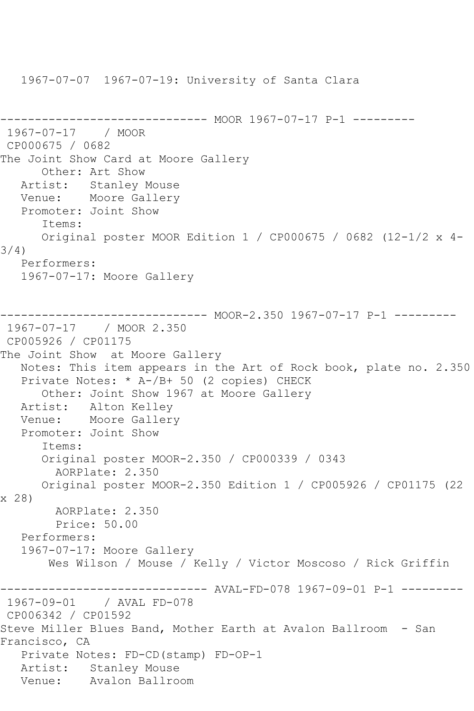1967-07-07 1967-07-19: University of Santa Clara

```
------------------------------ MOOR 1967-07-17 P-1 ---------
1967-07-17 / MOOR 
CP000675 / 0682
The Joint Show Card at Moore Gallery
      Other: Art Show
   Artist: Stanley Mouse
   Venue: Moore Gallery
   Promoter: Joint Show
      Items:
      Original poster MOOR Edition 1 / CP000675 / 0682 (12-1/2 x 4-
3/4)
   Performers:
   1967-07-17: Moore Gallery
                    ---------- MOOR-2.350 1967-07-17 P-1 ---------
1967-07-17 / MOOR 2.350
CP005926 / CP01175
The Joint Show at Moore Gallery
   Notes: This item appears in the Art of Rock book, plate no. 2.350
   Private Notes: * A-/B+ 50 (2 copies) CHECK
      Other: Joint Show 1967 at Moore Gallery
   Artist: Alton Kelley
   Venue: Moore Gallery
   Promoter: Joint Show
      Items:
      Original poster MOOR-2.350 / CP000339 / 0343
        AORPlate: 2.350 
      Original poster MOOR-2.350 Edition 1 / CP005926 / CP01175 (22 
x 28)
        AORPlate: 2.350 
        Price: 50.00
   Performers:
   1967-07-17: Moore Gallery
       Wes Wilson / Mouse / Kelly / Victor Moscoso / Rick Griffin
------------------------------ AVAL-FD-078 1967-09-01 P-1 ---------
1967-09-01 / AVAL FD-078
CP006342 / CP01592
Steve Miller Blues Band, Mother Earth at Avalon Ballroom - San 
Francisco, CA
   Private Notes: FD-CD(stamp) FD-OP-1
   Artist: Stanley Mouse
   Venue: Avalon Ballroom
```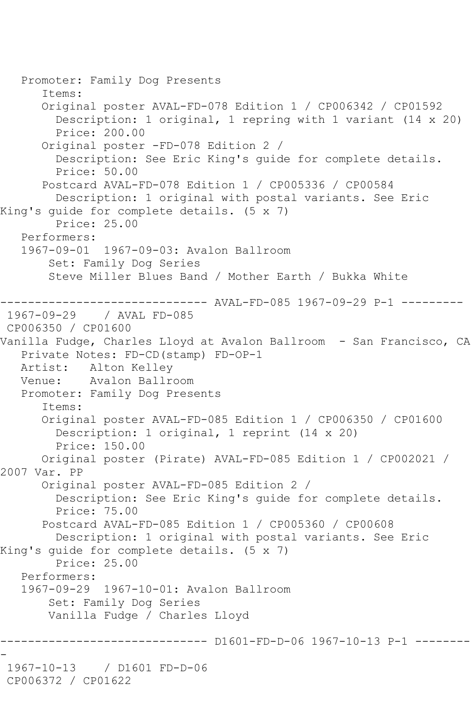```
 Promoter: Family Dog Presents
       Items:
       Original poster AVAL-FD-078 Edition 1 / CP006342 / CP01592
         Description: 1 original, 1 repring with 1 variant (14 x 20)
         Price: 200.00
       Original poster -FD-078 Edition 2 / 
         Description: See Eric King's guide for complete details.
         Price: 50.00
       Postcard AVAL-FD-078 Edition 1 / CP005336 / CP00584
         Description: 1 original with postal variants. See Eric 
King's guide for complete details. (5 x 7)
         Price: 25.00
    Performers:
    1967-09-01 1967-09-03: Avalon Ballroom
        Set: Family Dog Series
        Steve Miller Blues Band / Mother Earth / Bukka White
      ------------------------------ AVAL-FD-085 1967-09-29 P-1 ---------
1967-09-29 / AVAL FD-085
CP006350 / CP01600
Vanilla Fudge, Charles Lloyd at Avalon Ballroom - San Francisco, CA
    Private Notes: FD-CD(stamp) FD-OP-1
   Artist: Alton Kelley
   Venue: Avalon Ballroom
   Promoter: Family Dog Presents
       Items:
       Original poster AVAL-FD-085 Edition 1 / CP006350 / CP01600
         Description: 1 original, 1 reprint (14 x 20)
         Price: 150.00
       Original poster (Pirate) AVAL-FD-085 Edition 1 / CP002021 / 
2007 Var. PP
       Original poster AVAL-FD-085 Edition 2 / 
         Description: See Eric King's guide for complete details.
         Price: 75.00
       Postcard AVAL-FD-085 Edition 1 / CP005360 / CP00608
         Description: 1 original with postal variants. See Eric 
King's guide for complete details. (5 x 7)
         Price: 25.00
   Performers:
    1967-09-29 1967-10-01: Avalon Ballroom
        Set: Family Dog Series
        Vanilla Fudge / Charles Lloyd
                      ------------------------------ D1601-FD-D-06 1967-10-13 P-1 --------
-
1967-10-13 / D1601 FD-D-06
CP006372 / CP01622
```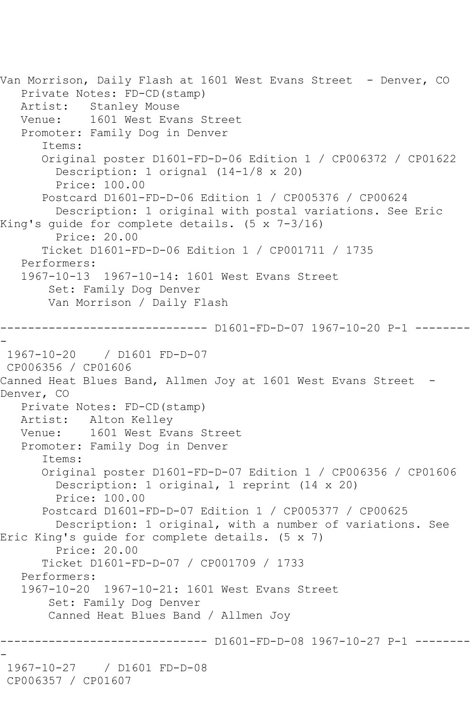```
Van Morrison, Daily Flash at 1601 West Evans Street - Denver, CO
   Private Notes: FD-CD(stamp)
   Artist: Stanley Mouse
   Venue: 1601 West Evans Street
    Promoter: Family Dog in Denver
       Items:
       Original poster D1601-FD-D-06 Edition 1 / CP006372 / CP01622
         Description: 1 orignal (14-1/8 x 20)
         Price: 100.00
       Postcard D1601-FD-D-06 Edition 1 / CP005376 / CP00624
         Description: 1 original with postal variations. See Eric 
King's guide for complete details. (5 x 7-3/16)
         Price: 20.00
       Ticket D1601-FD-D-06 Edition 1 / CP001711 / 1735
    Performers:
    1967-10-13 1967-10-14: 1601 West Evans Street
        Set: Family Dog Denver
        Van Morrison / Daily Flash
                ------------------------------ D1601-FD-D-07 1967-10-20 P-1 --------
-
1967-10-20 / D1601 FD-D-07
CP006356 / CP01606
Canned Heat Blues Band, Allmen Joy at 1601 West Evans Street -
Denver, CO
   Private Notes: FD-CD(stamp)
   Artist: Alton Kelley
   Venue: 1601 West Evans Street
   Promoter: Family Dog in Denver
       Items:
       Original poster D1601-FD-D-07 Edition 1 / CP006356 / CP01606
         Description: 1 original, 1 reprint (14 x 20)
         Price: 100.00
       Postcard D1601-FD-D-07 Edition 1 / CP005377 / CP00625
         Description: 1 original, with a number of variations. See 
Eric King's guide for complete details. (5 x 7)
         Price: 20.00
       Ticket D1601-FD-D-07 / CP001709 / 1733
    Performers:
    1967-10-20 1967-10-21: 1601 West Evans Street
        Set: Family Dog Denver
        Canned Heat Blues Band / Allmen Joy
                      ------------------------------ D1601-FD-D-08 1967-10-27 P-1 --------
-
1967-10-27 / D1601 FD-D-08
CP006357 / CP01607
```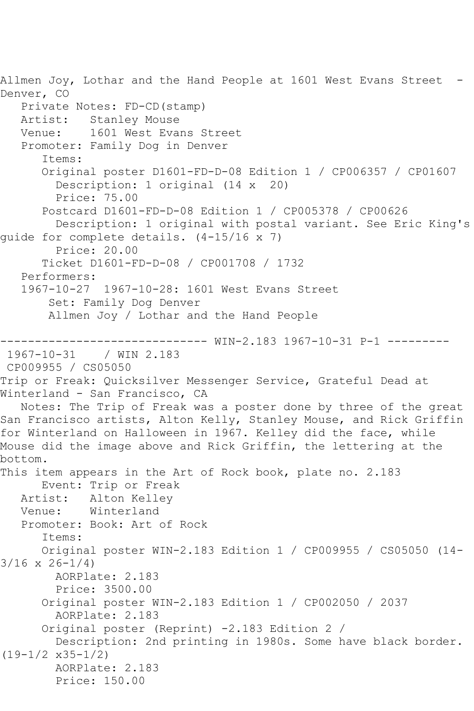Allmen Joy, Lothar and the Hand People at 1601 West Evans Street -Denver, CO Private Notes: FD-CD(stamp) Artist: Stanley Mouse<br>Venue: 1601 West Eva 1601 West Evans Street Promoter: Family Dog in Denver Items: Original poster D1601-FD-D-08 Edition 1 / CP006357 / CP01607 Description: 1 original (14 x 20) Price: 75.00 Postcard D1601-FD-D-08 Edition 1 / CP005378 / CP00626 Description: 1 original with postal variant. See Eric King's guide for complete details. (4-15/16 x 7) Price: 20.00 Ticket D1601-FD-D-08 / CP001708 / 1732 Performers: 1967-10-27 1967-10-28: 1601 West Evans Street Set: Family Dog Denver Allmen Joy / Lothar and the Hand People ------------------------------ WIN-2.183 1967-10-31 P-1 --------- 1967-10-31 / WIN 2.183 CP009955 / CS05050 Trip or Freak: Quicksilver Messenger Service, Grateful Dead at Winterland - San Francisco, CA Notes: The Trip of Freak was a poster done by three of the great San Francisco artists, Alton Kelly, Stanley Mouse, and Rick Griffin for Winterland on Halloween in 1967. Kelley did the face, while Mouse did the image above and Rick Griffin, the lettering at the bottom. This item appears in the Art of Rock book, plate no. 2.183 Event: Trip or Freak Artist: Alton Kelley Venue: Winterland Promoter: Book: Art of Rock Items: Original poster WIN-2.183 Edition 1 / CP009955 / CS05050 (14-  $3/16 \times 26 - 1/4$  AORPlate: 2.183 Price: 3500.00 Original poster WIN-2.183 Edition 1 / CP002050 / 2037 AORPlate: 2.183 Original poster (Reprint) -2.183 Edition 2 / Description: 2nd printing in 1980s. Some have black border. (19-1/2 x35-1/2) AORPlate: 2.183 Price: 150.00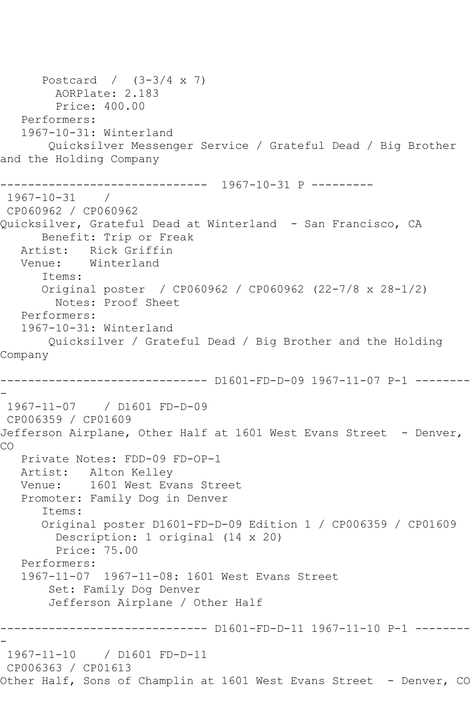```
 Postcard / (3-3/4 x 7)
         AORPlate: 2.183 
         Price: 400.00
   Performers:
   1967-10-31: Winterland
        Quicksilver Messenger Service / Grateful Dead / Big Brother 
and the Holding Company
           ------------------------------ 1967-10-31 P ---------
1967-10-31 / 
CP060962 / CP060962
Quicksilver, Grateful Dead at Winterland - San Francisco, CA
      Benefit: Trip or Freak
   Artist: Rick Griffin
   Venue: Winterland
       Items:
       Original poster / CP060962 / CP060962 (22-7/8 x 28-1/2)
        Notes: Proof Sheet
   Performers:
   1967-10-31: Winterland
       Quicksilver / Grateful Dead / Big Brother and the Holding 
Company
------------------------------ D1601-FD-D-09 1967-11-07 P-1 --------
-
 1967-11-07 / D1601 FD-D-09
CP006359 / CP01609
Jefferson Airplane, Other Half at 1601 West Evans Street - Denver,
CO
   Private Notes: FDD-09 FD-OP-1
   Artist: Alton Kelley
   Venue: 1601 West Evans Street
   Promoter: Family Dog in Denver
       Items:
       Original poster D1601-FD-D-09 Edition 1 / CP006359 / CP01609
         Description: 1 original (14 x 20)
         Price: 75.00
   Performers:
   1967-11-07 1967-11-08: 1601 West Evans Street
        Set: Family Dog Denver
        Jefferson Airplane / Other Half
------------------------------ D1601-FD-D-11 1967-11-10 P-1 --------
-
1967-11-10 / D1601 FD-D-11
CP006363 / CP01613
Other Half, Sons of Champlin at 1601 West Evans Street - Denver, CO
```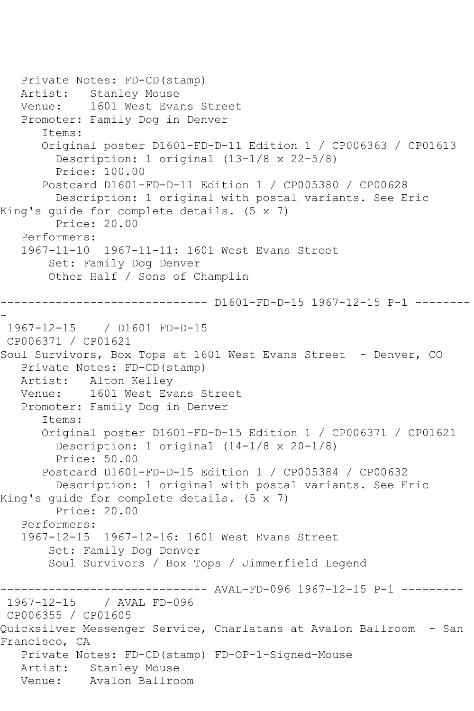Private Notes: FD-CD(stamp) Artist: Stanley Mouse Venue: 1601 West Evans Street Promoter: Family Dog in Denver Items: Original poster D1601-FD-D-11 Edition 1 / CP006363 / CP01613 Description: 1 original (13-1/8 x 22-5/8) Price: 100.00 Postcard D1601-FD-D-11 Edition 1 / CP005380 / CP00628 Description: 1 original with postal variants. See Eric King's guide for complete details. (5 x 7) Price: 20.00 Performers: 1967-11-10 1967-11-11: 1601 West Evans Street Set: Family Dog Denver Other Half / Sons of Champlin ------------------------------ D1601-FD-D-15 1967-12-15 P-1 -------- - 1967-12-15 / D1601 FD-D-15 CP006371 / CP01621 Soul Survivors, Box Tops at 1601 West Evans Street - Denver, CO Private Notes: FD-CD(stamp) Artist: Alton Kelley Venue: 1601 West Evans Street Promoter: Family Dog in Denver Items: Original poster D1601-FD-D-15 Edition 1 / CP006371 / CP01621 Description: 1 original (14-1/8 x 20-1/8) Price: 50.00 Postcard D1601-FD-D-15 Edition 1 / CP005384 / CP00632 Description: 1 original with postal variants. See Eric King's guide for complete details. (5 x 7) Price: 20.00 Performers: 1967-12-15 1967-12-16: 1601 West Evans Street Set: Family Dog Denver Soul Survivors / Box Tops / Jimmerfield Legend ------------------------------ AVAL-FD-096 1967-12-15 P-1 --------- 1967-12-15 / AVAL FD-096 CP006355 / CP01605 Quicksilver Messenger Service, Charlatans at Avalon Ballroom - San Francisco, CA Private Notes: FD-CD(stamp) FD-OP-1-Signed-Mouse Artist: Stanley Mouse<br>Venue: Avalon Ballro Avalon Ballroom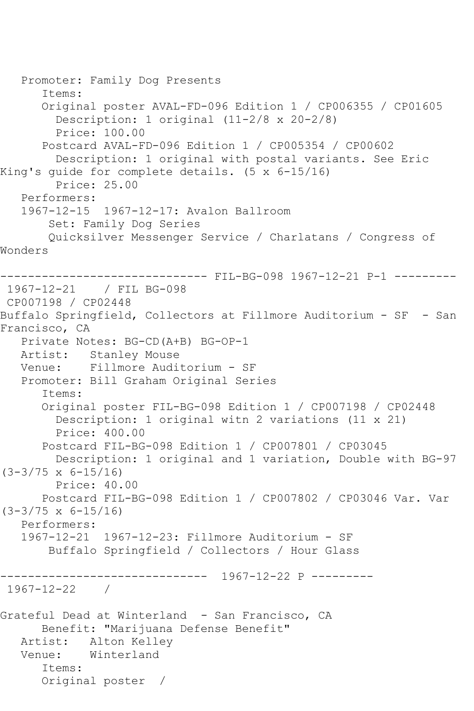```
 Promoter: Family Dog Presents
       Items:
       Original poster AVAL-FD-096 Edition 1 / CP006355 / CP01605
         Description: 1 original (11-2/8 x 20-2/8)
         Price: 100.00
       Postcard AVAL-FD-096 Edition 1 / CP005354 / CP00602
         Description: 1 original with postal variants. See Eric 
King's guide for complete details. (5 x 6-15/16)
         Price: 25.00
   Performers:
   1967-12-15 1967-12-17: Avalon Ballroom
        Set: Family Dog Series
        Quicksilver Messenger Service / Charlatans / Congress of 
Wonders
                 ------------------------------ FIL-BG-098 1967-12-21 P-1 ---------
1967-12-21 / FIL BG-098
CP007198 / CP02448
Buffalo Springfield, Collectors at Fillmore Auditorium - SF - San 
Francisco, CA
   Private Notes: BG-CD(A+B) BG-OP-1
   Artist: Stanley Mouse
   Venue: Fillmore Auditorium - SF
   Promoter: Bill Graham Original Series
       Items:
       Original poster FIL-BG-098 Edition 1 / CP007198 / CP02448
         Description: 1 original witn 2 variations (11 x 21)
         Price: 400.00
       Postcard FIL-BG-098 Edition 1 / CP007801 / CP03045
         Description: 1 original and 1 variation, Double with BG-97 
(3-3/75 x 6-15/16)
         Price: 40.00
       Postcard FIL-BG-098 Edition 1 / CP007802 / CP03046 Var. Var 
(3-3/75 x 6-15/16)
   Performers:
   1967-12-21 1967-12-23: Fillmore Auditorium - SF
        Buffalo Springfield / Collectors / Hour Glass
     ------------------------------ 1967-12-22 P ---------
1967-12-22 / 
Grateful Dead at Winterland - San Francisco, CA
      Benefit: "Marijuana Defense Benefit"
   Artist: Alton Kelley
   Venue: Winterland
       Items:
       Original poster /
```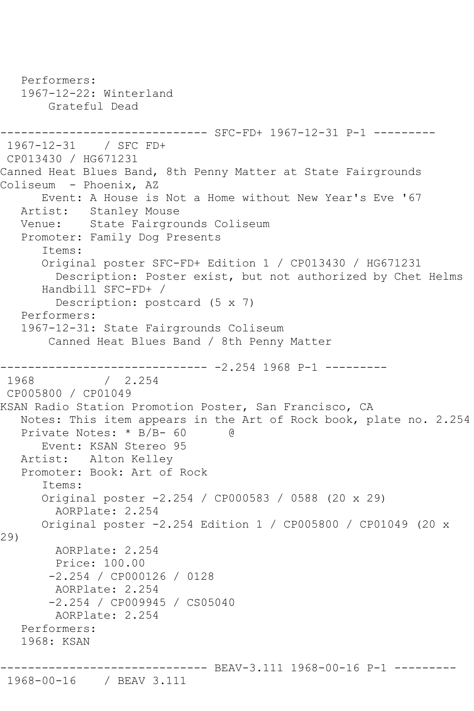```
 Performers:
   1967-12-22: Winterland
        Grateful Dead
------------------------------ SFC-FD+ 1967-12-31 P-1 ---------
1967-12-31 / SFC FD+
CP013430 / HG671231
Canned Heat Blues Band, 8th Penny Matter at State Fairgrounds 
Coliseum - Phoenix, AZ
   Event: A House is Not a Home without New Year's Eve '67
           Stanley Mouse
   Venue: State Fairgrounds Coliseum
   Promoter: Family Dog Presents
       Items:
       Original poster SFC-FD+ Edition 1 / CP013430 / HG671231
         Description: Poster exist, but not authorized by Chet Helms
       Handbill SFC-FD+ / 
         Description: postcard (5 x 7)
   Performers:
   1967-12-31: State Fairgrounds Coliseum
        Canned Heat Blues Band / 8th Penny Matter
------------------------------ -2.254 1968 P-1 ---------
              / 2.254CP005800 / CP01049
KSAN Radio Station Promotion Poster, San Francisco, CA
   Notes: This item appears in the Art of Rock book, plate no. 2.254
  Private Notes: * B/B- 60 @
      Event: KSAN Stereo 95
   Artist: Alton Kelley
   Promoter: Book: Art of Rock
       Items:
       Original poster -2.254 / CP000583 / 0588 (20 x 29)
         AORPlate: 2.254 
      Original poster -2.254 Edition 1 / CP005800 / CP01049 (20 x 
29)
        AORPlate: 2.254 
         Price: 100.00
        -2.254 / CP000126 / 0128
        AORPlate: 2.254 
        -2.254 / CP009945 / CS05040
        AORPlate: 2.254 
   Performers:
   1968: KSAN
              ------------------------------ BEAV-3.111 1968-00-16 P-1 ---------
1968-00-16 / BEAV 3.111
```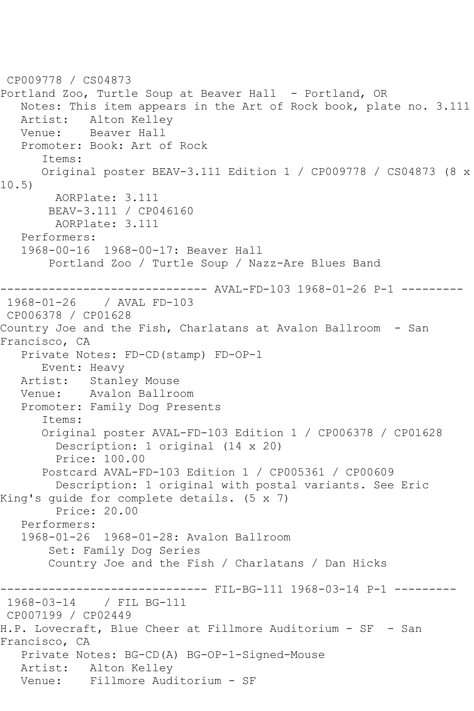CP009778 / CS04873 Portland Zoo, Turtle Soup at Beaver Hall - Portland, OR Notes: This item appears in the Art of Rock book, plate no. 3.111 Artist: Alton Kelley<br>Venue: Beaver Hall Beaver Hall Promoter: Book: Art of Rock Items: Original poster BEAV-3.111 Edition 1 / CP009778 / CS04873 (8 x 10.5) AORPlate: 3.111 BEAV-3.111 / CP046160 AORPlate: 3.111 Performers: 1968-00-16 1968-00-17: Beaver Hall Portland Zoo / Turtle Soup / Nazz-Are Blues Band ------------------------------ AVAL-FD-103 1968-01-26 P-1 --------- 1968-01-26 / AVAL FD-103 CP006378 / CP01628 Country Joe and the Fish, Charlatans at Avalon Ballroom - San Francisco, CA Private Notes: FD-CD(stamp) FD-OP-1 Event: Heavy<br>Artist: Stanle Stanley Mouse Venue: Avalon Ballroom Promoter: Family Dog Presents Items: Original poster AVAL-FD-103 Edition 1 / CP006378 / CP01628 Description: 1 original (14 x 20) Price: 100.00 Postcard AVAL-FD-103 Edition 1 / CP005361 / CP00609 Description: 1 original with postal variants. See Eric King's guide for complete details. (5 x 7) Price: 20.00 Performers: 1968-01-26 1968-01-28: Avalon Ballroom Set: Family Dog Series Country Joe and the Fish / Charlatans / Dan Hicks ------------------------------ FIL-BG-111 1968-03-14 P-1 --------- 1968-03-14 / FIL BG-111 CP007199 / CP02449 H.P. Lovecraft, Blue Cheer at Fillmore Auditorium - SF - San Francisco, CA Private Notes: BG-CD(A) BG-OP-1-Signed-Mouse Artist: Alton Kelley Venue: Fillmore Auditorium - SF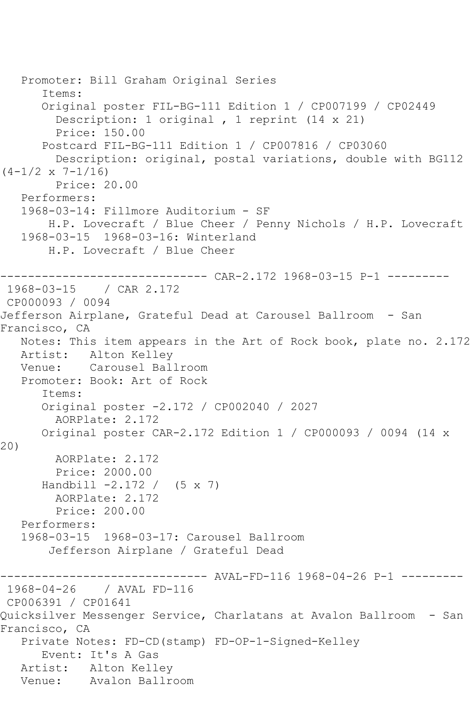```
 Promoter: Bill Graham Original Series
       Items:
       Original poster FIL-BG-111 Edition 1 / CP007199 / CP02449
         Description: 1 original , 1 reprint (14 x 21)
         Price: 150.00
       Postcard FIL-BG-111 Edition 1 / CP007816 / CP03060
         Description: original, postal variations, double with BG112 
(4-1/2 \times 7-1/16) Price: 20.00
   Performers:
   1968-03-14: Fillmore Auditorium - SF
        H.P. Lovecraft / Blue Cheer / Penny Nichols / H.P. Lovecraft
   1968-03-15 1968-03-16: Winterland
        H.P. Lovecraft / Blue Cheer
                ------------------------------ CAR-2.172 1968-03-15 P-1 ---------
1968-03-15 / CAR 2.172
CP000093 / 0094
Jefferson Airplane, Grateful Dead at Carousel Ballroom - San 
Francisco, CA
   Notes: This item appears in the Art of Rock book, plate no. 2.172
   Artist: Alton Kelley
   Venue: Carousel Ballroom
   Promoter: Book: Art of Rock
       Items:
      Original poster -2.172 / CP002040 / 2027
         AORPlate: 2.172 
      Original poster CAR-2.172 Edition 1 / CP000093 / 0094 (14 x 
20)
        AORPlate: 2.172 
        Price: 2000.00
      Handbill -2.172 / (5 x 7) AORPlate: 2.172 
        Price: 200.00
   Performers:
   1968-03-15 1968-03-17: Carousel Ballroom
        Jefferson Airplane / Grateful Dead
------------------------------ AVAL-FD-116 1968-04-26 P-1 ---------
1968-04-26 / AVAL FD-116
CP006391 / CP01641
Quicksilver Messenger Service, Charlatans at Avalon Ballroom - San 
Francisco, CA
   Private Notes: FD-CD(stamp) FD-OP-1-Signed-Kelley
      Event: It's A Gas
   Artist: Alton Kelley
   Venue: Avalon Ballroom
```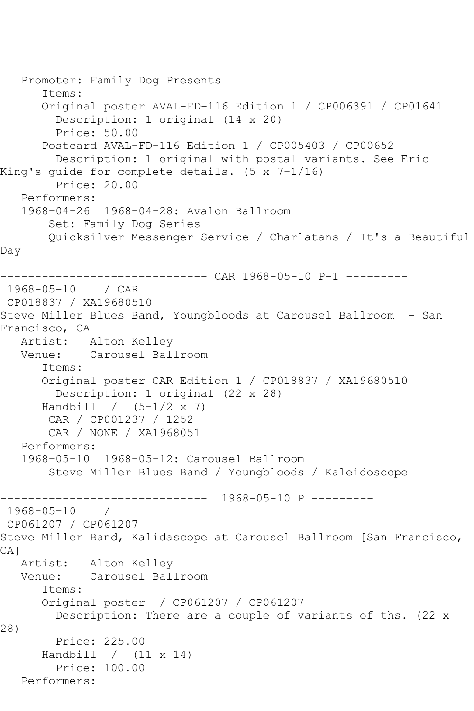```
 Promoter: Family Dog Presents
       Items:
       Original poster AVAL-FD-116 Edition 1 / CP006391 / CP01641
         Description: 1 original (14 x 20)
         Price: 50.00
       Postcard AVAL-FD-116 Edition 1 / CP005403 / CP00652
         Description: 1 original with postal variants. See Eric 
King's guide for complete details. (5 x 7-1/16)
         Price: 20.00
    Performers:
    1968-04-26 1968-04-28: Avalon Ballroom
        Set: Family Dog Series
        Quicksilver Messenger Service / Charlatans / It's a Beautiful 
Day
           ------------------------------ CAR 1968-05-10 P-1 ---------
1968-05-10 / CAR 
CP018837 / XA19680510
Steve Miller Blues Band, Youngbloods at Carousel Ballroom - San 
Francisco, CA
    Artist: Alton Kelley
   Venue: Carousel Ballroom
       Items:
       Original poster CAR Edition 1 / CP018837 / XA19680510
         Description: 1 original (22 x 28)
      Handbill / (5-1/2 x 7)
        CAR / CP001237 / 1252
        CAR / NONE / XA1968051
    Performers:
    1968-05-10 1968-05-12: Carousel Ballroom
        Steve Miller Blues Band / Youngbloods / Kaleidoscope
      ------------------------------ 1968-05-10 P ---------
1968 - 05 - 10CP061207 / CP061207
Steve Miller Band, Kalidascope at Carousel Ballroom [San Francisco, 
CA<sub>1</sub>
   Artist: Alton Kelley
   Venue: Carousel Ballroom
       Items:
       Original poster / CP061207 / CP061207
         Description: There are a couple of variants of ths. (22 x 
28)
         Price: 225.00
       Handbill / (11 x 14)
         Price: 100.00
   Performers:
```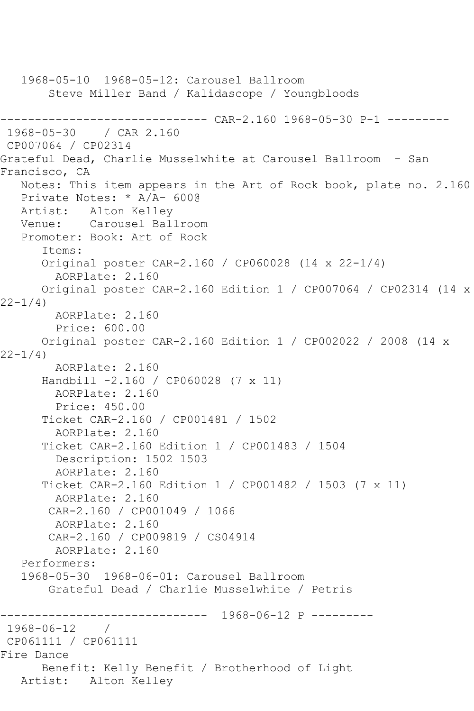```
 1968-05-10 1968-05-12: Carousel Ballroom
        Steve Miller Band / Kalidascope / Youngbloods
------------------------------ CAR-2.160 1968-05-30 P-1 ---------
               / CAR 2.160
CP007064 / CP02314
Grateful Dead, Charlie Musselwhite at Carousel Ballroom - San 
Francisco, CA
   Notes: This item appears in the Art of Rock book, plate no. 2.160
   Private Notes: * A/A- 600@
 Artist: Alton Kelley
 Venue: Carousel Ballroom
    Promoter: Book: Art of Rock
       Items:
       Original poster CAR-2.160 / CP060028 (14 x 22-1/4)
         AORPlate: 2.160 
       Original poster CAR-2.160 Edition 1 / CP007064 / CP02314 (14 x 
22-1/4)
         AORPlate: 2.160 
         Price: 600.00
       Original poster CAR-2.160 Edition 1 / CP002022 / 2008 (14 x 
22 - 1/4)
         AORPlate: 2.160 
       Handbill -2.160 / CP060028 (7 x 11)
         AORPlate: 2.160 
         Price: 450.00
       Ticket CAR-2.160 / CP001481 / 1502
         AORPlate: 2.160 
       Ticket CAR-2.160 Edition 1 / CP001483 / 1504
         Description: 1502 1503
         AORPlate: 2.160 
       Ticket CAR-2.160 Edition 1 / CP001482 / 1503 (7 x 11)
         AORPlate: 2.160 
        CAR-2.160 / CP001049 / 1066
         AORPlate: 2.160 
        CAR-2.160 / CP009819 / CS04914
         AORPlate: 2.160 
    Performers:
    1968-05-30 1968-06-01: Carousel Ballroom
        Grateful Dead / Charlie Musselwhite / Petris
                  ------------------------------ 1968-06-12 P ---------
1968-06-12 / 
CP061111 / CP061111
Fire Dance
       Benefit: Kelly Benefit / Brotherhood of Light
   Artist: Alton Kelley
```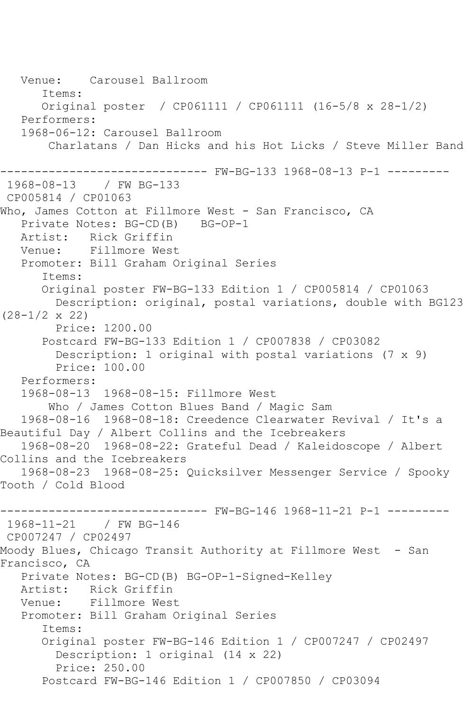Venue: Carousel Ballroom Items: Original poster / CP061111 / CP061111 (16-5/8 x 28-1/2) Performers: 1968-06-12: Carousel Ballroom Charlatans / Dan Hicks and his Hot Licks / Steve Miller Band ------------------------------ FW-BG-133 1968-08-13 P-1 --------- 1968-08-13 / FW BG-133 CP005814 / CP01063 Who, James Cotton at Fillmore West - San Francisco, CA<br>Private Notes: BG-CD(B) BG-OP-1 Private Notes: BG-CD(B) Artist: Rick Griffin Venue: Fillmore West Promoter: Bill Graham Original Series Items: Original poster FW-BG-133 Edition 1 / CP005814 / CP01063 Description: original, postal variations, double with BG123 (28-1/2 x 22) Price: 1200.00 Postcard FW-BG-133 Edition 1 / CP007838 / CP03082 Description: 1 original with postal variations (7 x 9) Price: 100.00 Performers: 1968-08-13 1968-08-15: Fillmore West Who / James Cotton Blues Band / Magic Sam 1968-08-16 1968-08-18: Creedence Clearwater Revival / It's a Beautiful Day / Albert Collins and the Icebreakers 1968-08-20 1968-08-22: Grateful Dead / Kaleidoscope / Albert Collins and the Icebreakers 1968-08-23 1968-08-25: Quicksilver Messenger Service / Spooky Tooth / Cold Blood ------------------------------ FW-BG-146 1968-11-21 P-1 --------- 1968-11-21 / FW BG-146 CP007247 / CP02497 Moody Blues, Chicago Transit Authority at Fillmore West - San Francisco, CA Private Notes: BG-CD(B) BG-OP-1-Signed-Kelley Artist: Rick Griffin Venue: Fillmore West Promoter: Bill Graham Original Series Items: Original poster FW-BG-146 Edition 1 / CP007247 / CP02497 Description: 1 original (14 x 22) Price: 250.00 Postcard FW-BG-146 Edition 1 / CP007850 / CP03094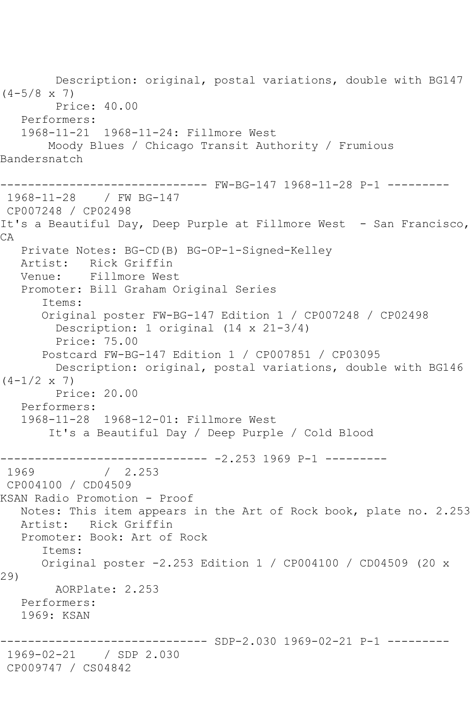Description: original, postal variations, double with BG147  $(4-5/8 \times 7)$  Price: 40.00 Performers: 1968-11-21 1968-11-24: Fillmore West Moody Blues / Chicago Transit Authority / Frumious Bandersnatch ------------------------------ FW-BG-147 1968-11-28 P-1 --------- 1968-11-28 / FW BG-147 CP007248 / CP02498 It's a Beautiful Day, Deep Purple at Fillmore West - San Francisco, CA Private Notes: BG-CD(B) BG-OP-1-Signed-Kelley Artist: Rick Griffin Venue: Fillmore West Promoter: Bill Graham Original Series Items: Original poster FW-BG-147 Edition 1 / CP007248 / CP02498 Description: 1 original (14 x 21-3/4) Price: 75.00 Postcard FW-BG-147 Edition 1 / CP007851 / CP03095 Description: original, postal variations, double with BG146  $(4-1/2 \times 7)$  Price: 20.00 Performers: 1968-11-28 1968-12-01: Fillmore West It's a Beautiful Day / Deep Purple / Cold Blood ------------------------------ -2.253 1969 P-1 ---------  $/ 2.253$ CP004100 / CD04509 KSAN Radio Promotion - Proof Notes: This item appears in the Art of Rock book, plate no. 2.253 Artist: Rick Griffin Promoter: Book: Art of Rock Items: Original poster -2.253 Edition 1 / CP004100 / CD04509 (20 x 29) AORPlate: 2.253 Performers: 1969: KSAN ------------ SDP-2.030 1969-02-21 P-1 ---------1969-02-21 / SDP 2.030 CP009747 / CS04842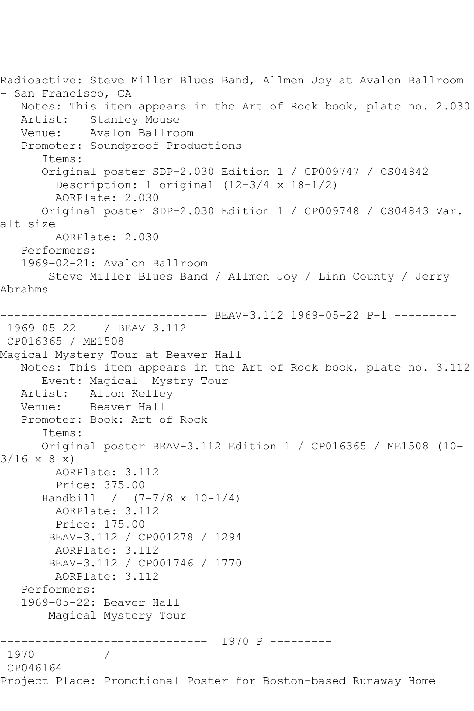Radioactive: Steve Miller Blues Band, Allmen Joy at Avalon Ballroom - San Francisco, CA Notes: This item appears in the Art of Rock book, plate no. 2.030 Artist: Stanley Mouse<br>Venue: Avalon Ballro Avalon Ballroom Promoter: Soundproof Productions Items: Original poster SDP-2.030 Edition 1 / CP009747 / CS04842 Description: 1 original (12-3/4 x 18-1/2) AORPlate: 2.030 Original poster SDP-2.030 Edition 1 / CP009748 / CS04843 Var. alt size AORPlate: 2.030 Performers: 1969-02-21: Avalon Ballroom Steve Miller Blues Band / Allmen Joy / Linn County / Jerry Abrahms --------- BEAV-3.112 1969-05-22 P-1 ---------1969-05-22 / BEAV 3.112 CP016365 / ME1508 Magical Mystery Tour at Beaver Hall Notes: This item appears in the Art of Rock book, plate no. 3.112 Event: Magical Mystry Tour Artist: Alton Kelley<br>Venue: Beaver Hall Beaver Hall Promoter: Book: Art of Rock Items: Original poster BEAV-3.112 Edition 1 / CP016365 / ME1508 (10-  $3/16 \times 8 \times$  AORPlate: 3.112 Price: 375.00 Handbill /  $(7-7/8 \times 10-1/4)$  AORPlate: 3.112 Price: 175.00 BEAV-3.112 / CP001278 / 1294 AORPlate: 3.112 BEAV-3.112 / CP001746 / 1770 AORPlate: 3.112 Performers: 1969-05-22: Beaver Hall Magical Mystery Tour ------------------------------ 1970 P --------- 1970 / CP046164 Project Place: Promotional Poster for Boston-based Runaway Home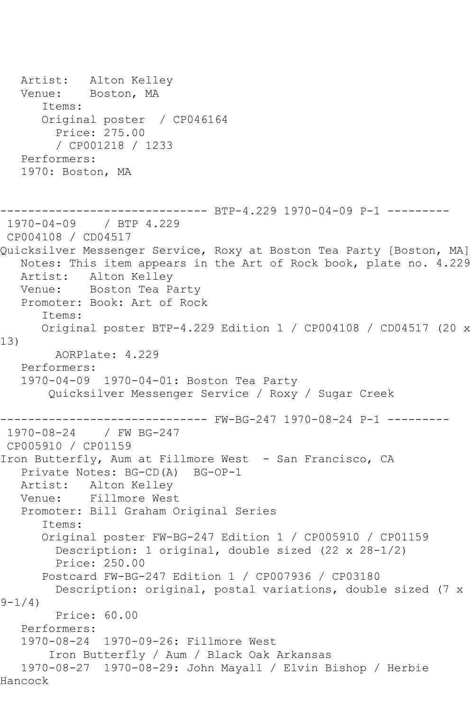Artist: Alton Kelley Venue: Boston, MA Items: Original poster / CP046164 Price: 275.00 / CP001218 / 1233 Performers: 1970: Boston, MA ------------------------------ BTP-4.229 1970-04-09 P-1 --------- 1970-04-09 / BTP 4.229 CP004108 / CD04517 Quicksilver Messenger Service, Roxy at Boston Tea Party [Boston, MA] Notes: This item appears in the Art of Rock book, plate no. 4.229 Artist: Alton Kelley Venue: Boston Tea Party Promoter: Book: Art of Rock Items: Original poster BTP-4.229 Edition 1 / CP004108 / CD04517 (20 x 13) AORPlate: 4.229 Performers: 1970-04-09 1970-04-01: Boston Tea Party Quicksilver Messenger Service / Roxy / Sugar Creek ------------------------------ FW-BG-247 1970-08-24 P-1 --------- 1970-08-24 / FW BG-247 CP005910 / CP01159 Iron Butterfly, Aum at Fillmore West - San Francisco, CA Private Notes: BG-CD(A) BG-OP-1 Artist: Alton Kelley Venue: Fillmore West Promoter: Bill Graham Original Series Items: Original poster FW-BG-247 Edition 1 / CP005910 / CP01159 Description: 1 original, double sized (22 x 28-1/2) Price: 250.00 Postcard FW-BG-247 Edition 1 / CP007936 / CP03180 Description: original, postal variations, double sized (7 x  $9 - 1/4$  Price: 60.00 Performers: 1970-08-24 1970-09-26: Fillmore West Iron Butterfly / Aum / Black Oak Arkansas 1970-08-27 1970-08-29: John Mayall / Elvin Bishop / Herbie Hancock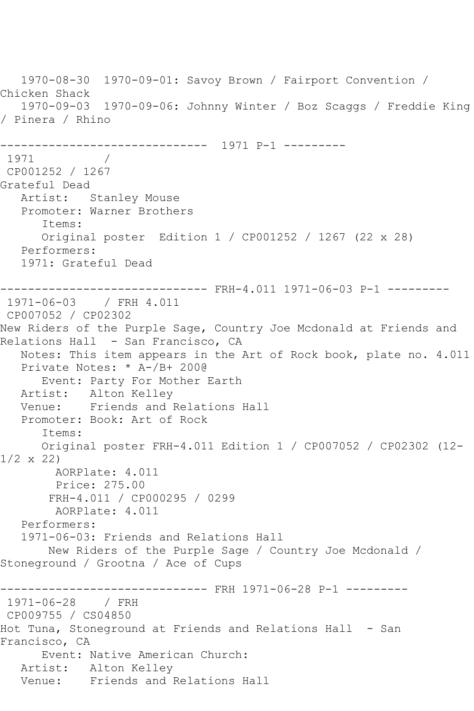1970-08-30 1970-09-01: Savoy Brown / Fairport Convention / Chicken Shack 1970-09-03 1970-09-06: Johnny Winter / Boz Scaggs / Freddie King / Pinera / Rhino ------------------------------ 1971 P-1 --------- 1971 / CP001252 / 1267 Grateful Dead Artist: Stanley Mouse Promoter: Warner Brothers Items: Original poster Edition 1 / CP001252 / 1267 (22 x 28) Performers: 1971: Grateful Dead ------------------------------ FRH-4.011 1971-06-03 P-1 --------- 1971-06-03 / FRH 4.011 CP007052 / CP02302 New Riders of the Purple Sage, Country Joe Mcdonald at Friends and Relations Hall - San Francisco, CA Notes: This item appears in the Art of Rock book, plate no. 4.011 Private Notes: \* A-/B+ 200@ Event: Party For Mother Earth Artist: Alton Kelley Venue: Friends and Relations Hall Promoter: Book: Art of Rock Items: Original poster FRH-4.011 Edition 1 / CP007052 / CP02302 (12- 1/2 x 22) AORPlate: 4.011 Price: 275.00 FRH-4.011 / CP000295 / 0299 AORPlate: 4.011 Performers: 1971-06-03: Friends and Relations Hall New Riders of the Purple Sage / Country Joe Mcdonald / Stoneground / Grootna / Ace of Cups ------------------------------ FRH 1971-06-28 P-1 --------- 1971-06-28 / FRH CP009755 / CS04850 Hot Tuna, Stoneground at Friends and Relations Hall - San Francisco, CA Event: Native American Church: Artist: Alton Kelley Venue: Friends and Relations Hall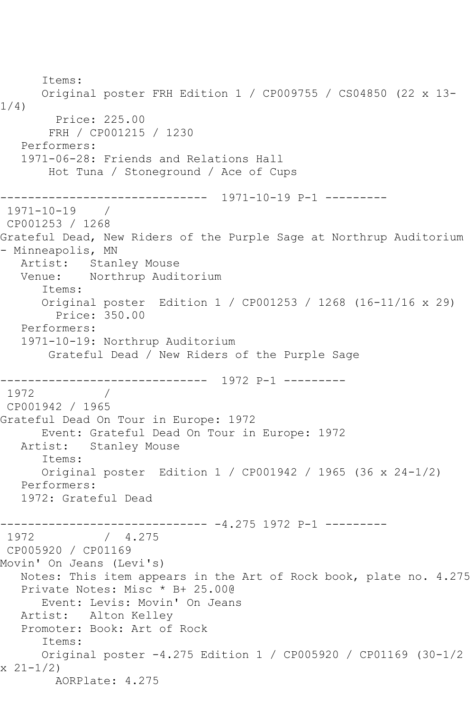Items: Original poster FRH Edition 1 / CP009755 / CS04850 (22 x 13- 1/4) Price: 225.00 FRH / CP001215 / 1230 Performers: 1971-06-28: Friends and Relations Hall Hot Tuna / Stoneground / Ace of Cups ------------------------------ 1971-10-19 P-1 --------- 1971-10-19 / CP001253 / 1268 Grateful Dead, New Riders of the Purple Sage at Northrup Auditorium - Minneapolis, MN Artist: Stanley Mouse Venue: Northrup Auditorium Items: Original poster Edition 1 / CP001253 / 1268 (16-11/16 x 29) Price: 350.00 Performers: 1971-10-19: Northrup Auditorium Grateful Dead / New Riders of the Purple Sage ------------------------------ 1972 P-1 --------- 1972 / CP001942 / 1965 Grateful Dead On Tour in Europe: 1972 Event: Grateful Dead On Tour in Europe: 1972 Artist: Stanley Mouse Items: Original poster Edition 1 / CP001942 / 1965 (36 x 24-1/2) Performers: 1972: Grateful Dead ------------------------------ -4.275 1972 P-1 ---------  $/ 4.275$ CP005920 / CP01169 Movin' On Jeans (Levi's) Notes: This item appears in the Art of Rock book, plate no. 4.275 Private Notes: Misc \* B+ 25.00@ Event: Levis: Movin' On Jeans Artist: Alton Kelley Promoter: Book: Art of Rock Items: Original poster -4.275 Edition 1 / CP005920 / CP01169 (30-1/2 x 21-1/2) AORPlate: 4.275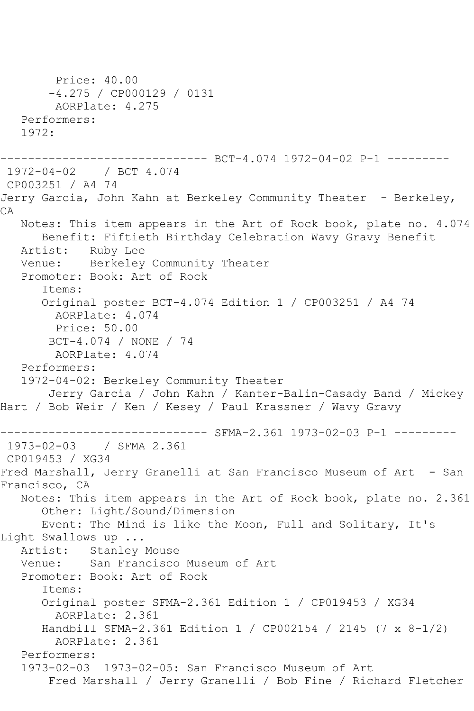```
 Price: 40.00
        -4.275 / CP000129 / 0131
        AORPlate: 4.275 
   Performers:
   1972:
------------------------------ BCT-4.074 1972-04-02 P-1 ---------
1972-04-02 / BCT 4.074
CP003251 / A4 74
Jerry Garcia, John Kahn at Berkeley Community Theater - Berkeley,
CA
   Notes: This item appears in the Art of Rock book, plate no. 4.074
       Benefit: Fiftieth Birthday Celebration Wavy Gravy Benefit
   Artist: Ruby Lee
   Venue: Berkeley Community Theater
   Promoter: Book: Art of Rock
       Items:
      Original poster BCT-4.074 Edition 1 / CP003251 / A4 74
        AORPlate: 4.074 
        Price: 50.00
        BCT-4.074 / NONE / 74
        AORPlate: 4.074 
   Performers:
   1972-04-02: Berkeley Community Theater
        Jerry Garcia / John Kahn / Kanter-Balin-Casady Band / Mickey 
Hart / Bob Weir / Ken / Kesey / Paul Krassner / Wavy Gravy
------------------------------ SFMA-2.361 1973-02-03 P-1 ---------
1973-02-03 / SFMA 2.361
CP019453 / XG34
Fred Marshall, Jerry Granelli at San Francisco Museum of Art - San
Francisco, CA
   Notes: This item appears in the Art of Rock book, plate no. 2.361
       Other: Light/Sound/Dimension
      Event: The Mind is like the Moon, Full and Solitary, It's 
Light Swallows up ...
   Artist: Stanley Mouse
   Venue: San Francisco Museum of Art
   Promoter: Book: Art of Rock
       Items:
      Original poster SFMA-2.361 Edition 1 / CP019453 / XG34
         AORPlate: 2.361 
       Handbill SFMA-2.361 Edition 1 / CP002154 / 2145 (7 x 8-1/2)
        AORPlate: 2.361 
   Performers:
   1973-02-03 1973-02-05: San Francisco Museum of Art
        Fred Marshall / Jerry Granelli / Bob Fine / Richard Fletcher
```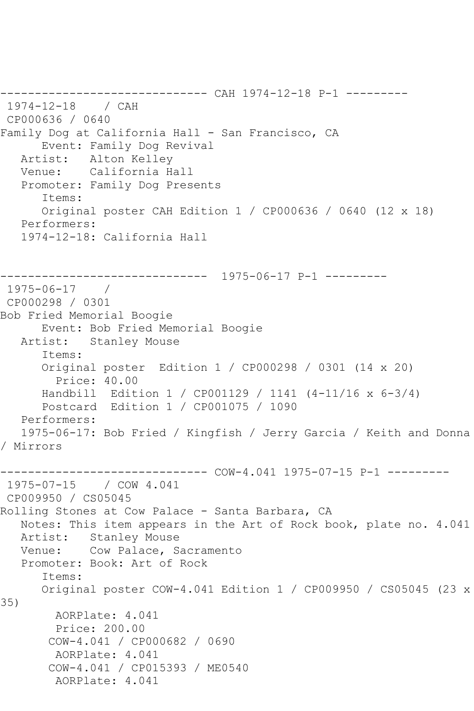------------------------------ CAH 1974-12-18 P-1 --------- 1974-12-18 / CAH CP000636 / 0640 Family Dog at California Hall - San Francisco, CA Event: Family Dog Revival Artist: Alton Kelley Venue: California Hall Promoter: Family Dog Presents Items: Original poster CAH Edition 1 / CP000636 / 0640 (12 x 18) Performers: 1974-12-18: California Hall ------------------------------ 1975-06-17 P-1 --------- 1975-06-17 / CP000298 / 0301 Bob Fried Memorial Boogie Event: Bob Fried Memorial Boogie Artist: Stanley Mouse Items: Original poster Edition 1 / CP000298 / 0301 (14 x 20) Price: 40.00 Handbill Edition 1 / CP001129 / 1141 (4-11/16 x 6-3/4) Postcard Edition 1 / CP001075 / 1090 Performers: 1975-06-17: Bob Fried / Kingfish / Jerry Garcia / Keith and Donna / Mirrors ------------------------------ COW-4.041 1975-07-15 P-1 --------- 1975-07-15 / COW 4.041 CP009950 / CS05045 Rolling Stones at Cow Palace - Santa Barbara, CA Notes: This item appears in the Art of Rock book, plate no. 4.041 Artist: Stanley Mouse Venue: Cow Palace, Sacramento Promoter: Book: Art of Rock Items: Original poster COW-4.041 Edition 1 / CP009950 / CS05045 (23 x 35) AORPlate: 4.041 Price: 200.00 COW-4.041 / CP000682 / 0690 AORPlate: 4.041 COW-4.041 / CP015393 / ME0540 AORPlate: 4.041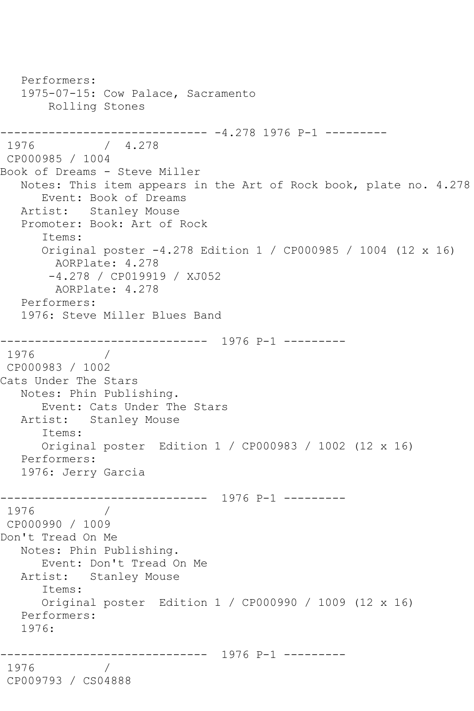Performers: 1975-07-15: Cow Palace, Sacramento Rolling Stones ------------------------------ -4.278 1976 P-1 --------- 1976 / 4.278 CP000985 / 1004 Book of Dreams - Steve Miller Notes: This item appears in the Art of Rock book, plate no. 4.278 Event: Book of Dreams Artist: Stanley Mouse Promoter: Book: Art of Rock Items: Original poster -4.278 Edition 1 / CP000985 / 1004 (12 x 16) AORPlate: 4.278 -4.278 / CP019919 / XJ052 AORPlate: 4.278 Performers: 1976: Steve Miller Blues Band ------------------------------ 1976 P-1 --------- 1976 / CP000983 / 1002 Cats Under The Stars Notes: Phin Publishing. Event: Cats Under The Stars Artist: Stanley Mouse Items: Original poster Edition 1 / CP000983 / 1002 (12 x 16) Performers: 1976: Jerry Garcia ------------------------------ 1976 P-1 --------- 1976 CP000990 / 1009 Don't Tread On Me Notes: Phin Publishing. Event: Don't Tread On Me Artist: Stanley Mouse Items: Original poster Edition 1 / CP000990 / 1009 (12 x 16) Performers: 1976: ------------------------------ 1976 P-1 --------- 1976 / CP009793 / CS04888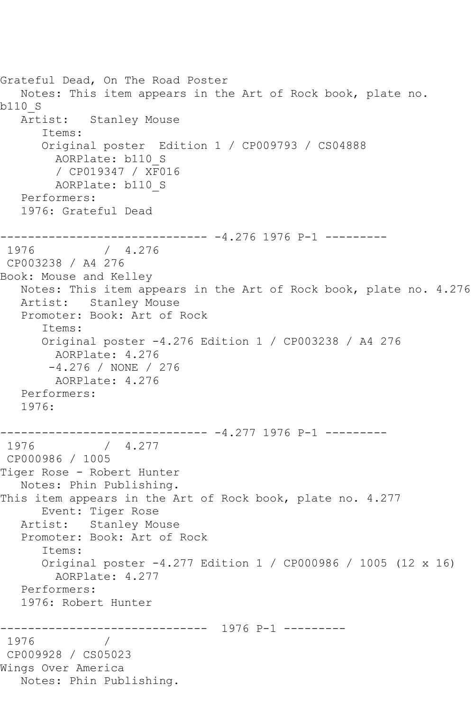```
Grateful Dead, On The Road Poster
   Notes: This item appears in the Art of Rock book, plate no. 
b110_S
   Artist: Stanley Mouse
       Items:
       Original poster Edition 1 / CP009793 / CS04888
        AORPlate: b110_S 
         / CP019347 / XF016
         AORPlate: b110_S 
   Performers:
   1976: Grateful Dead
------------------------------ -4.276 1976 P-1 ---------
1976 / 4.276
CP003238 / A4 276
Book: Mouse and Kelley
   Notes: This item appears in the Art of Rock book, plate no. 4.276
   Artist: Stanley Mouse
   Promoter: Book: Art of Rock
       Items:
       Original poster -4.276 Edition 1 / CP003238 / A4 276
         AORPlate: 4.276 
        -4.276 / NONE / 276
        AORPlate: 4.276 
   Performers:
   1976:
------------------------------ -4.277 1976 P-1 ---------
1976 / 4.277
CP000986 / 1005
Tiger Rose - Robert Hunter
   Notes: Phin Publishing.
This item appears in the Art of Rock book, plate no. 4.277
      Event: Tiger Rose
   Artist: Stanley Mouse
   Promoter: Book: Art of Rock
       Items:
       Original poster -4.277 Edition 1 / CP000986 / 1005 (12 x 16)
        AORPlate: 4.277 
   Performers:
   1976: Robert Hunter
                  ------------------------------ 1976 P-1 ---------
1976 / 
CP009928 / CS05023
Wings Over America
   Notes: Phin Publishing.
```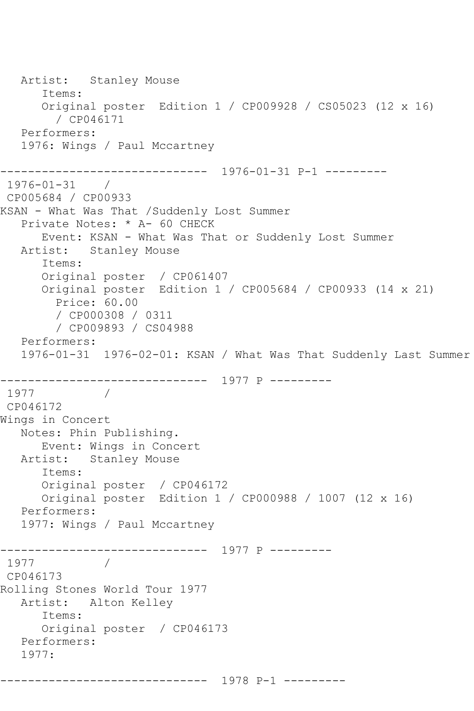```
 Artist: Stanley Mouse
       Items:
       Original poster Edition 1 / CP009928 / CS05023 (12 x 16)
         / CP046171
   Performers:
   1976: Wings / Paul Mccartney
------------------------------ 1976-01-31 P-1 ---------
1976-01-31 / 
CP005684 / CP00933
KSAN - What Was That /Suddenly Lost Summer
   Private Notes: * A- 60 CHECK
       Event: KSAN - What Was That or Suddenly Lost Summer
   Artist: Stanley Mouse
       Items:
       Original poster / CP061407
       Original poster Edition 1 / CP005684 / CP00933 (14 x 21)
         Price: 60.00
         / CP000308 / 0311
         / CP009893 / CS04988
   Performers:
   1976-01-31 1976-02-01: KSAN / What Was That Suddenly Last Summer
------------------------------ 1977 P ---------
1977 / 
CP046172
Wings in Concert
   Notes: Phin Publishing.
  Event: Wings in Concert<br>Artist: Stanley Mouse
           Stanley Mouse
       Items:
       Original poster / CP046172
      Original poster Edition 1 / CP000988 / 1007 (12 x 16)
   Performers:
   1977: Wings / Paul Mccartney
------------------------------ 1977 P ---------
1977 / 
CP046173
Rolling Stones World Tour 1977
   Artist: Alton Kelley
       Items:
       Original poster / CP046173
   Performers:
   1977:
------------------------------ 1978 P-1 ---------
```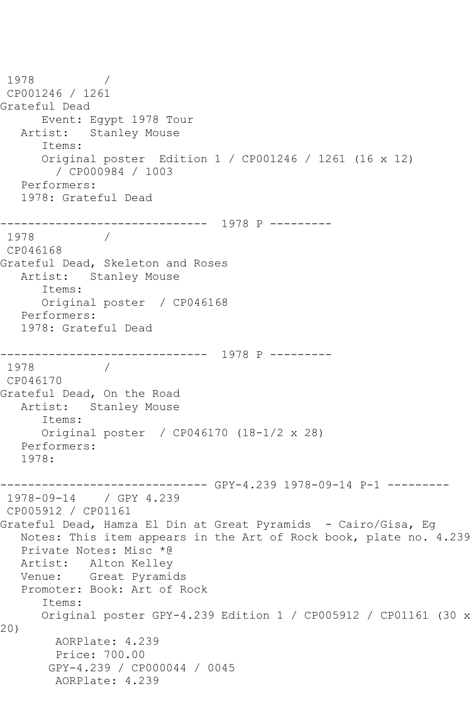```
1978
CP001246 / 1261
Grateful Dead
      Event: Egypt 1978 Tour
   Artist: Stanley Mouse
       Items:
       Original poster Edition 1 / CP001246 / 1261 (16 x 12)
         / CP000984 / 1003
   Performers:
   1978: Grateful Dead
------------------------------ 1978 P ---------
1978 / 
CP046168
Grateful Dead, Skeleton and Roses
   Artist: Stanley Mouse
       Items:
      Original poster / CP046168
   Performers:
   1978: Grateful Dead
      ------------------------------ 1978 P ---------
1978
CP046170
Grateful Dead, On the Road
   Artist: Stanley Mouse
       Items:
      Original poster / CP046170 (18-1/2 x 28)
   Performers:
   1978:
------------------------------ GPY-4.239 1978-09-14 P-1 ---------
1978-09-14 / GPY 4.239
CP005912 / CP01161
Grateful Dead, Hamza El Din at Great Pyramids - Cairo/Gisa, Eg
   Notes: This item appears in the Art of Rock book, plate no. 4.239
   Private Notes: Misc *@
   Artist: Alton Kelley
   Venue: Great Pyramids
   Promoter: Book: Art of Rock
       Items:
      Original poster GPY-4.239 Edition 1 / CP005912 / CP01161 (30 x 
20)
        AORPlate: 4.239 
         Price: 700.00
        GPY-4.239 / CP000044 / 0045
         AORPlate: 4.239
```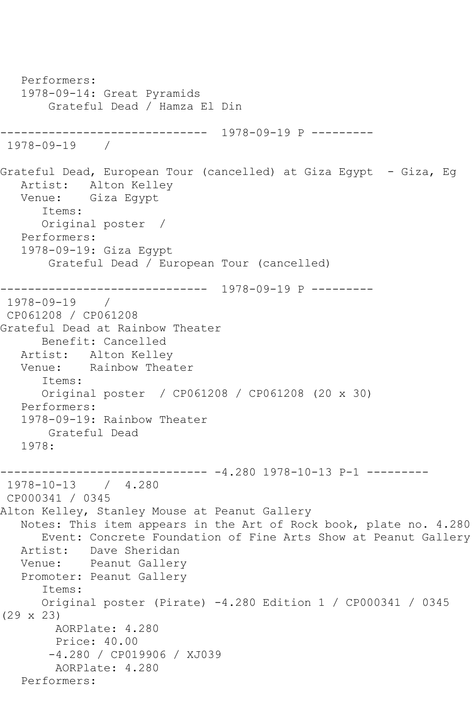```
 Performers:
   1978-09-14: Great Pyramids
        Grateful Dead / Hamza El Din
    ------------------------------ 1978-09-19 P ---------
1978-09-19 / 
Grateful Dead, European Tour (cancelled) at Giza Egypt - Giza, Eg
   Artist: Alton Kelley
   Venue: Giza Egypt
       Items:
      Original poster / 
   Performers:
   1978-09-19: Giza Egypt
        Grateful Dead / European Tour (cancelled)
              ------------------------------ 1978-09-19 P ---------
1978-09-19 / 
CP061208 / CP061208
Grateful Dead at Rainbow Theater
      Benefit: Cancelled
   Artist: Alton Kelley
   Venue: Rainbow Theater
       Items:
      Original poster / CP061208 / CP061208 (20 x 30)
   Performers:
   1978-09-19: Rainbow Theater
        Grateful Dead
   1978:
------------------------------ -4.280 1978-10-13 P-1 ---------
1978-10-13 / 4.280
CP000341 / 0345
Alton Kelley, Stanley Mouse at Peanut Gallery
   Notes: This item appears in the Art of Rock book, plate no. 4.280
       Event: Concrete Foundation of Fine Arts Show at Peanut Gallery
   Artist: Dave Sheridan
   Venue: Peanut Gallery
   Promoter: Peanut Gallery
       Items:
      Original poster (Pirate) -4.280 Edition 1 / CP000341 / 0345 
(29 x 23)
        AORPlate: 4.280 
        Price: 40.00
        -4.280 / CP019906 / XJ039
         AORPlate: 4.280 
   Performers:
```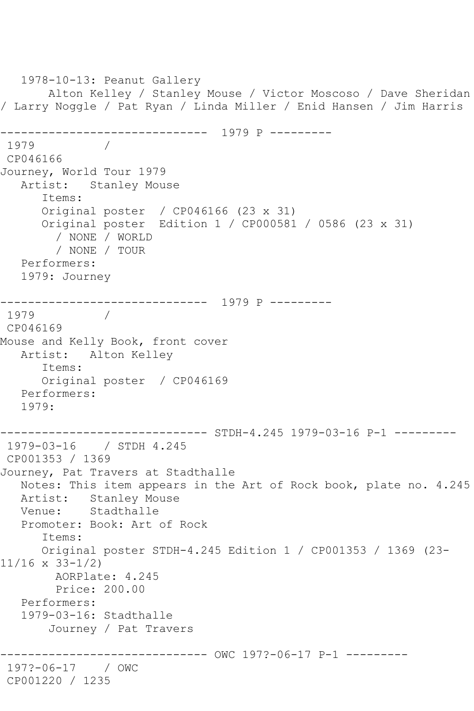1978-10-13: Peanut Gallery Alton Kelley / Stanley Mouse / Victor Moscoso / Dave Sheridan / Larry Noggle / Pat Ryan / Linda Miller / Enid Hansen / Jim Harris ------------------------------ 1979 P --------- 1979 / CP046166 Journey, World Tour 1979 Artist: Stanley Mouse Items: Original poster / CP046166 (23 x 31) Original poster Edition 1 / CP000581 / 0586 (23 x 31) / NONE / WORLD / NONE / TOUR Performers: 1979: Journey ------------------------------ 1979 P --------- 1979 / CP046169 Mouse and Kelly Book, front cover Artist: Alton Kelley Items: Original poster / CP046169 Performers: 1979: ------------------------------ STDH-4.245 1979-03-16 P-1 --------- 1979-03-16 / STDH 4.245 CP001353 / 1369 Journey, Pat Travers at Stadthalle Notes: This item appears in the Art of Rock book, plate no. 4.245 Artist: Stanley Mouse<br>Venue: Stadthalle Stadthalle Promoter: Book: Art of Rock Items: Original poster STDH-4.245 Edition 1 / CP001353 / 1369 (23- 11/16 x 33-1/2) AORPlate: 4.245 Price: 200.00 Performers: 1979-03-16: Stadthalle Journey / Pat Travers ------------------------------ OWC 197?-06-17 P-1 --------- 197?-06-17 / OWC CP001220 / 1235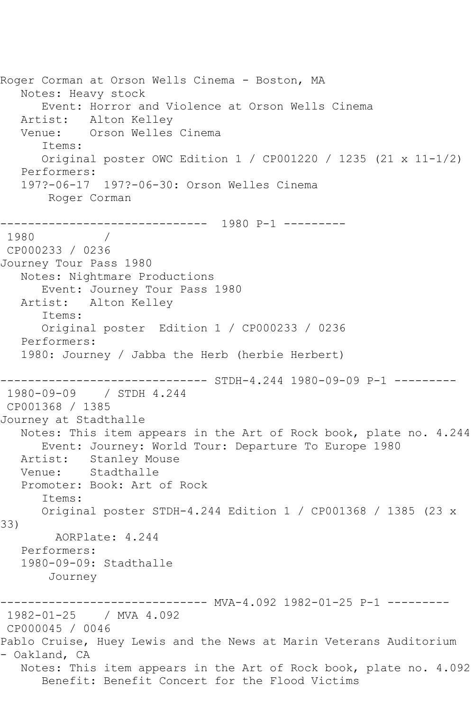Roger Corman at Orson Wells Cinema - Boston, MA Notes: Heavy stock Event: Horror and Violence at Orson Wells Cinema Artist: Alton Kelley<br>Venue: Orson Welles Orson Welles Cinema Items: Original poster OWC Edition 1 / CP001220 / 1235 (21 x 11-1/2) Performers: 197?-06-17 197?-06-30: Orson Welles Cinema Roger Corman ------------------------------ 1980 P-1 --------- 1980 / CP000233 / 0236 Journey Tour Pass 1980 Notes: Nightmare Productions Event: Journey Tour Pass 1980 Artist: Alton Kelley Items: Original poster Edition 1 / CP000233 / 0236 Performers: 1980: Journey / Jabba the Herb (herbie Herbert) ------------------------------ STDH-4.244 1980-09-09 P-1 --------- 1980-09-09 / STDH 4.244 CP001368 / 1385 Journey at Stadthalle Notes: This item appears in the Art of Rock book, plate no. 4.244 Event: Journey: World Tour: Departure To Europe 1980 Artist: Stanley Mouse Venue: Stadthalle Promoter: Book: Art of Rock Items: Original poster STDH-4.244 Edition 1 / CP001368 / 1385 (23 x 33) AORPlate: 4.244 Performers: 1980-09-09: Stadthalle Journey --------- MVA-4.092 1982-01-25 P-1 ---------1982-01-25 / MVA 4.092 CP000045 / 0046 Pablo Cruise, Huey Lewis and the News at Marin Veterans Auditorium - Oakland, CA Notes: This item appears in the Art of Rock book, plate no. 4.092 Benefit: Benefit Concert for the Flood Victims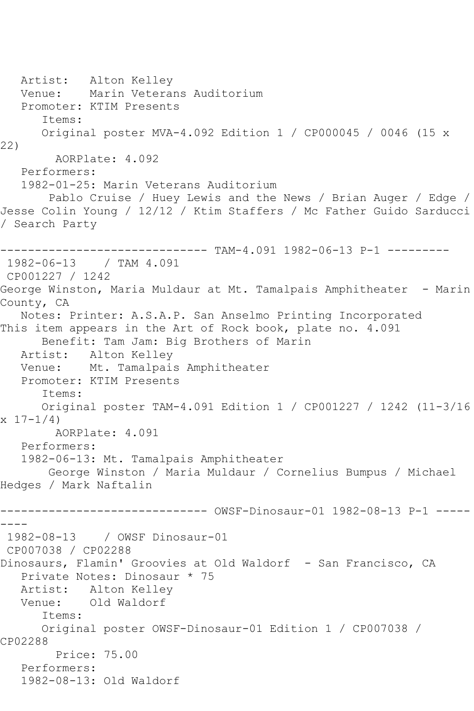Artist: Alton Kelley Venue: Marin Veterans Auditorium Promoter: KTIM Presents Items: Original poster MVA-4.092 Edition 1 / CP000045 / 0046 (15 x 22) AORPlate: 4.092 Performers: 1982-01-25: Marin Veterans Auditorium Pablo Cruise / Huey Lewis and the News / Brian Auger / Edge / Jesse Colin Young / 12/12 / Ktim Staffers / Mc Father Guido Sarducci / Search Party ------------------------------ TAM-4.091 1982-06-13 P-1 --------- 1982-06-13 / TAM 4.091 CP001227 / 1242 George Winston, Maria Muldaur at Mt. Tamalpais Amphitheater - Marin County, CA Notes: Printer: A.S.A.P. San Anselmo Printing Incorporated This item appears in the Art of Rock book, plate no. 4.091 Benefit: Tam Jam: Big Brothers of Marin Artist: Alton Kelley Venue: Mt. Tamalpais Amphitheater Promoter: KTIM Presents Items: Original poster TAM-4.091 Edition 1 / CP001227 / 1242 (11-3/16  $x \ 17 - 1/4$ ) AORPlate: 4.091 Performers: 1982-06-13: Mt. Tamalpais Amphitheater George Winston / Maria Muldaur / Cornelius Bumpus / Michael Hedges / Mark Naftalin ------------------------------ OWSF-Dinosaur-01 1982-08-13 P-1 ----- ---- 1982-08-13 / OWSF Dinosaur-01 CP007038 / CP02288 Dinosaurs, Flamin' Groovies at Old Waldorf - San Francisco, CA Private Notes: Dinosaur \* 75 Artist: Alton Kelley Venue: Old Waldorf Items: Original poster OWSF-Dinosaur-01 Edition 1 / CP007038 / CP02288 Price: 75.00 Performers: 1982-08-13: Old Waldorf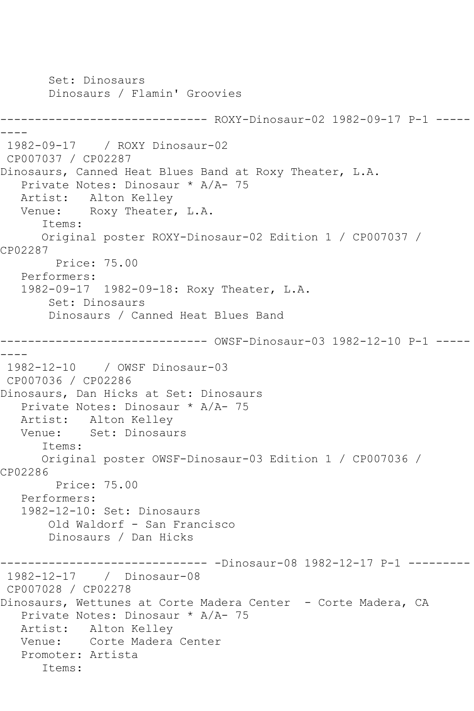Set: Dinosaurs Dinosaurs / Flamin' Groovies ------------------------------ ROXY-Dinosaur-02 1982-09-17 P-1 ----- ---- 1982-09-17 / ROXY Dinosaur-02 CP007037 / CP02287 Dinosaurs, Canned Heat Blues Band at Roxy Theater, L.A. Private Notes: Dinosaur \* A/A- 75 Artist: Alton Kelley Venue: Roxy Theater, L.A. Items: Original poster ROXY-Dinosaur-02 Edition 1 / CP007037 / CP02287 Price: 75.00 Performers: 1982-09-17 1982-09-18: Roxy Theater, L.A. Set: Dinosaurs Dinosaurs / Canned Heat Blues Band ------------------------------ OWSF-Dinosaur-03 1982-12-10 P-1 ----- ---- 1982-12-10 / OWSF Dinosaur-03 CP007036 / CP02286 Dinosaurs, Dan Hicks at Set: Dinosaurs Private Notes: Dinosaur \* A/A- 75 Artist: Alton Kelley Venue: Set: Dinosaurs Items: Original poster OWSF-Dinosaur-03 Edition 1 / CP007036 / CP02286 Price: 75.00 Performers: 1982-12-10: Set: Dinosaurs Old Waldorf - San Francisco Dinosaurs / Dan Hicks ------------------------------ -Dinosaur-08 1982-12-17 P-1 --------- 1982-12-17 / Dinosaur-08 CP007028 / CP02278 Dinosaurs, Wettunes at Corte Madera Center - Corte Madera, CA Private Notes: Dinosaur \* A/A- 75 Artist: Alton Kelley Venue: Corte Madera Center Promoter: Artista Items: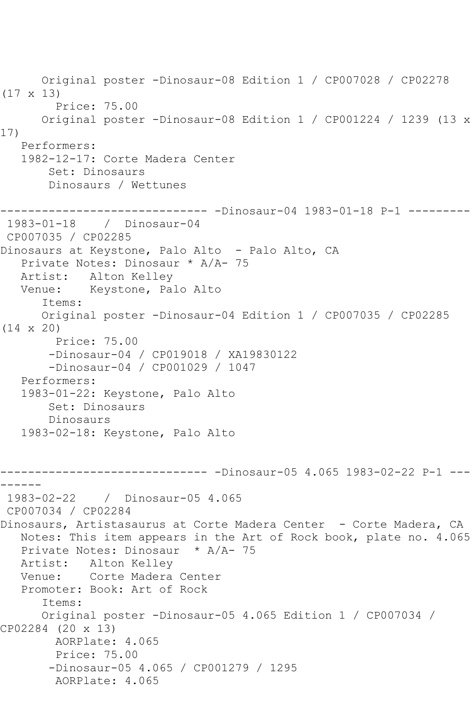```
 Original poster -Dinosaur-08 Edition 1 / CP007028 / CP02278 
(17 x 13)
        Price: 75.00
      Original poster -Dinosaur-08 Edition 1 / CP001224 / 1239 (13 x 
17)
   Performers:
   1982-12-17: Corte Madera Center
        Set: Dinosaurs
        Dinosaurs / Wettunes
------------------------------ -Dinosaur-04 1983-01-18 P-1 ---------
1983-01-18 / Dinosaur-04
CP007035 / CP02285
Dinosaurs at Keystone, Palo Alto - Palo Alto, CA
   Private Notes: Dinosaur * A/A- 75
   Artist: Alton Kelley
   Venue: Keystone, Palo Alto
       Items:
       Original poster -Dinosaur-04 Edition 1 / CP007035 / CP02285 
(14 x 20)
         Price: 75.00
        -Dinosaur-04 / CP019018 / XA19830122
        -Dinosaur-04 / CP001029 / 1047
   Performers:
   1983-01-22: Keystone, Palo Alto
        Set: Dinosaurs
        Dinosaurs
   1983-02-18: Keystone, Palo Alto
------------------------------ -Dinosaur-05 4.065 1983-02-22 P-1 ---
------
 1983-02-22 / Dinosaur-05 4.065
CP007034 / CP02284
Dinosaurs, Artistasaurus at Corte Madera Center - Corte Madera, CA
   Notes: This item appears in the Art of Rock book, plate no. 4.065
   Private Notes: Dinosaur * A/A- 75
   Artist: Alton Kelley
   Venue: Corte Madera Center
   Promoter: Book: Art of Rock
       Items:
      Original poster -Dinosaur-05 4.065 Edition 1 / CP007034 / 
CP02284 (20 x 13)
        AORPlate: 4.065 
         Price: 75.00
        -Dinosaur-05 4.065 / CP001279 / 1295
         AORPlate: 4.065
```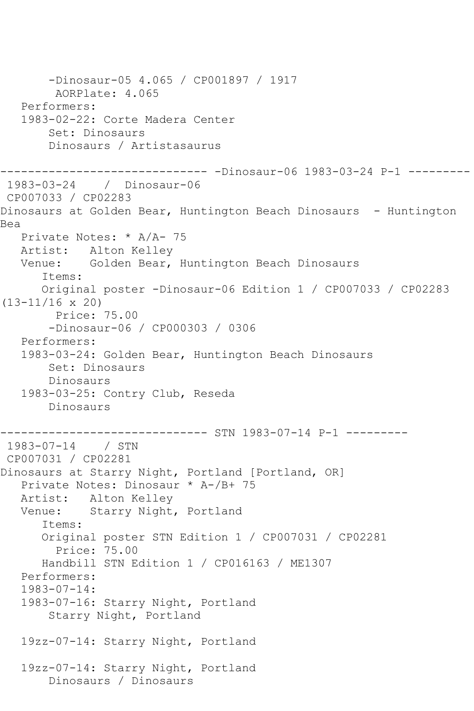-Dinosaur-05 4.065 / CP001897 / 1917 AORPlate: 4.065 Performers: 1983-02-22: Corte Madera Center Set: Dinosaurs Dinosaurs / Artistasaurus ------------------------------ -Dinosaur-06 1983-03-24 P-1 --------- 1983-03-24 / Dinosaur-06 CP007033 / CP02283 Dinosaurs at Golden Bear, Huntington Beach Dinosaurs - Huntington Bea Private Notes: \* A/A- 75 Artist: Alton Kelley Venue: Golden Bear, Huntington Beach Dinosaurs Items: Original poster -Dinosaur-06 Edition 1 / CP007033 / CP02283 (13-11/16 x 20) Price: 75.00 -Dinosaur-06 / CP000303 / 0306 Performers: 1983-03-24: Golden Bear, Huntington Beach Dinosaurs Set: Dinosaurs Dinosaurs 1983-03-25: Contry Club, Reseda Dinosaurs ---------- STN 1983-07-14 P-1 ---------1983-07-14 / STN CP007031 / CP02281 Dinosaurs at Starry Night, Portland [Portland, OR] Private Notes: Dinosaur \* A-/B+ 75 Artist: Alton Kelley<br>Venue: Starry Night Starry Night, Portland Items: Original poster STN Edition 1 / CP007031 / CP02281 Price: 75.00 Handbill STN Edition 1 / CP016163 / ME1307 Performers: 1983-07-14: 1983-07-16: Starry Night, Portland Starry Night, Portland 19zz-07-14: Starry Night, Portland 19zz-07-14: Starry Night, Portland Dinosaurs / Dinosaurs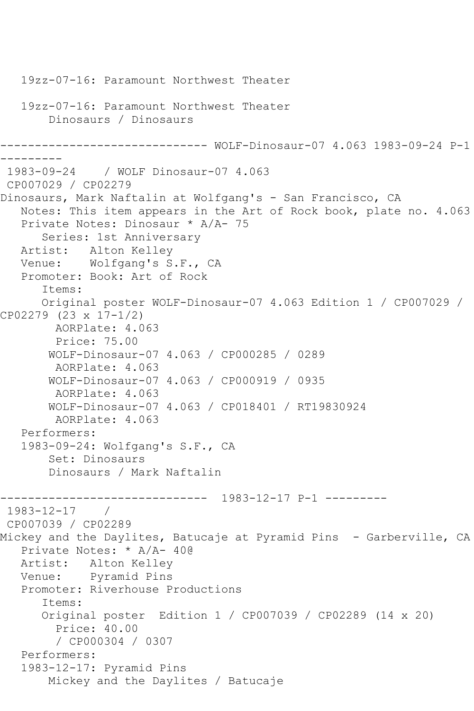```
 19zz-07-16: Paramount Northwest Theater
    19zz-07-16: Paramount Northwest Theater
        Dinosaurs / Dinosaurs
           ------------------------------ WOLF-Dinosaur-07 4.063 1983-09-24 P-1 
---------
1983-09-24 / WOLF Dinosaur-07 4.063
CP007029 / CP02279
Dinosaurs, Mark Naftalin at Wolfgang's - San Francisco, CA
    Notes: This item appears in the Art of Rock book, plate no. 4.063
    Private Notes: Dinosaur * A/A- 75
       Series: 1st Anniversary
   Artist: Alton Kelley
   Venue: Wolfgang's S.F., CA
   Promoter: Book: Art of Rock
       Items:
       Original poster WOLF-Dinosaur-07 4.063 Edition 1 / CP007029 / 
CP02279 (23 x 17-1/2)
        AORPlate: 4.063 
         Price: 75.00
        WOLF-Dinosaur-07 4.063 / CP000285 / 0289
        AORPlate: 4.063 
        WOLF-Dinosaur-07 4.063 / CP000919 / 0935
         AORPlate: 4.063 
        WOLF-Dinosaur-07 4.063 / CP018401 / RT19830924
         AORPlate: 4.063 
    Performers:
    1983-09-24: Wolfgang's S.F., CA
        Set: Dinosaurs
        Dinosaurs / Mark Naftalin
              ------------------------------ 1983-12-17 P-1 ---------
1983 - 12 - 17CP007039 / CP02289
Mickey and the Daylites, Batucaje at Pyramid Pins - Garberville, CA
    Private Notes: * A/A- 40@
   Artist: Alton Kelley
   Venue: Pyramid Pins
    Promoter: Riverhouse Productions
       Items:
       Original poster Edition 1 / CP007039 / CP02289 (14 x 20)
         Price: 40.00
         / CP000304 / 0307
    Performers:
    1983-12-17: Pyramid Pins
        Mickey and the Daylites / Batucaje
```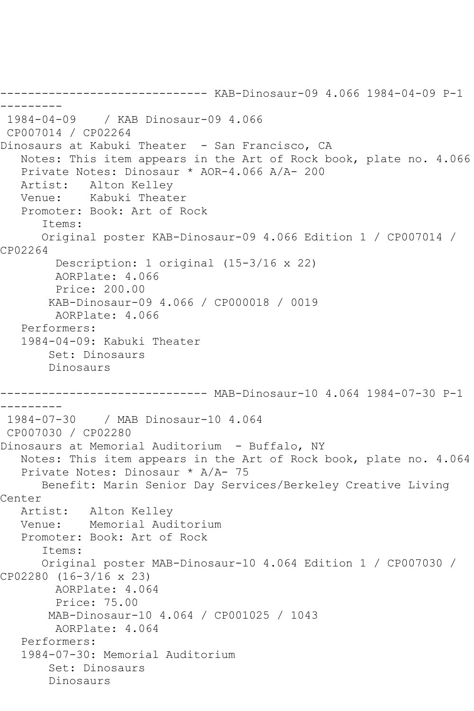------------------------------ KAB-Dinosaur-09 4.066 1984-04-09 P-1 --------- 1984-04-09 / KAB Dinosaur-09 4.066 CP007014 / CP02264 Dinosaurs at Kabuki Theater - San Francisco, CA Notes: This item appears in the Art of Rock book, plate no. 4.066 Private Notes: Dinosaur \* AOR-4.066 A/A- 200 Alton Kelley Venue: Kabuki Theater Promoter: Book: Art of Rock Items: Original poster KAB-Dinosaur-09 4.066 Edition 1 / CP007014 / CP02264 Description: 1 original (15-3/16 x 22) AORPlate: 4.066 Price: 200.00 KAB-Dinosaur-09 4.066 / CP000018 / 0019 AORPlate: 4.066 Performers: 1984-04-09: Kabuki Theater Set: Dinosaurs Dinosaurs ------------------------------ MAB-Dinosaur-10 4.064 1984-07-30 P-1 --------- 1984-07-30 / MAB Dinosaur-10 4.064 CP007030 / CP02280 Dinosaurs at Memorial Auditorium - Buffalo, NY Notes: This item appears in the Art of Rock book, plate no. 4.064 Private Notes: Dinosaur \* A/A- 75 Benefit: Marin Senior Day Services/Berkeley Creative Living Center<br>Artist: Alton Kelley Venue: Memorial Auditorium Promoter: Book: Art of Rock Items: Original poster MAB-Dinosaur-10 4.064 Edition 1 / CP007030 / CP02280 (16-3/16 x 23) AORPlate: 4.064 Price: 75.00 MAB-Dinosaur-10 4.064 / CP001025 / 1043 AORPlate: 4.064 Performers: 1984-07-30: Memorial Auditorium Set: Dinosaurs Dinosaurs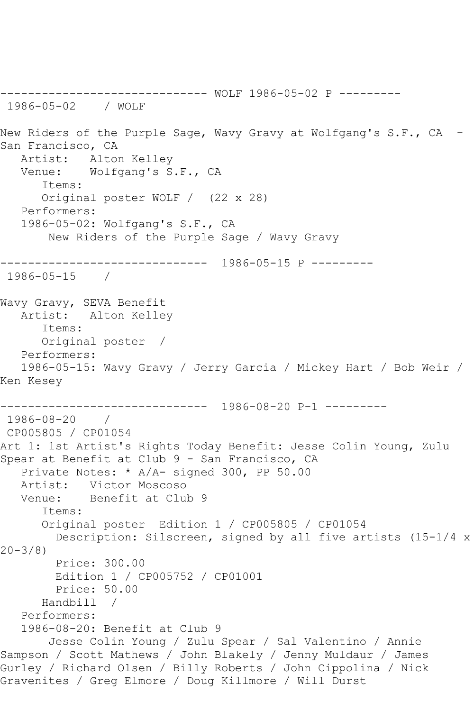------------------------------ WOLF 1986-05-02 P --------- 1986-05-02 / WOLF New Riders of the Purple Sage, Wavy Gravy at Wolfgang's S.F., CA San Francisco, CA Artist: Alton Kelley Venue: Wolfgang's S.F., CA Items: Original poster WOLF / (22 x 28) Performers: 1986-05-02: Wolfgang's S.F., CA New Riders of the Purple Sage / Wavy Gravy ------------------------------ 1986-05-15 P --------- 1986-05-15 / Wavy Gravy, SEVA Benefit Artist: Alton Kelley Items: Original poster / Performers: 1986-05-15: Wavy Gravy / Jerry Garcia / Mickey Hart / Bob Weir / Ken Kesey ------------------------------ 1986-08-20 P-1 --------- 1986-08-20 / CP005805 / CP01054 Art 1: 1st Artist's Rights Today Benefit: Jesse Colin Young, Zulu Spear at Benefit at Club 9 - San Francisco, CA Private Notes: \* A/A- signed 300, PP 50.00 Artist: Victor Moscoso Venue: Benefit at Club 9 Items: Original poster Edition 1 / CP005805 / CP01054 Description: Silscreen, signed by all five artists (15-1/4 x 20-3/8) Price: 300.00 Edition 1 / CP005752 / CP01001 Price: 50.00 Handbill / Performers: 1986-08-20: Benefit at Club 9 Jesse Colin Young / Zulu Spear / Sal Valentino / Annie Sampson / Scott Mathews / John Blakely / Jenny Muldaur / James Gurley / Richard Olsen / Billy Roberts / John Cippolina / Nick Gravenites / Greg Elmore / Doug Killmore / Will Durst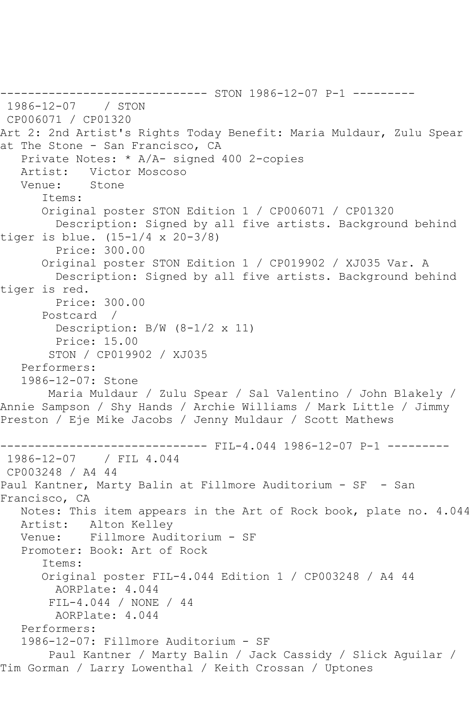------------------------------ STON 1986-12-07 P-1 --------- 1986-12-07 / STON CP006071 / CP01320 Art 2: 2nd Artist's Rights Today Benefit: Maria Muldaur, Zulu Spear at The Stone - San Francisco, CA Private Notes: \* A/A- signed 400 2-copies Artist: Victor Moscoso Venue: Stone Items: Original poster STON Edition 1 / CP006071 / CP01320 Description: Signed by all five artists. Background behind tiger is blue. (15-1/4 x 20-3/8) Price: 300.00 Original poster STON Edition 1 / CP019902 / XJ035 Var. A Description: Signed by all five artists. Background behind tiger is red. Price: 300.00 Postcard / Description: B/W (8-1/2 x 11) Price: 15.00 STON / CP019902 / XJ035 Performers: 1986-12-07: Stone Maria Muldaur / Zulu Spear / Sal Valentino / John Blakely / Annie Sampson / Shy Hands / Archie Williams / Mark Little / Jimmy Preston / Eje Mike Jacobs / Jenny Muldaur / Scott Mathews ------------------------------ FIL-4.044 1986-12-07 P-1 --------- 1986-12-07 / FIL 4.044 CP003248 / A4 44 Paul Kantner, Marty Balin at Fillmore Auditorium - SF - San Francisco, CA Notes: This item appears in the Art of Rock book, plate no. 4.044 Artist: Alton Kelley Venue: Fillmore Auditorium - SF Promoter: Book: Art of Rock Items: Original poster FIL-4.044 Edition 1 / CP003248 / A4 44 AORPlate: 4.044 FIL-4.044 / NONE / 44 AORPlate: 4.044 Performers: 1986-12-07: Fillmore Auditorium - SF Paul Kantner / Marty Balin / Jack Cassidy / Slick Aguilar / Tim Gorman / Larry Lowenthal / Keith Crossan / Uptones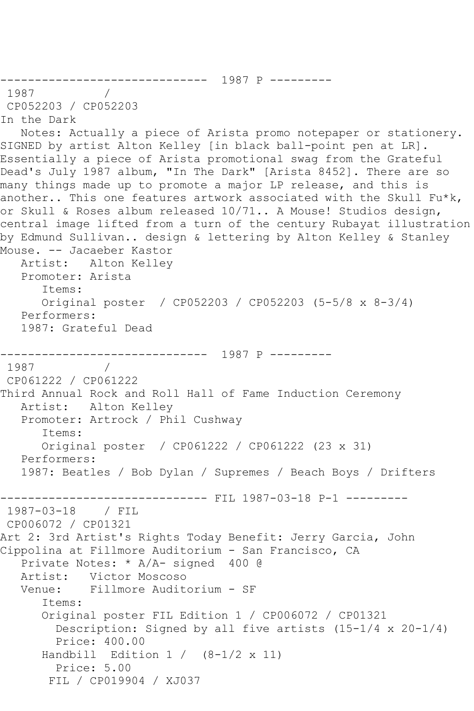```
------------------------------ 1987 P ---------
1987
CP052203 / CP052203
In the Dark
   Notes: Actually a piece of Arista promo notepaper or stationery. 
SIGNED by artist Alton Kelley [in black ball-point pen at LR]. 
Essentially a piece of Arista promotional swag from the Grateful 
Dead's July 1987 album, "In The Dark" [Arista 8452]. There are so 
many things made up to promote a major LP release, and this is 
another.. This one features artwork associated with the Skull Fu*k,
or Skull & Roses album released 10/71.. A Mouse! Studios design, 
central image lifted from a turn of the century Rubayat illustration 
by Edmund Sullivan.. design & lettering by Alton Kelley & Stanley 
Mouse. -- Jacaeber Kastor
   Artist: Alton Kelley
   Promoter: Arista
       Items:
      Original poster / CP052203 / CP052203 (5-5/8 x 8-3/4)
   Performers:
   1987: Grateful Dead
------------------------------ 1987 P ---------
1987 / 
CP061222 / CP061222
Third Annual Rock and Roll Hall of Fame Induction Ceremony
   Artist: Alton Kelley
   Promoter: Artrock / Phil Cushway
       Items:
      Original poster / CP061222 / CP061222 (23 x 31)
   Performers:
   1987: Beatles / Bob Dylan / Supremes / Beach Boys / Drifters
------------------------------ FIL 1987-03-18 P-1 ---------
1987-03-18 / FIL 
CP006072 / CP01321
Art 2: 3rd Artist's Rights Today Benefit: Jerry Garcia, John
Cippolina at Fillmore Auditorium - San Francisco, CA
   Private Notes: * A/A- signed 400 @
  Artist: Victor Moscoso<br>Venue: Fillmore Audit
           Fillmore Auditorium - SF
       Items:
       Original poster FIL Edition 1 / CP006072 / CP01321
         Description: Signed by all five artists (15-1/4 x 20-1/4)
         Price: 400.00
      Handbill Edition 1 / (8-1/2 \times 11) Price: 5.00
        FIL / CP019904 / XJ037
```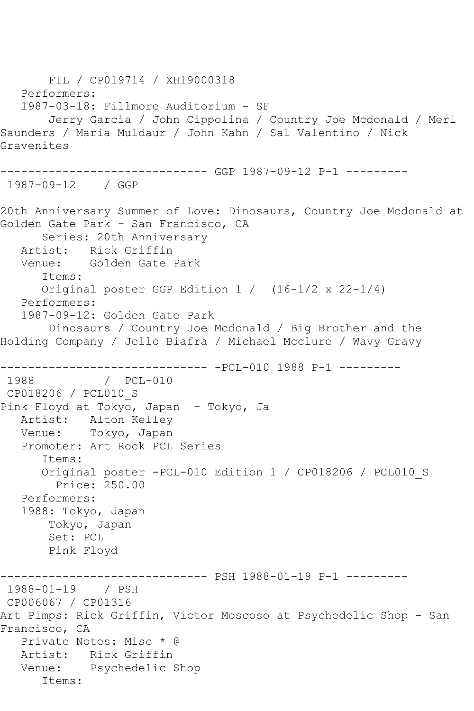FIL / CP019714 / XH19000318 Performers: 1987-03-18: Fillmore Auditorium - SF Jerry Garcia / John Cippolina / Country Joe Mcdonald / Merl Saunders / Maria Muldaur / John Kahn / Sal Valentino / Nick Gravenites ------------------------------ GGP 1987-09-12 P-1 --------- 1987-09-12 / GGP 20th Anniversary Summer of Love: Dinosaurs, Country Joe Mcdonald at Golden Gate Park - San Francisco, CA Series: 20th Anniversary Artist: Rick Griffin Venue: Golden Gate Park Items: Original poster GGP Edition 1 / (16-1/2 x 22-1/4) Performers: 1987-09-12: Golden Gate Park Dinosaurs / Country Joe Mcdonald / Big Brother and the Holding Company / Jello Biafra / Michael Mcclure / Wavy Gravy ------------------------------ -PCL-010 1988 P-1 --------- 1988 / PCL-010 CP018206 / PCL010\_S Pink Floyd at Tokyo, Japan - Tokyo, Ja Artist: Alton Kelley Venue: Tokyo, Japan Promoter: Art Rock PCL Series Items: Original poster -PCL-010 Edition 1 / CP018206 / PCL010\_S Price: 250.00 Performers: 1988: Tokyo, Japan Tokyo, Japan Set: PCL Pink Floyd ------------------------------ PSH 1988-01-19 P-1 --------- 1988-01-19 / PSH CP006067 / CP01316 Art Pimps: Rick Griffin, Victor Moscoso at Psychedelic Shop - San Francisco, CA Private Notes: Misc \* @ Artist: Rick Griffin Venue: Psychedelic Shop Items: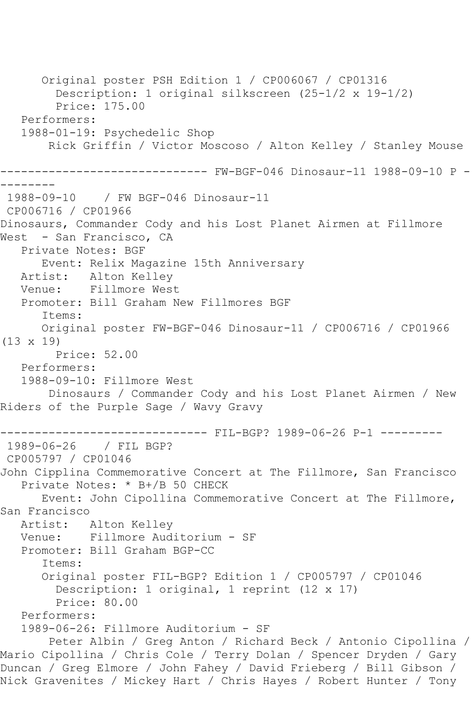Original poster PSH Edition 1 / CP006067 / CP01316 Description: 1 original silkscreen (25-1/2 x 19-1/2) Price: 175.00 Performers: 1988-01-19: Psychedelic Shop Rick Griffin / Victor Moscoso / Alton Kelley / Stanley Mouse ------------------------------ FW-BGF-046 Dinosaur-11 1988-09-10 P - -------- 1988-09-10 / FW BGF-046 Dinosaur-11 CP006716 / CP01966 Dinosaurs, Commander Cody and his Lost Planet Airmen at Fillmore West - San Francisco, CA Private Notes: BGF Event: Relix Magazine 15th Anniversary Artist: Alton Kelley Venue: Fillmore West Promoter: Bill Graham New Fillmores BGF Items: Original poster FW-BGF-046 Dinosaur-11 / CP006716 / CP01966 (13 x 19) Price: 52.00 Performers: 1988-09-10: Fillmore West Dinosaurs / Commander Cody and his Lost Planet Airmen / New Riders of the Purple Sage / Wavy Gravy ------------------------------ FIL-BGP? 1989-06-26 P-1 --------- 1989-06-26 / FIL BGP? CP005797 / CP01046 John Cipplina Commemorative Concert at The Fillmore, San Francisco Private Notes: \* B+/B 50 CHECK Event: John Cipollina Commemorative Concert at The Fillmore, San Francisco Artist: Alton Kelley Venue: Fillmore Auditorium - SF Promoter: Bill Graham BGP-CC Items: Original poster FIL-BGP? Edition 1 / CP005797 / CP01046 Description: 1 original, 1 reprint (12 x 17) Price: 80.00 Performers: 1989-06-26: Fillmore Auditorium - SF Peter Albin / Greg Anton / Richard Beck / Antonio Cipollina / Mario Cipollina / Chris Cole / Terry Dolan / Spencer Dryden / Gary Duncan / Greg Elmore / John Fahey / David Frieberg / Bill Gibson / Nick Gravenites / Mickey Hart / Chris Hayes / Robert Hunter / Tony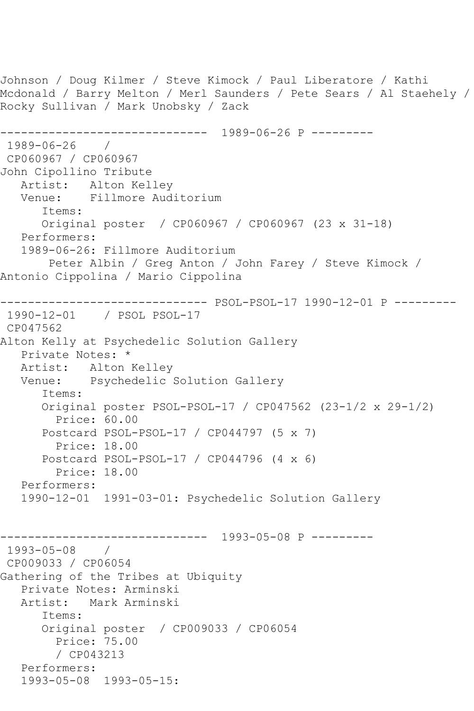```
Johnson / Doug Kilmer / Steve Kimock / Paul Liberatore / Kathi 
Mcdonald / Barry Melton / Merl Saunders / Pete Sears / Al Staehely / 
Rocky Sullivan / Mark Unobsky / Zack
------------------------------ 1989-06-26 P ---------
1989-06-26 / 
CP060967 / CP060967
John Cipollino Tribute
   Artist: Alton Kelley
   Venue: Fillmore Auditorium
      Items:
      Original poster / CP060967 / CP060967 (23 x 31-18)
   Performers:
   1989-06-26: Fillmore Auditorium
       Peter Albin / Greg Anton / John Farey / Steve Kimock / 
Antonio Cippolina / Mario Cippolina
------------------------------ PSOL-PSOL-17 1990-12-01 P ---------
1990-12-01 / PSOL PSOL-17
CP047562
Alton Kelly at Psychedelic Solution Gallery
   Private Notes: *
   Artist: Alton Kelley
   Venue: Psychedelic Solution Gallery
      Items:
      Original poster PSOL-PSOL-17 / CP047562 (23-1/2 x 29-1/2)
         Price: 60.00
      Postcard PSOL-PSOL-17 / CP044797 (5 x 7)
         Price: 18.00
      Postcard PSOL-PSOL-17 / CP044796 (4 x 6)
        Price: 18.00
   Performers:
   1990-12-01 1991-03-01: Psychedelic Solution Gallery
------------------------------ 1993-05-08 P ---------
1993-05-08 / 
CP009033 / CP06054
Gathering of the Tribes at Ubiquity
   Private Notes: Arminski
   Artist: Mark Arminski
      Items:
      Original poster / CP009033 / CP06054
         Price: 75.00
        / CP043213
   Performers:
   1993-05-08 1993-05-15:
```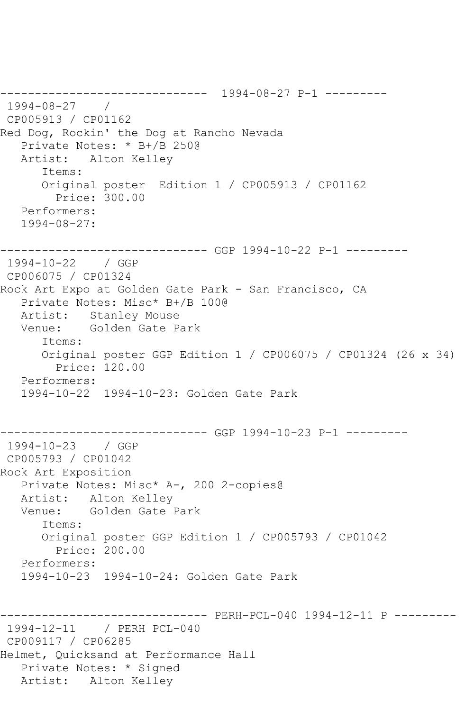------------------------------ 1994-08-27 P-1 --------- 1994-08-27 / CP005913 / CP01162 Red Dog, Rockin' the Dog at Rancho Nevada Private Notes: \* B+/B 250@ Artist: Alton Kelley Items: Original poster Edition 1 / CP005913 / CP01162 Price: 300.00 Performers: 1994-08-27: ------------------------------ GGP 1994-10-22 P-1 --------- 1994-10-22 / GGP CP006075 / CP01324 Rock Art Expo at Golden Gate Park - San Francisco, CA Private Notes: Misc\* B+/B 100@ Artist: Stanley Mouse Venue: Golden Gate Park Items: Original poster GGP Edition 1 / CP006075 / CP01324 (26 x 34) Price: 120.00 Performers: 1994-10-22 1994-10-23: Golden Gate Park ------------------------------ GGP 1994-10-23 P-1 --------- 1994-10-23 / GGP CP005793 / CP01042 Rock Art Exposition Private Notes: Misc\* A-, 200 2-copies@ Artist: Alton Kelley<br>Venue: Golden Gate Golden Gate Park Items: Original poster GGP Edition 1 / CP005793 / CP01042 Price: 200.00 Performers: 1994-10-23 1994-10-24: Golden Gate Park ------------------------------ PERH-PCL-040 1994-12-11 P --------- 1994-12-11 / PERH PCL-040 CP009117 / CP06285 Helmet, Quicksand at Performance Hall Private Notes: \* Signed Artist: Alton Kelley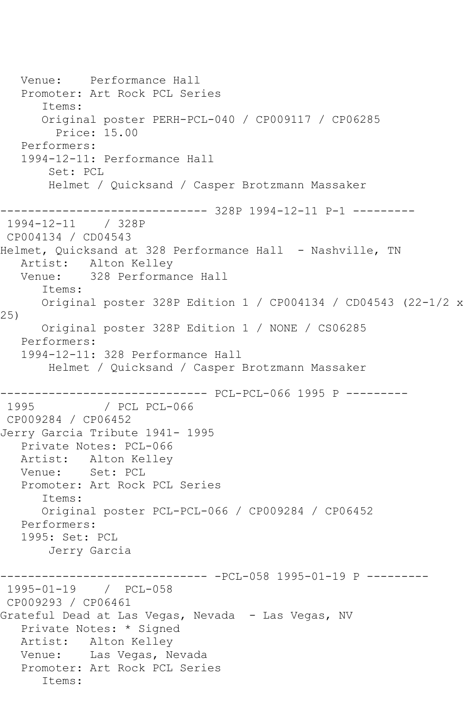Venue: Performance Hall Promoter: Art Rock PCL Series Items: Original poster PERH-PCL-040 / CP009117 / CP06285 Price: 15.00 Performers: 1994-12-11: Performance Hall Set: PCL Helmet / Quicksand / Casper Brotzmann Massaker ------------------------------ 328P 1994-12-11 P-1 --------- 1994-12-11 / 328P CP004134 / CD04543 Helmet, Quicksand at 328 Performance Hall - Nashville, TN Artist: Alton Kelley Venue: 328 Performance Hall Items: Original poster 328P Edition 1 / CP004134 / CD04543 (22-1/2 x 25) Original poster 328P Edition 1 / NONE / CS06285 Performers: 1994-12-11: 328 Performance Hall Helmet / Quicksand / Casper Brotzmann Massaker ------------------------------ PCL-PCL-066 1995 P --------- / PCL PCL-066 CP009284 / CP06452 Jerry Garcia Tribute 1941- 1995 Private Notes: PCL-066 Artist: Alton Kelley Venue: Set: PCL Promoter: Art Rock PCL Series Items: Original poster PCL-PCL-066 / CP009284 / CP06452 Performers: 1995: Set: PCL Jerry Garcia ------------------------------ -PCL-058 1995-01-19 P --------- 1995-01-19 / PCL-058 CP009293 / CP06461 Grateful Dead at Las Vegas, Nevada - Las Vegas, NV Private Notes: \* Signed Artist: Alton Kelley Venue: Las Vegas, Nevada Promoter: Art Rock PCL Series Items: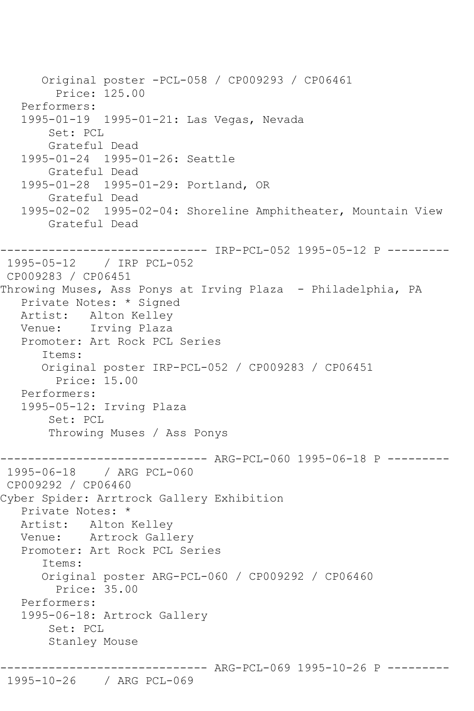Original poster -PCL-058 / CP009293 / CP06461 Price: 125.00 Performers: 1995-01-19 1995-01-21: Las Vegas, Nevada Set: PCL Grateful Dead 1995-01-24 1995-01-26: Seattle Grateful Dead 1995-01-28 1995-01-29: Portland, OR Grateful Dead 1995-02-02 1995-02-04: Shoreline Amphitheater, Mountain View Grateful Dead ------------------------------ IRP-PCL-052 1995-05-12 P --------- 1995-05-12 / IRP PCL-052 CP009283 / CP06451 Throwing Muses, Ass Ponys at Irving Plaza - Philadelphia, PA Private Notes: \* Signed Artist: Alton Kelley Venue: Irving Plaza Promoter: Art Rock PCL Series Items: Original poster IRP-PCL-052 / CP009283 / CP06451 Price: 15.00 Performers: 1995-05-12: Irving Plaza Set: PCL Throwing Muses / Ass Ponys ------------------------------ ARG-PCL-060 1995-06-18 P --------- 1995-06-18 / ARG PCL-060 CP009292 / CP06460 Cyber Spider: Arrtrock Gallery Exhibition Private Notes: \* Artist: Alton Kelley Venue: Artrock Gallery Promoter: Art Rock PCL Series Items: Original poster ARG-PCL-060 / CP009292 / CP06460 Price: 35.00 Performers: 1995-06-18: Artrock Gallery Set: PCL Stanley Mouse

-------------- ARG-PCL-069 1995-10-26 P --------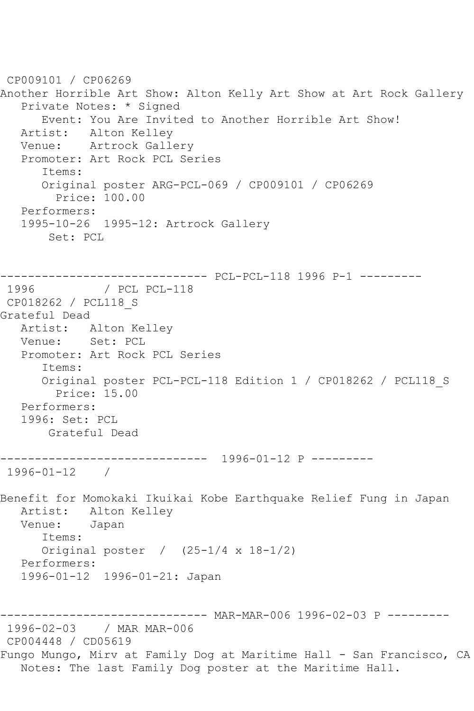CP009101 / CP06269 Another Horrible Art Show: Alton Kelly Art Show at Art Rock Gallery Private Notes: \* Signed Event: You Are Invited to Another Horrible Art Show! Artist: Alton Kelley Venue: Artrock Gallery Promoter: Art Rock PCL Series Items: Original poster ARG-PCL-069 / CP009101 / CP06269 Price: 100.00 Performers: 1995-10-26 1995-12: Artrock Gallery Set: PCL ------------------------------ PCL-PCL-118 1996 P-1 --------- 1996 / PCL PCL-118 CP018262 / PCL118\_S Grateful Dead Artist: Alton Kelley Venue: Set: PCL Promoter: Art Rock PCL Series Items: Original poster PCL-PCL-118 Edition 1 / CP018262 / PCL118\_S Price: 15.00 Performers: 1996: Set: PCL Grateful Dead ------------------------------ 1996-01-12 P --------- 1996-01-12 / Benefit for Momokaki Ikuikai Kobe Earthquake Relief Fung in Japan Artist: Alton Kelley Venue: Japan Items: Original poster / (25-1/4 x 18-1/2) Performers: 1996-01-12 1996-01-21: Japan ------------------------------ MAR-MAR-006 1996-02-03 P --------- 1996-02-03 / MAR MAR-006 CP004448 / CD05619 Fungo Mungo, Mirv at Family Dog at Maritime Hall - San Francisco, CA Notes: The last Family Dog poster at the Maritime Hall.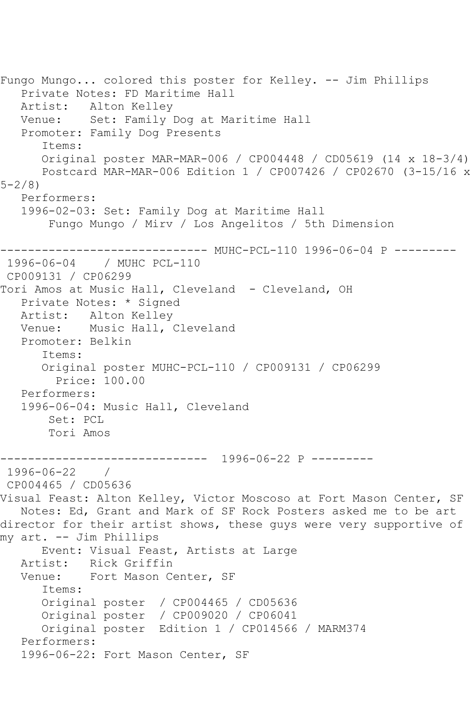Fungo Mungo... colored this poster for Kelley. -- Jim Phillips Private Notes: FD Maritime Hall Artist: Alton Kelley Venue: Set: Family Dog at Maritime Hall Promoter: Family Dog Presents Items: Original poster MAR-MAR-006 / CP004448 / CD05619 (14 x 18-3/4) Postcard MAR-MAR-006 Edition 1 / CP007426 / CP02670 (3-15/16 x 5-2/8) Performers: 1996-02-03: Set: Family Dog at Maritime Hall Fungo Mungo / Mirv / Los Angelitos / 5th Dimension ------------------------------ MUHC-PCL-110 1996-06-04 P --------- 1996-06-04 / MUHC PCL-110 CP009131 / CP06299 Tori Amos at Music Hall, Cleveland - Cleveland, OH Private Notes: \* Signed Artist: Alton Kelley Venue: Music Hall, Cleveland Promoter: Belkin Items: Original poster MUHC-PCL-110 / CP009131 / CP06299 Price: 100.00 Performers: 1996-06-04: Music Hall, Cleveland Set: PCL Tori Amos ------------------------------ 1996-06-22 P --------- 1996-06-22 / CP004465 / CD05636 Visual Feast: Alton Kelley, Victor Moscoso at Fort Mason Center, SF Notes: Ed, Grant and Mark of SF Rock Posters asked me to be art director for their artist shows, these guys were very supportive of my art. -- Jim Phillips Event: Visual Feast, Artists at Large Artist: Rick Griffin Venue: Fort Mason Center, SF Items: Original poster / CP004465 / CD05636 Original poster / CP009020 / CP06041 Original poster Edition 1 / CP014566 / MARM374 Performers: 1996-06-22: Fort Mason Center, SF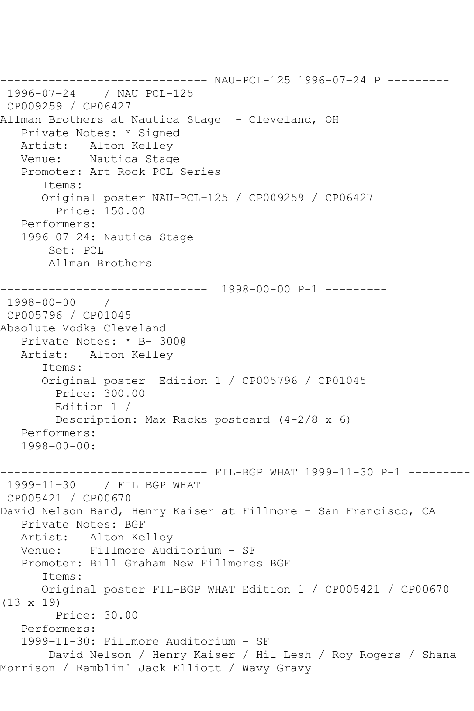```
------------------------------ NAU-PCL-125 1996-07-24 P ---------
1996-07-24 / NAU PCL-125
CP009259 / CP06427
Allman Brothers at Nautica Stage - Cleveland, OH
   Private Notes: * Signed
   Artist: Alton Kelley
   Venue: Nautica Stage
   Promoter: Art Rock PCL Series
       Items:
      Original poster NAU-PCL-125 / CP009259 / CP06427
         Price: 150.00
   Performers:
   1996-07-24: Nautica Stage
       Set: PCL
       Allman Brothers
------------------------------ 1998-00-00 P-1 ---------
1998-00-00 / 
CP005796 / CP01045
Absolute Vodka Cleveland
   Private Notes: * B- 300@
   Artist: Alton Kelley
      Items:
       Original poster Edition 1 / CP005796 / CP01045
         Price: 300.00
        Edition 1 / 
         Description: Max Racks postcard (4-2/8 x 6)
   Performers:
   1998-00-00:
       ------------------------------ FIL-BGP WHAT 1999-11-30 P-1 ---------
1999-11-30 / FIL BGP WHAT
CP005421 / CP00670
David Nelson Band, Henry Kaiser at Fillmore - San Francisco, CA
   Private Notes: BGF
   Artist: Alton Kelley
   Venue: Fillmore Auditorium - SF
   Promoter: Bill Graham New Fillmores BGF
       Items:
      Original poster FIL-BGP WHAT Edition 1 / CP005421 / CP00670 
(13 x 19)
        Price: 30.00
   Performers:
   1999-11-30: Fillmore Auditorium - SF
       David Nelson / Henry Kaiser / Hil Lesh / Roy Rogers / Shana 
Morrison / Ramblin' Jack Elliott / Wavy Gravy
```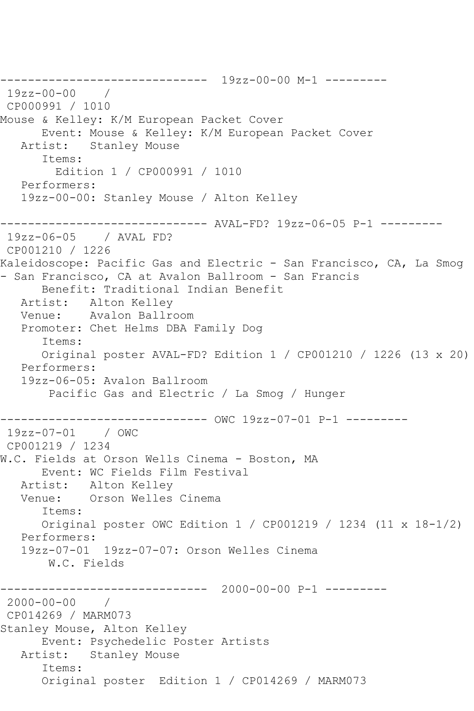------------------------------ 19zz-00-00 M-1 --------- 19zz-00-00 / CP000991 / 1010 Mouse & Kelley: K/M European Packet Cover Event: Mouse & Kelley: K/M European Packet Cover<br>Artist: Stanley Mouse Stanley Mouse Items: Edition 1 / CP000991 / 1010 Performers: 19zz-00-00: Stanley Mouse / Alton Kelley ------------------------------ AVAL-FD? 19zz-06-05 P-1 --------- 19zz-06-05 / AVAL FD? CP001210 / 1226 Kaleidoscope: Pacific Gas and Electric - San Francisco, CA, La Smog - San Francisco, CA at Avalon Ballroom - San Francis Benefit: Traditional Indian Benefit Artist: Alton Kelley Venue: Avalon Ballroom Promoter: Chet Helms DBA Family Dog Items: Original poster AVAL-FD? Edition 1 / CP001210 / 1226 (13 x 20) Performers: 19zz-06-05: Avalon Ballroom Pacific Gas and Electric / La Smog / Hunger ------------------------------ OWC 19zz-07-01 P-1 --------- 19zz-07-01 / OWC CP001219 / 1234 W.C. Fields at Orson Wells Cinema - Boston, MA Event: WC Fields Film Festival Artist: Alton Kelley Venue: Orson Welles Cinema Items: Original poster OWC Edition 1 / CP001219 / 1234 (11 x 18-1/2) Performers: 19zz-07-01 19zz-07-07: Orson Welles Cinema W.C. Fields ------------------------------ 2000-00-00 P-1 --------- 2000-00-00 / CP014269 / MARM073 Stanley Mouse, Alton Kelley Event: Psychedelic Poster Artists Artist: Stanley Mouse Items: Original poster Edition 1 / CP014269 / MARM073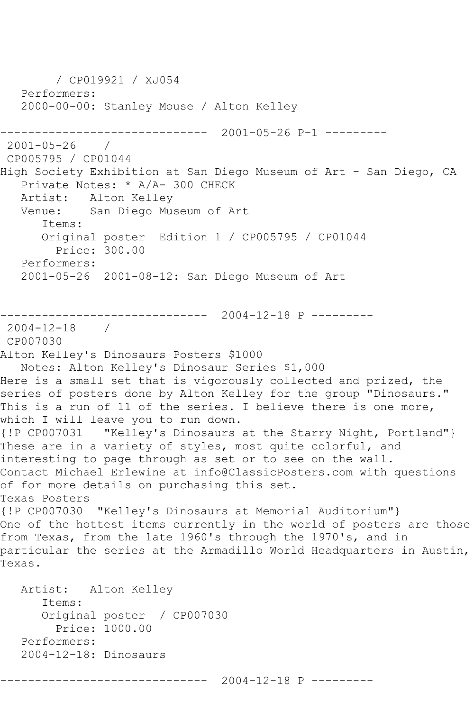/ CP019921 / XJ054 Performers: 2000-00-00: Stanley Mouse / Alton Kelley ------------------------------ 2001-05-26 P-1 --------- 2001-05-26 / CP005795 / CP01044 High Society Exhibition at San Diego Museum of Art - San Diego, CA Private Notes: \* A/A- 300 CHECK Artist: Alton Kelley Venue: San Diego Museum of Art Items: Original poster Edition 1 / CP005795 / CP01044 Price: 300.00 Performers: 2001-05-26 2001-08-12: San Diego Museum of Art ------------------------------ 2004-12-18 P --------- 2004-12-18 / CP007030 Alton Kelley's Dinosaurs Posters \$1000 Notes: Alton Kelley's Dinosaur Series \$1,000 Here is a small set that is vigorously collected and prized, the series of posters done by Alton Kelley for the group "Dinosaurs." This is a run of 11 of the series. I believe there is one more, which I will leave you to run down. {!P CP007031 "Kelley's Dinosaurs at the Starry Night, Portland"} These are in a variety of styles, most quite colorful, and interesting to page through as set or to see on the wall. Contact Michael Erlewine at info@ClassicPosters.com with questions of for more details on purchasing this set. Texas Posters {!P CP007030 "Kelley's Dinosaurs at Memorial Auditorium"} One of the hottest items currently in the world of posters are those from Texas, from the late 1960's through the 1970's, and in particular the series at the Armadillo World Headquarters in Austin, Texas. Artist: Alton Kelley Items: Original poster / CP007030 Price: 1000.00 Performers: 2004-12-18: Dinosaurs

------------------------------ 2004-12-18 P ---------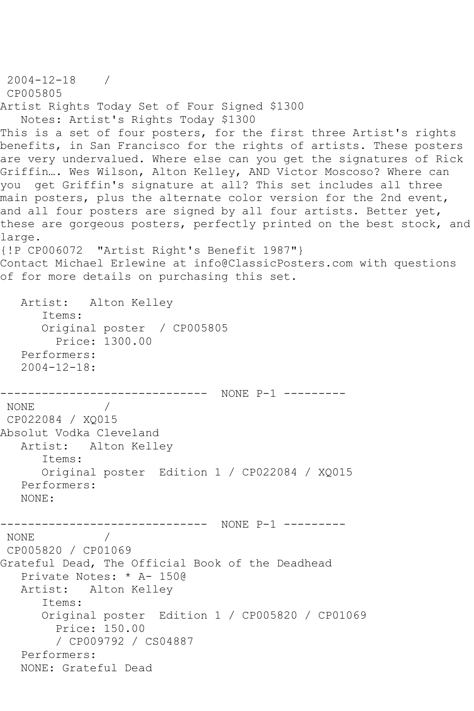```
2004-12-18 / 
CP005805
Artist Rights Today Set of Four Signed $1300
   Notes: Artist's Rights Today $1300
This is a set of four posters, for the first three Artist's rights
benefits, in San Francisco for the rights of artists. These posters 
are very undervalued. Where else can you get the signatures of Rick 
Griffin…. Wes Wilson, Alton Kelley, AND Victor Moscoso? Where can 
you get Griffin's signature at all? This set includes all three 
main posters, plus the alternate color version for the 2nd event,
and all four posters are signed by all four artists. Better yet,
these are gorgeous posters, perfectly printed on the best stock, and
large.
{!P CP006072 "Artist Right's Benefit 1987"}
Contact Michael Erlewine at info@ClassicPosters.com with questions 
of for more details on purchasing this set.
   Artist: Alton Kelley
      Items:
      Original poster / CP005805
        Price: 1300.00
   Performers:
   2004-12-18:
------------------------------ NONE P-1 ---------
            \frac{1}{2}CP022084 / XQ015
Absolut Vodka Cleveland
   Artist: Alton Kelley
      Items:
      Original poster Edition 1 / CP022084 / XQ015
   Performers:
   NONE:
------------------------------ NONE P-1 ---------
NONE / 
CP005820 / CP01069
Grateful Dead, The Official Book of the Deadhead
   Private Notes: * A- 150@
   Artist: Alton Kelley
      Items:
      Original poster Edition 1 / CP005820 / CP01069
         Price: 150.00
         / CP009792 / CS04887
   Performers:
   NONE: Grateful Dead
```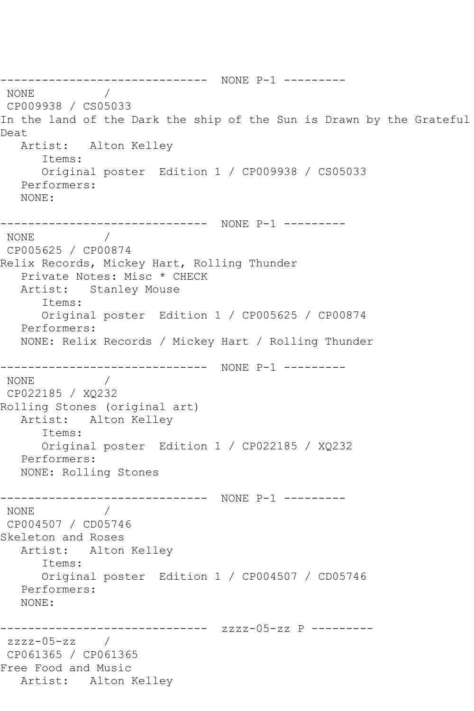```
------------------------------ NONE P-1 ---------
NONE / 
CP009938 / CS05033
In the land of the Dark the ship of the Sun is Drawn by the Grateful 
Deat
   Artist: Alton Kelley
      Items:
      Original poster Edition 1 / CP009938 / CS05033
   Performers:
   NONE:
------------------------------ NONE P-1 ---------
NONE / 
CP005625 / CP00874
Relix Records, Mickey Hart, Rolling Thunder
   Private Notes: Misc * CHECK
   Artist: Stanley Mouse
      Items:
      Original poster Edition 1 / CP005625 / CP00874
   Performers:
   NONE: Relix Records / Mickey Hart / Rolling Thunder
------------------------------ NONE P-1 ---------
NONE / 
CP022185 / XQ232
Rolling Stones (original art)
   Artist: Alton Kelley
      Items:
      Original poster Edition 1 / CP022185 / XQ232
   Performers:
   NONE: Rolling Stones
------------------------------ NONE P-1 ---------
NONE / 
CP004507 / CD05746
Skeleton and Roses
   Artist: Alton Kelley
      Items:
      Original poster Edition 1 / CP004507 / CD05746
   Performers:
   NONE:
------------------------------ zzzz-05-zz P ---------
zzzz-05-zz / 
CP061365 / CP061365
Free Food and Music
   Artist: Alton Kelley
```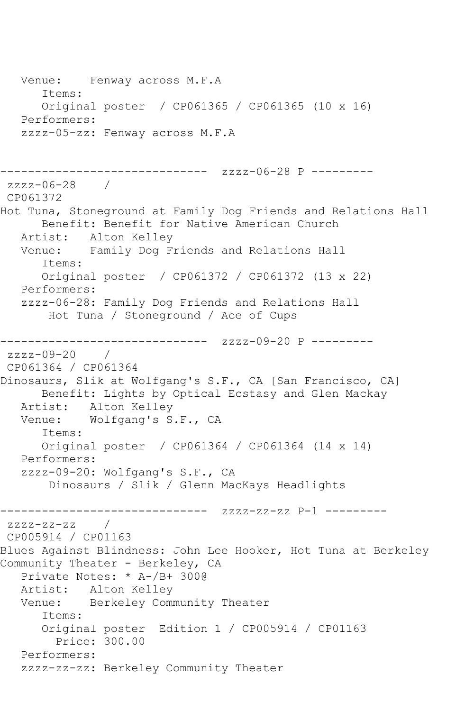Venue: Fenway across M.F.A Items: Original poster / CP061365 / CP061365 (10 x 16) Performers: zzzz-05-zz: Fenway across M.F.A ------------------------------ zzzz-06-28 P ---------  $7777 - 06 - 28$ CP061372 Hot Tuna, Stoneground at Family Dog Friends and Relations Hall Benefit: Benefit for Native American Church Artist: Alton Kelley Venue: Family Dog Friends and Relations Hall Items: Original poster / CP061372 / CP061372 (13 x 22) Performers: zzzz-06-28: Family Dog Friends and Relations Hall Hot Tuna / Stoneground / Ace of Cups ------------------------------ zzzz-09-20 P -------- zzzz-09-20 / CP061364 / CP061364 Dinosaurs, Slik at Wolfgang's S.F., CA [San Francisco, CA] Benefit: Lights by Optical Ecstasy and Glen Mackay Artist: Alton Kelley<br>Venue: Wolfgang's S Wolfgang's S.F., CA Items: Original poster / CP061364 / CP061364 (14 x 14) Performers: zzzz-09-20: Wolfgang's S.F., CA Dinosaurs / Slik / Glenn MacKays Headlights ------------------------------ zzzz-zz-zz P-1 -------- zzzz-zz-zz / CP005914 / CP01163 Blues Against Blindness: John Lee Hooker, Hot Tuna at Berkeley Community Theater - Berkeley, CA Private Notes: \* A-/B+ 300@ Artist: Alton Kelley Venue: Berkeley Community Theater Items: Original poster Edition 1 / CP005914 / CP01163 Price: 300.00 Performers: zzzz-zz-zz: Berkeley Community Theater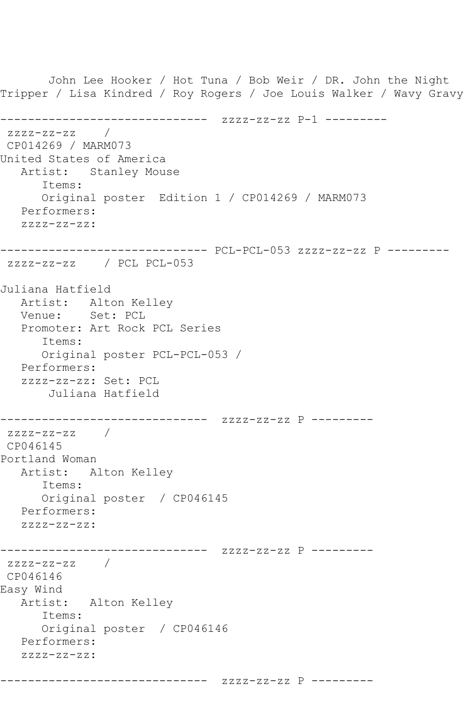John Lee Hooker / Hot Tuna / Bob Weir / DR. John the Night Tripper / Lisa Kindred / Roy Rogers / Joe Louis Walker / Wavy Gravy ------------------------------ zzzz-zz-zz P-1 -------- zzzz-zz-zz / CP014269 / MARM073 United States of America Artist: Stanley Mouse Items: Original poster Edition 1 / CP014269 / MARM073 Performers: zzzz-zz-zz: ------------------------------ PCL-PCL-053 zzzz-zz-zz P -------- zzzz-zz-zz / PCL PCL-053 Juliana Hatfield Artist: Alton Kelley Venue: Set: PCL Promoter: Art Rock PCL Series Items: Original poster PCL-PCL-053 / Performers: zzzz-zz-zz: Set: PCL Juliana Hatfield ------------------------------ zzzz-zz-zz P --------  $zzzz-zz-zz$  / CP046145 Portland Woman Artist: Alton Kelley Items: Original poster / CP046145 Performers: zzzz-zz-zz: ------------------------------ zzzz-zz-zz P -------- zzzz-zz-zz / CP046146 Easy Wind Artist: Alton Kelley Items: Original poster / CP046146 Performers: zzzz-zz-zz:

------------------------------ zzzz-zz-zz P ---------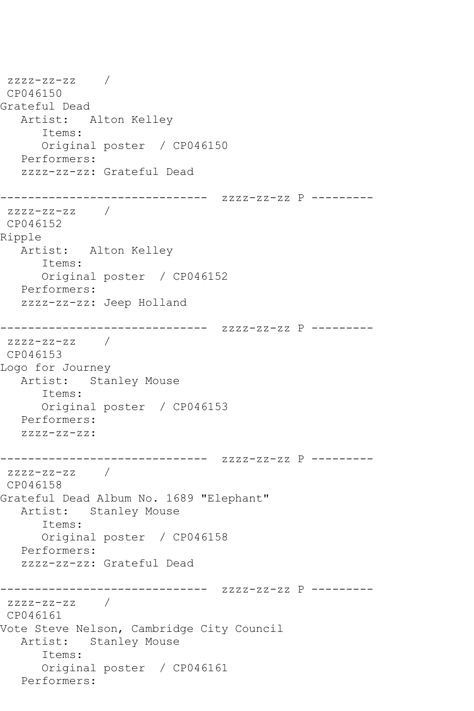zzzz-zz-zz / CP046150 Grateful Dead Artist: Alton Kelley Items: Original poster / CP046150 Performers: zzzz-zz-zz: Grateful Dead ------------------------------ zzzz-zz-zz P -------- zzzz-zz-zz / CP046152 Ripple Artist: Alton Kelley Items: Original poster / CP046152 Performers: zzzz-zz-zz: Jeep Holland ------------------------------ zzzz-zz-zz P -------- zzzz-zz-zz / CP046153 Logo for Journey Artist: Stanley Mouse Items: Original poster / CP046153 Performers: zzzz-zz-zz: ------------------------------ zzzz-zz-zz P -------- zzzz-zz-zz / CP046158 Grateful Dead Album No. 1689 "Elephant" Artist: Stanley Mouse Items: Original poster / CP046158 Performers: zzzz-zz-zz: Grateful Dead ------------------------------ zzzz-zz-zz P -------- zzzz-zz-zz / CP046161 Vote Steve Nelson, Cambridge City Council Artist: Stanley Mouse Items: Original poster / CP046161 Performers: